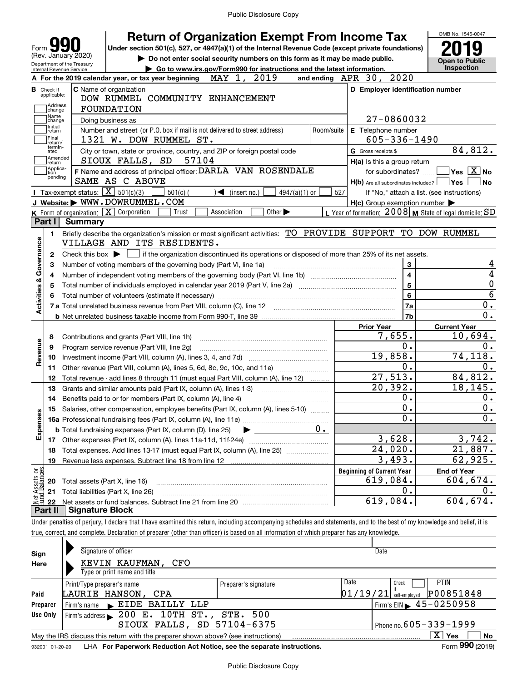Under section 501(c), 527, or 4947(a)(1) of the Internal Revenue Code (except private foundations) **2019** 

**| Do not enter social security numbers on this form as it may be made public.** ▶ Go to www.irs.gov/Form990 for instructions and the latest information.

Form**990**(Rev. January 2020)



|                                                                                  |                                  |                                                                                                                                             | Go to www.irs.gov/Form990 for instructions and the latest information. | Inspection                                                                                              |
|----------------------------------------------------------------------------------|----------------------------------|---------------------------------------------------------------------------------------------------------------------------------------------|------------------------------------------------------------------------|---------------------------------------------------------------------------------------------------------|
|                                                                                  |                                  | MAY 1,<br>2019<br>A For the 2019 calendar year, or tax year beginning                                                                       | and ending APR 30, 2020                                                |                                                                                                         |
|                                                                                  | <b>B</b> Check if<br>applicable: | <b>C</b> Name of organization<br>DOW RUMMEL COMMUNITY ENHANCEMENT                                                                           | D Employer identification number                                       |                                                                                                         |
|                                                                                  | Address<br>change                | <b>FOUNDATION</b>                                                                                                                           |                                                                        |                                                                                                         |
|                                                                                  | Name<br>change                   | Doing business as                                                                                                                           | 27-0860032                                                             |                                                                                                         |
|                                                                                  | Initial<br> return               | Number and street (or P.O. box if mail is not delivered to street address)<br>Room/suite                                                    | E Telephone number                                                     |                                                                                                         |
|                                                                                  | Final<br>return/                 | 1321 W. DOW RUMMEL ST.                                                                                                                      | $605 - 336 - 1490$                                                     |                                                                                                         |
|                                                                                  | termin-<br>ated                  | City or town, state or province, country, and ZIP or foreign postal code                                                                    | G Gross receipts \$                                                    | 84,812.                                                                                                 |
|                                                                                  | Amended<br>return                | SIOUX FALLS, SD<br>57104                                                                                                                    | H(a) Is this a group return                                            |                                                                                                         |
|                                                                                  | Applica-<br>tion                 | F Name and address of principal officer: DARLA VAN ROSENDALE                                                                                | for subordinates?                                                      | $\sqrt{}$ Yes $\sqrt{}$ $\overline{\rm X}$ No                                                           |
|                                                                                  | pending                          | SAME AS C ABOVE                                                                                                                             | $H(b)$ Are all subordinates included? $\Box$ Yes                       | l No                                                                                                    |
|                                                                                  |                                  | Tax-exempt status: $\boxed{\mathbf{X}}$ 501(c)(3)<br>$501(c)$ (<br>$\sqrt{\bullet}$ (insert no.)<br>$4947(a)(1)$ or                         | 527                                                                    | If "No," attach a list. (see instructions)                                                              |
|                                                                                  |                                  | J Website: WWW.DOWRUMMEL.COM                                                                                                                | $H(c)$ Group exemption number $\blacktriangleright$                    |                                                                                                         |
|                                                                                  |                                  | K Form of organization: X Corporation<br>Trust<br>Association<br>Other $\blacktriangleright$                                                | L Year of formation: $2008$ M State of legal domicile: SD              |                                                                                                         |
|                                                                                  | Part I                           | Summary                                                                                                                                     |                                                                        |                                                                                                         |
|                                                                                  | 1.                               | Briefly describe the organization's mission or most significant activities: TO PROVIDE SUPPORT TO DOW RUMMEL                                |                                                                        |                                                                                                         |
|                                                                                  |                                  | VILLAGE AND ITS RESIDENTS.                                                                                                                  |                                                                        |                                                                                                         |
|                                                                                  | 2                                | Check this box $\blacktriangleright$ $\Box$ if the organization discontinued its operations or disposed of more than 25% of its net assets. |                                                                        |                                                                                                         |
|                                                                                  | З                                |                                                                                                                                             | 3                                                                      | 4                                                                                                       |
|                                                                                  | 4                                |                                                                                                                                             | $\overline{\mathbf{4}}$                                                | 4                                                                                                       |
|                                                                                  | 5                                |                                                                                                                                             | $\overline{5}$                                                         | $\mathbf 0$                                                                                             |
|                                                                                  |                                  |                                                                                                                                             |                                                                        |                                                                                                         |
|                                                                                  |                                  |                                                                                                                                             | $6\phantom{a}$                                                         |                                                                                                         |
|                                                                                  |                                  |                                                                                                                                             | 7a                                                                     |                                                                                                         |
|                                                                                  |                                  |                                                                                                                                             | 7b                                                                     | $\overline{6}$<br>0.<br>0.                                                                              |
|                                                                                  |                                  |                                                                                                                                             | <b>Prior Year</b>                                                      | <b>Current Year</b>                                                                                     |
|                                                                                  | 8                                |                                                                                                                                             | 7,655.                                                                 |                                                                                                         |
|                                                                                  | 9                                | Program service revenue (Part VIII, line 2g)                                                                                                | 0.                                                                     | 0.                                                                                                      |
|                                                                                  | 10                               |                                                                                                                                             | 19,858.                                                                |                                                                                                         |
|                                                                                  | 11                               | Other revenue (Part VIII, column (A), lines 5, 6d, 8c, 9c, 10c, and 11e)                                                                    | 0.                                                                     |                                                                                                         |
|                                                                                  | 12                               | Total revenue - add lines 8 through 11 (must equal Part VIII, column (A), line 12)                                                          | 27,513.                                                                |                                                                                                         |
|                                                                                  | 13                               | Grants and similar amounts paid (Part IX, column (A), lines 1-3)                                                                            | 20, 392.                                                               |                                                                                                         |
|                                                                                  | 14                               |                                                                                                                                             | 0.                                                                     |                                                                                                         |
|                                                                                  | 15                               | Salaries, other compensation, employee benefits (Part IX, column (A), lines 5-10)                                                           | 0.                                                                     |                                                                                                         |
|                                                                                  |                                  |                                                                                                                                             | $\overline{0}$ .                                                       |                                                                                                         |
|                                                                                  |                                  | 0.<br><b>b</b> Total fundraising expenses (Part IX, column (D), line 25) $\rightarrow$                                                      |                                                                        |                                                                                                         |
|                                                                                  |                                  |                                                                                                                                             | 3,628.                                                                 |                                                                                                         |
|                                                                                  | 18                               | Total expenses. Add lines 13-17 (must equal Part IX, column (A), line 25) [                                                                 | $\overline{24,020}$ .                                                  |                                                                                                         |
|                                                                                  | 19                               | Revenue less expenses. Subtract line 18 from line 12                                                                                        | 3,493.                                                                 |                                                                                                         |
|                                                                                  |                                  |                                                                                                                                             | <b>Beginning of Current Year</b>                                       | 0.<br><b>End of Year</b>                                                                                |
|                                                                                  | 20                               | Total assets (Part X, line 16)                                                                                                              | 619,084.                                                               | 0.<br>604,674.                                                                                          |
| Activities & Governance<br>Revenue<br>Expenses<br>Net Assets or<br>Fund Balances | 21                               | Total liabilities (Part X, line 26)                                                                                                         | 0.<br>619, 084.                                                        | 10,694.<br>74,118.<br>0.<br>84,812.<br>18, 145.<br>0.<br>3,742.<br>21,887.<br>62,925.<br>Ο.<br>604,674. |

Under penalties of perjury, I declare that I have examined this return, including accompanying schedules and statements, and to the best of my knowledge and belief, it is true, correct, and complete. Declaration of preparer (other than officer) is based on all information of which preparer has any knowledge.

| Sign            | Signature of officer                                                                                       |                      |          | Date                                        |  |  |  |  |  |
|-----------------|------------------------------------------------------------------------------------------------------------|----------------------|----------|---------------------------------------------|--|--|--|--|--|
| Here            | KEVIN KAUFMAN,<br>CFO                                                                                      |                      |          |                                             |  |  |  |  |  |
|                 | Type or print name and title                                                                               |                      |          |                                             |  |  |  |  |  |
|                 | Print/Type preparer's name                                                                                 | Preparer's signature | Date     | <b>PTIN</b><br>Check                        |  |  |  |  |  |
| Paid            | LAURIE HANSON, CPA                                                                                         |                      | 01/19/21 | P00851848<br>self-emploved                  |  |  |  |  |  |
| Preparer        | EIDE BAILLY LLP<br>Firm's name                                                                             |                      |          | Firm's EIN $\blacktriangleright$ 45-0250958 |  |  |  |  |  |
| Use Only        | Firm's address 200 E. 10TH ST., STE. 500                                                                   |                      |          |                                             |  |  |  |  |  |
|                 | SIOUX FALLS, SD 57104-6375                                                                                 |                      |          | Phone no. $605 - 339 - 1999$                |  |  |  |  |  |
|                 | x<br>Yes<br><b>No</b><br>May the IRS discuss this return with the preparer shown above? (see instructions) |                      |          |                                             |  |  |  |  |  |
| 932001 01-20-20 | LHA For Paperwork Reduction Act Notice, see the separate instructions.                                     |                      |          | Form 990 (2019)                             |  |  |  |  |  |
|                 |                                                                                                            |                      |          |                                             |  |  |  |  |  |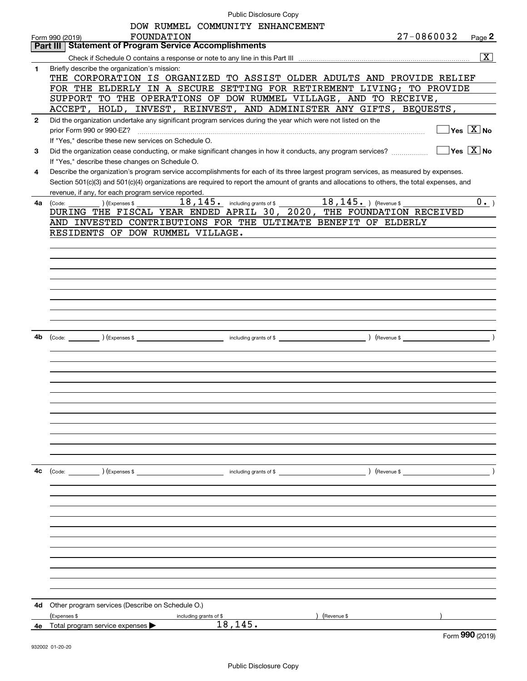| Public Disclosure Copy |  |
|------------------------|--|
|------------------------|--|

|              | Public Disclosure Copy                                                                                                                                                  |
|--------------|-------------------------------------------------------------------------------------------------------------------------------------------------------------------------|
|              | DOW RUMMEL COMMUNITY ENHANCEMENT                                                                                                                                        |
|              | 27-0860032<br>FOUNDATION<br>Page 2<br>Form 990 (2019)                                                                                                                   |
|              | <b>Statement of Program Service Accomplishments</b><br>Part III                                                                                                         |
|              | $\overline{\mathbf{x}}$                                                                                                                                                 |
| 1            | Briefly describe the organization's mission:                                                                                                                            |
|              | THE CORPORATION IS ORGANIZED TO ASSIST OLDER ADULTS AND PROVIDE RELIEF                                                                                                  |
|              | FOR THE ELDERLY IN A SECURE SETTING FOR RETIREMENT LIVING; TO PROVIDE                                                                                                   |
|              | SUPPORT TO THE OPERATIONS OF DOW RUMMEL VILLAGE, AND TO RECEIVE,                                                                                                        |
|              | ACCEPT, HOLD, INVEST, REINVEST, AND ADMINISTER ANY GIFTS, BEQUESTS,                                                                                                     |
| $\mathbf{2}$ | Did the organization undertake any significant program services during the year which were not listed on the                                                            |
|              | $\overline{\mathsf{Yes} \mathbb{X}}$ No                                                                                                                                 |
|              | If "Yes," describe these new services on Schedule O.                                                                                                                    |
| 3            | $\sqrt{}$ Yes $\sqrt{}$ X $\sqrt{}$ No<br>Did the organization cease conducting, or make significant changes in how it conducts, any program services?                  |
|              | If "Yes," describe these changes on Schedule O.                                                                                                                         |
| 4            | Describe the organization's program service accomplishments for each of its three largest program services, as measured by expenses.                                    |
|              | Section 501(c)(3) and 501(c)(4) organizations are required to report the amount of grants and allocations to others, the total expenses, and                            |
|              | revenue, if any, for each program service reported.                                                                                                                     |
| 4a           | 18, 145. including grants of \$ 18, 145. ) (Revenue \$<br>$0 \cdot$ )<br>(Code:<br>(Expenses \$<br>DURING THE FISCAL YEAR ENDED APRIL 30, 2020, THE FOUNDATION RECEIVED |
|              |                                                                                                                                                                         |
|              | AND INVESTED CONTRIBUTIONS FOR THE ULTIMATE BENEFIT OF ELDERLY                                                                                                          |
|              | RESIDENTS OF DOW RUMMEL VILLAGE.                                                                                                                                        |
|              |                                                                                                                                                                         |
|              |                                                                                                                                                                         |
|              |                                                                                                                                                                         |
|              |                                                                                                                                                                         |
|              |                                                                                                                                                                         |
|              |                                                                                                                                                                         |
|              |                                                                                                                                                                         |
|              |                                                                                                                                                                         |
|              |                                                                                                                                                                         |
| 4b           |                                                                                                                                                                         |
|              |                                                                                                                                                                         |
|              |                                                                                                                                                                         |
|              |                                                                                                                                                                         |
|              |                                                                                                                                                                         |
|              |                                                                                                                                                                         |
|              |                                                                                                                                                                         |
|              |                                                                                                                                                                         |
|              |                                                                                                                                                                         |
|              |                                                                                                                                                                         |
|              |                                                                                                                                                                         |
|              |                                                                                                                                                                         |
|              |                                                                                                                                                                         |
| 4с           |                                                                                                                                                                         |
|              |                                                                                                                                                                         |
|              |                                                                                                                                                                         |
|              |                                                                                                                                                                         |
|              |                                                                                                                                                                         |
|              |                                                                                                                                                                         |
|              |                                                                                                                                                                         |
|              |                                                                                                                                                                         |
|              |                                                                                                                                                                         |
|              |                                                                                                                                                                         |
|              |                                                                                                                                                                         |
|              |                                                                                                                                                                         |
|              |                                                                                                                                                                         |
| 4d           | Other program services (Describe on Schedule O.)                                                                                                                        |
|              | (Expenses \$<br>) (Revenue \$<br>including grants of \$                                                                                                                 |
|              | 18,145.<br>4e Total program service expenses                                                                                                                            |
|              | Form 990 (2019)                                                                                                                                                         |
|              |                                                                                                                                                                         |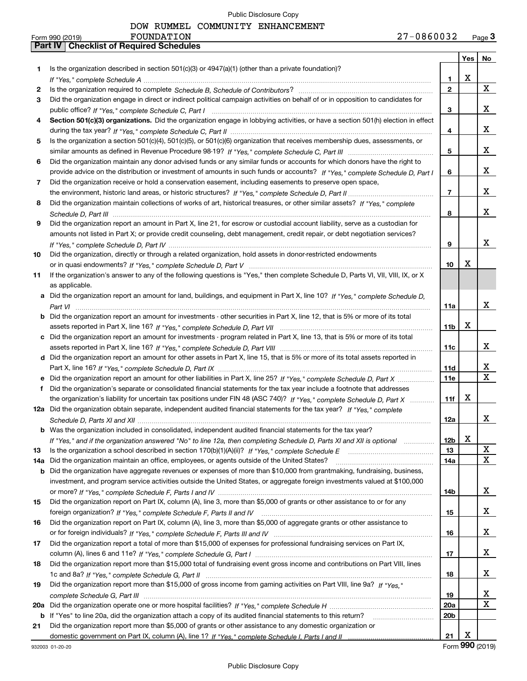|     | 27-0860032<br>FOUNDATION<br>Form 990 (2019)                                                                                                                                                                                   |                 |     | Page $3$     |
|-----|-------------------------------------------------------------------------------------------------------------------------------------------------------------------------------------------------------------------------------|-----------------|-----|--------------|
|     | <b>Part IV   Checklist of Required Schedules</b>                                                                                                                                                                              |                 |     |              |
|     |                                                                                                                                                                                                                               |                 | Yes | No           |
| 1   | Is the organization described in section $501(c)(3)$ or $4947(a)(1)$ (other than a private foundation)?                                                                                                                       |                 |     |              |
|     | If "Yes," complete Schedule A measure manufacture contract the Schedule A measure of the Schedule A measure manufacture of the Schedule A measure manufacture of the Schedule A measure manufacture of the Schedule A measure | 1.              | x   |              |
| 2   |                                                                                                                                                                                                                               | $\overline{2}$  |     | $\mathbf{X}$ |
| З   | Did the organization engage in direct or indirect political campaign activities on behalf of or in opposition to candidates for                                                                                               |                 |     |              |
|     |                                                                                                                                                                                                                               | 3               |     | x            |
|     | Section 501(c)(3) organizations. Did the organization engage in lobbying activities, or have a section 501(h) election in effect                                                                                              |                 |     |              |
| 4   |                                                                                                                                                                                                                               |                 |     | x            |
|     |                                                                                                                                                                                                                               | 4               |     |              |
| 5   | Is the organization a section 501(c)(4), 501(c)(5), or 501(c)(6) organization that receives membership dues, assessments, or                                                                                                  |                 |     |              |
|     |                                                                                                                                                                                                                               | 5               |     | x            |
| 6   | Did the organization maintain any donor advised funds or any similar funds or accounts for which donors have the right to                                                                                                     |                 |     |              |
|     | provide advice on the distribution or investment of amounts in such funds or accounts? If "Yes," complete Schedule D, Part I                                                                                                  | 6               |     | x            |
| 7   | Did the organization receive or hold a conservation easement, including easements to preserve open space,                                                                                                                     |                 |     |              |
|     |                                                                                                                                                                                                                               | $\overline{7}$  |     | x            |
| 8   | Did the organization maintain collections of works of art, historical treasures, or other similar assets? If "Yes," complete                                                                                                  |                 |     |              |
|     |                                                                                                                                                                                                                               | 8               |     | x            |
| 9   | Did the organization report an amount in Part X, line 21, for escrow or custodial account liability, serve as a custodian for                                                                                                 |                 |     |              |
|     | amounts not listed in Part X; or provide credit counseling, debt management, credit repair, or debt negotiation services?                                                                                                     |                 |     |              |
|     |                                                                                                                                                                                                                               | 9               |     | x            |
| 10  | Did the organization, directly or through a related organization, hold assets in donor-restricted endowments                                                                                                                  |                 |     |              |
|     |                                                                                                                                                                                                                               | 10              | X   |              |
| 11  | If the organization's answer to any of the following questions is "Yes," then complete Schedule D, Parts VI, VII, VIII, IX, or X                                                                                              |                 |     |              |
|     | as applicable.                                                                                                                                                                                                                |                 |     |              |
|     | a Did the organization report an amount for land, buildings, and equipment in Part X, line 10? If "Yes." complete Schedule D.                                                                                                 |                 |     |              |
|     |                                                                                                                                                                                                                               |                 |     | x            |
|     |                                                                                                                                                                                                                               | 11a             |     |              |
|     | <b>b</b> Did the organization report an amount for investments - other securities in Part X, line 12, that is 5% or more of its total                                                                                         |                 |     |              |
|     |                                                                                                                                                                                                                               | 11 <sub>b</sub> | x   |              |
|     | c Did the organization report an amount for investments - program related in Part X, line 13, that is 5% or more of its total                                                                                                 |                 |     |              |
|     |                                                                                                                                                                                                                               | 11c             |     | x            |
|     | d Did the organization report an amount for other assets in Part X, line 15, that is 5% or more of its total assets reported in                                                                                               |                 |     |              |
|     |                                                                                                                                                                                                                               | 11d             |     | x            |
|     |                                                                                                                                                                                                                               | <b>11e</b>      |     | $\mathbf{X}$ |
| f   | Did the organization's separate or consolidated financial statements for the tax year include a footnote that addresses                                                                                                       |                 |     |              |
|     | the organization's liability for uncertain tax positions under FIN 48 (ASC 740)? If "Yes," complete Schedule D, Part X                                                                                                        | 11f             | х   |              |
|     | 12a Did the organization obtain separate, independent audited financial statements for the tax year? If "Yes." complete                                                                                                       |                 |     |              |
|     |                                                                                                                                                                                                                               | 12a             |     | ∡⊾           |
|     | <b>b</b> Was the organization included in consolidated, independent audited financial statements for the tax year?                                                                                                            |                 |     |              |
|     | If "Yes," and if the organization answered "No" to line 12a, then completing Schedule D, Parts XI and XII is optional                                                                                                         | 12b             | х   |              |
| 13  |                                                                                                                                                                                                                               | 13              |     | X            |
| 14a | Did the organization maintain an office, employees, or agents outside of the United States?                                                                                                                                   | 14a             |     | X            |
| b   | Did the organization have aggregate revenues or expenses of more than \$10,000 from grantmaking, fundraising, business,                                                                                                       |                 |     |              |
|     | investment, and program service activities outside the United States, or aggregate foreign investments valued at \$100,000                                                                                                    |                 |     |              |
|     |                                                                                                                                                                                                                               | 14b             |     | X            |
|     | Did the organization report on Part IX, column (A), line 3, more than \$5,000 of grants or other assistance to or for any                                                                                                     |                 |     |              |
| 15  |                                                                                                                                                                                                                               |                 |     |              |
|     |                                                                                                                                                                                                                               | 15              |     | x            |
| 16  | Did the organization report on Part IX, column (A), line 3, more than \$5,000 of aggregate grants or other assistance to                                                                                                      |                 |     |              |
|     |                                                                                                                                                                                                                               | 16              |     | x            |
| 17  | Did the organization report a total of more than \$15,000 of expenses for professional fundraising services on Part IX,                                                                                                       |                 |     |              |
|     |                                                                                                                                                                                                                               | 17              |     | x            |
| 18  | Did the organization report more than \$15,000 total of fundraising event gross income and contributions on Part VIII, lines                                                                                                  |                 |     |              |
|     |                                                                                                                                                                                                                               | 18              |     | x            |
| 19  | Did the organization report more than \$15,000 of gross income from gaming activities on Part VIII, line 9a? If "Yes."                                                                                                        |                 |     |              |
|     |                                                                                                                                                                                                                               | 19              |     | x            |
| 20a |                                                                                                                                                                                                                               | 20a             |     | X            |
| b   | If "Yes" to line 20a, did the organization attach a copy of its audited financial statements to this return?                                                                                                                  | 20 <sub>b</sub> |     |              |
| 21  | Did the organization report more than \$5,000 of grants or other assistance to any domestic organization or                                                                                                                   |                 |     |              |
|     |                                                                                                                                                                                                                               | 21              | x   |              |
|     |                                                                                                                                                                                                                               |                 | റററ |              |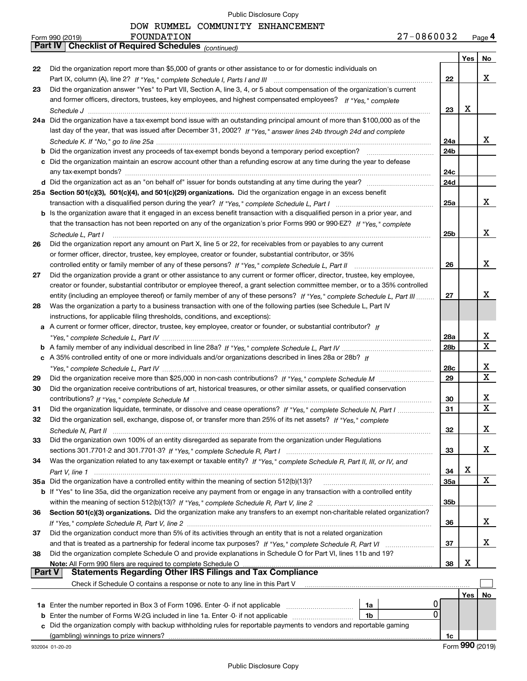DOW RUMMEL COMMUNITY ENHANCEMENT

|               | FOUNDATION<br>Form 990 (2019)                                                                                                | 27-0860032 |                 | Page 4      |
|---------------|------------------------------------------------------------------------------------------------------------------------------|------------|-----------------|-------------|
|               | Part IV   Checklist of Required Schedules (continued)                                                                        |            |                 |             |
|               |                                                                                                                              |            | Yes             | No          |
| 22            | Did the organization report more than \$5,000 of grants or other assistance to or for domestic individuals on                |            |                 |             |
|               |                                                                                                                              | 22         |                 | x           |
| 23            | Did the organization answer "Yes" to Part VII, Section A, line 3, 4, or 5 about compensation of the organization's current   |            |                 |             |
|               | and former officers, directors, trustees, key employees, and highest compensated employees? If "Yes," complete               |            |                 |             |
|               |                                                                                                                              | 23         | х               |             |
|               | 24a Did the organization have a tax-exempt bond issue with an outstanding principal amount of more than \$100,000 as of the  |            |                 |             |
|               | last day of the year, that was issued after December 31, 2002? If "Yes," answer lines 24b through 24d and complete           |            |                 |             |
|               |                                                                                                                              | 24a        |                 | x           |
|               |                                                                                                                              | 24b        |                 |             |
|               | c Did the organization maintain an escrow account other than a refunding escrow at any time during the year to defease       |            |                 |             |
|               |                                                                                                                              | 24c        |                 |             |
|               |                                                                                                                              | 24d        |                 |             |
|               | 25a Section 501(c)(3), 501(c)(4), and 501(c)(29) organizations. Did the organization engage in an excess benefit             |            |                 |             |
|               |                                                                                                                              | 25a        |                 | x           |
|               | b Is the organization aware that it engaged in an excess benefit transaction with a disqualified person in a prior year, and |            |                 |             |
|               | that the transaction has not been reported on any of the organization's prior Forms 990 or 990-EZ? If "Yes," complete        |            |                 |             |
|               |                                                                                                                              | 25b        |                 | x           |
|               | Schedule L. Part I                                                                                                           |            |                 |             |
| 26            | Did the organization report any amount on Part X, line 5 or 22, for receivables from or payables to any current              |            |                 |             |
|               | or former officer, director, trustee, key employee, creator or founder, substantial contributor, or 35%                      |            |                 |             |
|               |                                                                                                                              | 26         |                 | x           |
| 27            | Did the organization provide a grant or other assistance to any current or former officer, director, trustee, key employee,  |            |                 |             |
|               | creator or founder, substantial contributor or employee thereof, a grant selection committee member, or to a 35% controlled  |            |                 |             |
|               | entity (including an employee thereof) or family member of any of these persons? If "Yes," complete Schedule L, Part III     | 27         |                 | x           |
| 28            | Was the organization a party to a business transaction with one of the following parties (see Schedule L, Part IV            |            |                 |             |
|               | instructions, for applicable filing thresholds, conditions, and exceptions):                                                 |            |                 |             |
|               | a A current or former officer, director, trustee, key employee, creator or founder, or substantial contributor? If           |            |                 |             |
|               |                                                                                                                              | 28a        |                 | x           |
|               |                                                                                                                              | 28b        |                 | $\mathbf X$ |
|               | c A 35% controlled entity of one or more individuals and/or organizations described in lines 28a or 28b? If                  |            |                 |             |
|               |                                                                                                                              | 28c        |                 | Х           |
| 29            |                                                                                                                              | 29         |                 | х           |
| 30            | Did the organization receive contributions of art, historical treasures, or other similar assets, or qualified conservation  |            |                 |             |
|               |                                                                                                                              | 30         |                 | x           |
| 31            | Did the organization liquidate, terminate, or dissolve and cease operations? If "Yes," complete Schedule N, Part I           | 31         |                 | $\mathbf X$ |
|               | Did the organization sell, exchange, dispose of, or transfer more than 25% of its net assets? If "Yes," complete             |            |                 |             |
|               |                                                                                                                              | 32         |                 | x           |
| 33            | Did the organization own 100% of an entity disregarded as separate from the organization under Regulations                   |            |                 |             |
|               |                                                                                                                              | 33         |                 | x           |
| 34            | Was the organization related to any tax-exempt or taxable entity? If "Yes," complete Schedule R, Part II, III, or IV, and    |            |                 |             |
|               |                                                                                                                              | 34         | х               |             |
|               | 35a Did the organization have a controlled entity within the meaning of section 512(b)(13)?                                  | <b>35a</b> |                 | X           |
|               | b If "Yes" to line 35a, did the organization receive any payment from or engage in any transaction with a controlled entity  |            |                 |             |
|               |                                                                                                                              | 35b        |                 |             |
| 36            | Section 501(c)(3) organizations. Did the organization make any transfers to an exempt non-charitable related organization?   |            |                 |             |
|               |                                                                                                                              | 36         |                 | x           |
| 37            | Did the organization conduct more than 5% of its activities through an entity that is not a related organization             |            |                 |             |
|               |                                                                                                                              | 37         |                 | x           |
| 38            | Did the organization complete Schedule O and provide explanations in Schedule O for Part VI, lines 11b and 19?               |            |                 |             |
|               | Note: All Form 990 filers are required to complete Schedule O                                                                | 38         | х               |             |
| <b>Part V</b> | <b>Statements Regarding Other IRS Filings and Tax Compliance</b>                                                             |            |                 |             |
|               | Check if Schedule O contains a response or note to any line in this Part V                                                   |            |                 |             |
|               |                                                                                                                              |            | Yes             | No          |
|               | 1a                                                                                                                           | Ü          |                 |             |
| b             | Enter the number of Forms W-2G included in line 1a. Enter -0- if not applicable<br>1b                                        | 0          |                 |             |
|               | c Did the organization comply with backup withholding rules for reportable payments to vendors and reportable gaming         |            |                 |             |
|               |                                                                                                                              | 1c         |                 |             |
|               | 932004 01-20-20                                                                                                              |            | Form 990 (2019) |             |
|               |                                                                                                                              |            |                 |             |

Public Disclosure Copy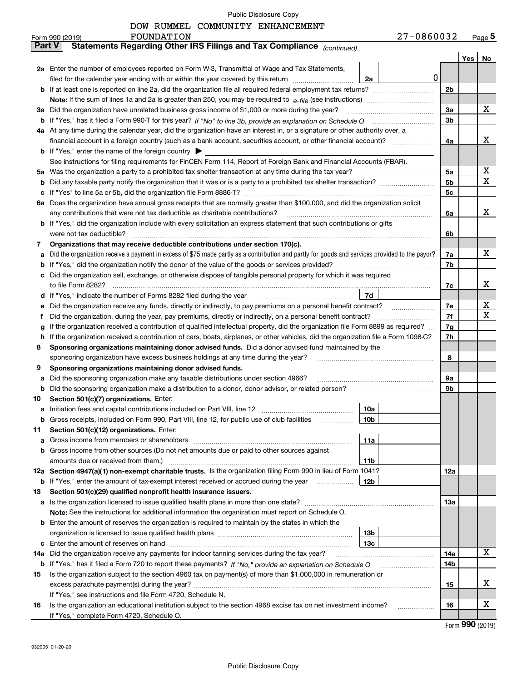DOW RUMMEL COMMUNITY ENHANCEMENT

| <b>Part V</b><br>Yes<br>No<br>2a Enter the number of employees reported on Form W-3, Transmittal of Wage and Tax Statements,<br>$\mathbf 0$<br>filed for the calendar year ending with or within the year covered by this return<br>2a<br>2 <sub>b</sub><br>x<br>3a<br>Did the organization have unrelated business gross income of \$1,000 or more during the year?<br>За<br>3 <sub>b</sub><br>b<br>4a At any time during the calendar year, did the organization have an interest in, or a signature or other authority over, a<br>x<br>financial account in a foreign country (such as a bank account, securities account, or other financial account)?<br>4a<br><b>b</b> If "Yes," enter the name of the foreign country $\blacktriangleright$<br>See instructions for filing requirements for FinCEN Form 114, Report of Foreign Bank and Financial Accounts (FBAR).<br>х<br>Was the organization a party to a prohibited tax shelter transaction at any time during the tax year?<br>5a<br>5a<br>X<br>5 <sub>b</sub><br>b<br>5c<br>с<br>Does the organization have annual gross receipts that are normally greater than \$100,000, and did the organization solicit<br>6а<br>x<br>any contributions that were not tax deductible as charitable contributions?<br>6a<br>If "Yes," did the organization include with every solicitation an express statement that such contributions or gifts<br>b<br>were not tax deductible?<br>6b<br>Organizations that may receive deductible contributions under section 170(c).<br>7<br>x<br>Did the organization receive a payment in excess of \$75 made partly as a contribution and partly for goods and services provided to the payor?<br>7a<br>а<br>7b<br>If "Yes," did the organization notify the donor of the value of the goods or services provided?<br>b<br>Did the organization sell, exchange, or otherwise dispose of tangible personal property for which it was required<br>c<br>x<br>7c<br>7d<br>If "Yes," indicate the number of Forms 8282 filed during the year [11,111] [11] The Wes," indicate the number of Forms 8282 filed during the year<br>d<br>х<br>Did the organization receive any funds, directly or indirectly, to pay premiums on a personal benefit contract?<br>7е<br>е<br>X<br>7f<br>Did the organization, during the year, pay premiums, directly or indirectly, on a personal benefit contract?<br>Ť<br>If the organization received a contribution of qualified intellectual property, did the organization file Form 8899 as required?<br>7g<br>g<br>7h<br>If the organization received a contribution of cars, boats, airplanes, or other vehicles, did the organization file a Form 1098-C?<br>h<br>Sponsoring organizations maintaining donor advised funds. Did a donor advised fund maintained by the<br>8<br>8<br>sponsoring organization have excess business holdings at any time during the year?<br>Sponsoring organizations maintaining donor advised funds.<br>9<br>Did the sponsoring organization make any taxable distributions under section 4966?<br>9а<br>а<br>9b<br>Did the sponsoring organization make a distribution to a donor, donor advisor, or related person?<br>b<br>Section 501(c)(7) organizations. Enter:<br>10<br>10a<br>а<br>Gross receipts, included on Form 990, Part VIII, line 12, for public use of club facilities<br>10 <sub>b</sub><br>b<br>Section 501(c)(12) organizations. Enter:<br>11<br>11a<br>а<br>Gross income from other sources (Do not net amounts due or paid to other sources against<br>b<br>amounts due or received from them.)<br>11b<br>12a Section 4947(a)(1) non-exempt charitable trusts. Is the organization filing Form 990 in lieu of Form 1041?<br>12a<br><b>12b</b><br>If "Yes," enter the amount of tax-exempt interest received or accrued during the year<br>b<br>Section 501(c)(29) qualified nonprofit health insurance issuers.<br>13<br>13а<br>Is the organization licensed to issue qualified health plans in more than one state?<br>а<br>Note: See the instructions for additional information the organization must report on Schedule O.<br>Enter the amount of reserves the organization is required to maintain by the states in which the<br>b<br>13 <sub>b</sub><br>13 <sub>c</sub><br>c<br>X<br>Did the organization receive any payments for indoor tanning services during the tax year?<br>14a<br>14a<br>14b<br>If "Yes," has it filed a Form 720 to report these payments? If "No," provide an explanation on Schedule O<br>b<br>Is the organization subject to the section 4960 tax on payment(s) of more than \$1,000,000 in remuneration or<br>15<br>х<br>15<br>If "Yes," see instructions and file Form 4720, Schedule N.<br>х<br>Is the organization an educational institution subject to the section 4968 excise tax on net investment income?<br>16<br>16<br>If "Yes," complete Form 4720, Schedule O. | 27-0860032<br>FOUNDATION<br>Form 990 (2019)                           |  | Page $5$ |
|--------------------------------------------------------------------------------------------------------------------------------------------------------------------------------------------------------------------------------------------------------------------------------------------------------------------------------------------------------------------------------------------------------------------------------------------------------------------------------------------------------------------------------------------------------------------------------------------------------------------------------------------------------------------------------------------------------------------------------------------------------------------------------------------------------------------------------------------------------------------------------------------------------------------------------------------------------------------------------------------------------------------------------------------------------------------------------------------------------------------------------------------------------------------------------------------------------------------------------------------------------------------------------------------------------------------------------------------------------------------------------------------------------------------------------------------------------------------------------------------------------------------------------------------------------------------------------------------------------------------------------------------------------------------------------------------------------------------------------------------------------------------------------------------------------------------------------------------------------------------------------------------------------------------------------------------------------------------------------------------------------------------------------------------------------------------------------------------------------------------------------------------------------------------------------------------------------------------------------------------------------------------------------------------------------------------------------------------------------------------------------------------------------------------------------------------------------------------------------------------------------------------------------------------------------------------------------------------------------------------------------------------------------------------------------------------------------------------------------------------------------------------------------------------------------------------------------------------------------------------------------------------------------------------------------------------------------------------------------------------------------------------------------------------------------------------------------------------------------------------------------------------------------------------------------------------------------------------------------------------------------------------------------------------------------------------------------------------------------------------------------------------------------------------------------------------------------------------------------------------------------------------------------------------------------------------------------------------------------------------------------------------------------------------------------------------------------------------------------------------------------------------------------------------------------------------------------------------------------------------------------------------------------------------------------------------------------------------------------------------------------------------------------------------------------------------------------------------------------------------------------------------------------------------------------------------------------------------------------------------------------------------------------------------------------------------------------------------------------------------------------------------------------------------------------------------------------------------------------------------------------------------------------------------------------------------------------------------------------------------------------------------------------------------------------------------------------------------------------------------------------------------------------------------------------------------------------------------------------------------------------------------|-----------------------------------------------------------------------|--|----------|
|                                                                                                                                                                                                                                                                                                                                                                                                                                                                                                                                                                                                                                                                                                                                                                                                                                                                                                                                                                                                                                                                                                                                                                                                                                                                                                                                                                                                                                                                                                                                                                                                                                                                                                                                                                                                                                                                                                                                                                                                                                                                                                                                                                                                                                                                                                                                                                                                                                                                                                                                                                                                                                                                                                                                                                                                                                                                                                                                                                                                                                                                                                                                                                                                                                                                                                                                                                                                                                                                                                                                                                                                                                                                                                                                                                                                                                                                                                                                                                                                                                                                                                                                                                                                                                                                                                                                                                                                                                                                                                                                                                                                                                                                                                                                                                                                                                                                                            | Statements Regarding Other IRS Filings and Tax Compliance (continued) |  |          |
|                                                                                                                                                                                                                                                                                                                                                                                                                                                                                                                                                                                                                                                                                                                                                                                                                                                                                                                                                                                                                                                                                                                                                                                                                                                                                                                                                                                                                                                                                                                                                                                                                                                                                                                                                                                                                                                                                                                                                                                                                                                                                                                                                                                                                                                                                                                                                                                                                                                                                                                                                                                                                                                                                                                                                                                                                                                                                                                                                                                                                                                                                                                                                                                                                                                                                                                                                                                                                                                                                                                                                                                                                                                                                                                                                                                                                                                                                                                                                                                                                                                                                                                                                                                                                                                                                                                                                                                                                                                                                                                                                                                                                                                                                                                                                                                                                                                                                            |                                                                       |  |          |
|                                                                                                                                                                                                                                                                                                                                                                                                                                                                                                                                                                                                                                                                                                                                                                                                                                                                                                                                                                                                                                                                                                                                                                                                                                                                                                                                                                                                                                                                                                                                                                                                                                                                                                                                                                                                                                                                                                                                                                                                                                                                                                                                                                                                                                                                                                                                                                                                                                                                                                                                                                                                                                                                                                                                                                                                                                                                                                                                                                                                                                                                                                                                                                                                                                                                                                                                                                                                                                                                                                                                                                                                                                                                                                                                                                                                                                                                                                                                                                                                                                                                                                                                                                                                                                                                                                                                                                                                                                                                                                                                                                                                                                                                                                                                                                                                                                                                                            |                                                                       |  |          |
|                                                                                                                                                                                                                                                                                                                                                                                                                                                                                                                                                                                                                                                                                                                                                                                                                                                                                                                                                                                                                                                                                                                                                                                                                                                                                                                                                                                                                                                                                                                                                                                                                                                                                                                                                                                                                                                                                                                                                                                                                                                                                                                                                                                                                                                                                                                                                                                                                                                                                                                                                                                                                                                                                                                                                                                                                                                                                                                                                                                                                                                                                                                                                                                                                                                                                                                                                                                                                                                                                                                                                                                                                                                                                                                                                                                                                                                                                                                                                                                                                                                                                                                                                                                                                                                                                                                                                                                                                                                                                                                                                                                                                                                                                                                                                                                                                                                                                            |                                                                       |  |          |
|                                                                                                                                                                                                                                                                                                                                                                                                                                                                                                                                                                                                                                                                                                                                                                                                                                                                                                                                                                                                                                                                                                                                                                                                                                                                                                                                                                                                                                                                                                                                                                                                                                                                                                                                                                                                                                                                                                                                                                                                                                                                                                                                                                                                                                                                                                                                                                                                                                                                                                                                                                                                                                                                                                                                                                                                                                                                                                                                                                                                                                                                                                                                                                                                                                                                                                                                                                                                                                                                                                                                                                                                                                                                                                                                                                                                                                                                                                                                                                                                                                                                                                                                                                                                                                                                                                                                                                                                                                                                                                                                                                                                                                                                                                                                                                                                                                                                                            |                                                                       |  |          |
|                                                                                                                                                                                                                                                                                                                                                                                                                                                                                                                                                                                                                                                                                                                                                                                                                                                                                                                                                                                                                                                                                                                                                                                                                                                                                                                                                                                                                                                                                                                                                                                                                                                                                                                                                                                                                                                                                                                                                                                                                                                                                                                                                                                                                                                                                                                                                                                                                                                                                                                                                                                                                                                                                                                                                                                                                                                                                                                                                                                                                                                                                                                                                                                                                                                                                                                                                                                                                                                                                                                                                                                                                                                                                                                                                                                                                                                                                                                                                                                                                                                                                                                                                                                                                                                                                                                                                                                                                                                                                                                                                                                                                                                                                                                                                                                                                                                                                            |                                                                       |  |          |
|                                                                                                                                                                                                                                                                                                                                                                                                                                                                                                                                                                                                                                                                                                                                                                                                                                                                                                                                                                                                                                                                                                                                                                                                                                                                                                                                                                                                                                                                                                                                                                                                                                                                                                                                                                                                                                                                                                                                                                                                                                                                                                                                                                                                                                                                                                                                                                                                                                                                                                                                                                                                                                                                                                                                                                                                                                                                                                                                                                                                                                                                                                                                                                                                                                                                                                                                                                                                                                                                                                                                                                                                                                                                                                                                                                                                                                                                                                                                                                                                                                                                                                                                                                                                                                                                                                                                                                                                                                                                                                                                                                                                                                                                                                                                                                                                                                                                                            |                                                                       |  |          |
|                                                                                                                                                                                                                                                                                                                                                                                                                                                                                                                                                                                                                                                                                                                                                                                                                                                                                                                                                                                                                                                                                                                                                                                                                                                                                                                                                                                                                                                                                                                                                                                                                                                                                                                                                                                                                                                                                                                                                                                                                                                                                                                                                                                                                                                                                                                                                                                                                                                                                                                                                                                                                                                                                                                                                                                                                                                                                                                                                                                                                                                                                                                                                                                                                                                                                                                                                                                                                                                                                                                                                                                                                                                                                                                                                                                                                                                                                                                                                                                                                                                                                                                                                                                                                                                                                                                                                                                                                                                                                                                                                                                                                                                                                                                                                                                                                                                                                            |                                                                       |  |          |
|                                                                                                                                                                                                                                                                                                                                                                                                                                                                                                                                                                                                                                                                                                                                                                                                                                                                                                                                                                                                                                                                                                                                                                                                                                                                                                                                                                                                                                                                                                                                                                                                                                                                                                                                                                                                                                                                                                                                                                                                                                                                                                                                                                                                                                                                                                                                                                                                                                                                                                                                                                                                                                                                                                                                                                                                                                                                                                                                                                                                                                                                                                                                                                                                                                                                                                                                                                                                                                                                                                                                                                                                                                                                                                                                                                                                                                                                                                                                                                                                                                                                                                                                                                                                                                                                                                                                                                                                                                                                                                                                                                                                                                                                                                                                                                                                                                                                                            |                                                                       |  |          |
|                                                                                                                                                                                                                                                                                                                                                                                                                                                                                                                                                                                                                                                                                                                                                                                                                                                                                                                                                                                                                                                                                                                                                                                                                                                                                                                                                                                                                                                                                                                                                                                                                                                                                                                                                                                                                                                                                                                                                                                                                                                                                                                                                                                                                                                                                                                                                                                                                                                                                                                                                                                                                                                                                                                                                                                                                                                                                                                                                                                                                                                                                                                                                                                                                                                                                                                                                                                                                                                                                                                                                                                                                                                                                                                                                                                                                                                                                                                                                                                                                                                                                                                                                                                                                                                                                                                                                                                                                                                                                                                                                                                                                                                                                                                                                                                                                                                                                            |                                                                       |  |          |
|                                                                                                                                                                                                                                                                                                                                                                                                                                                                                                                                                                                                                                                                                                                                                                                                                                                                                                                                                                                                                                                                                                                                                                                                                                                                                                                                                                                                                                                                                                                                                                                                                                                                                                                                                                                                                                                                                                                                                                                                                                                                                                                                                                                                                                                                                                                                                                                                                                                                                                                                                                                                                                                                                                                                                                                                                                                                                                                                                                                                                                                                                                                                                                                                                                                                                                                                                                                                                                                                                                                                                                                                                                                                                                                                                                                                                                                                                                                                                                                                                                                                                                                                                                                                                                                                                                                                                                                                                                                                                                                                                                                                                                                                                                                                                                                                                                                                                            |                                                                       |  |          |
|                                                                                                                                                                                                                                                                                                                                                                                                                                                                                                                                                                                                                                                                                                                                                                                                                                                                                                                                                                                                                                                                                                                                                                                                                                                                                                                                                                                                                                                                                                                                                                                                                                                                                                                                                                                                                                                                                                                                                                                                                                                                                                                                                                                                                                                                                                                                                                                                                                                                                                                                                                                                                                                                                                                                                                                                                                                                                                                                                                                                                                                                                                                                                                                                                                                                                                                                                                                                                                                                                                                                                                                                                                                                                                                                                                                                                                                                                                                                                                                                                                                                                                                                                                                                                                                                                                                                                                                                                                                                                                                                                                                                                                                                                                                                                                                                                                                                                            |                                                                       |  |          |
|                                                                                                                                                                                                                                                                                                                                                                                                                                                                                                                                                                                                                                                                                                                                                                                                                                                                                                                                                                                                                                                                                                                                                                                                                                                                                                                                                                                                                                                                                                                                                                                                                                                                                                                                                                                                                                                                                                                                                                                                                                                                                                                                                                                                                                                                                                                                                                                                                                                                                                                                                                                                                                                                                                                                                                                                                                                                                                                                                                                                                                                                                                                                                                                                                                                                                                                                                                                                                                                                                                                                                                                                                                                                                                                                                                                                                                                                                                                                                                                                                                                                                                                                                                                                                                                                                                                                                                                                                                                                                                                                                                                                                                                                                                                                                                                                                                                                                            |                                                                       |  |          |
|                                                                                                                                                                                                                                                                                                                                                                                                                                                                                                                                                                                                                                                                                                                                                                                                                                                                                                                                                                                                                                                                                                                                                                                                                                                                                                                                                                                                                                                                                                                                                                                                                                                                                                                                                                                                                                                                                                                                                                                                                                                                                                                                                                                                                                                                                                                                                                                                                                                                                                                                                                                                                                                                                                                                                                                                                                                                                                                                                                                                                                                                                                                                                                                                                                                                                                                                                                                                                                                                                                                                                                                                                                                                                                                                                                                                                                                                                                                                                                                                                                                                                                                                                                                                                                                                                                                                                                                                                                                                                                                                                                                                                                                                                                                                                                                                                                                                                            |                                                                       |  |          |
|                                                                                                                                                                                                                                                                                                                                                                                                                                                                                                                                                                                                                                                                                                                                                                                                                                                                                                                                                                                                                                                                                                                                                                                                                                                                                                                                                                                                                                                                                                                                                                                                                                                                                                                                                                                                                                                                                                                                                                                                                                                                                                                                                                                                                                                                                                                                                                                                                                                                                                                                                                                                                                                                                                                                                                                                                                                                                                                                                                                                                                                                                                                                                                                                                                                                                                                                                                                                                                                                                                                                                                                                                                                                                                                                                                                                                                                                                                                                                                                                                                                                                                                                                                                                                                                                                                                                                                                                                                                                                                                                                                                                                                                                                                                                                                                                                                                                                            |                                                                       |  |          |
|                                                                                                                                                                                                                                                                                                                                                                                                                                                                                                                                                                                                                                                                                                                                                                                                                                                                                                                                                                                                                                                                                                                                                                                                                                                                                                                                                                                                                                                                                                                                                                                                                                                                                                                                                                                                                                                                                                                                                                                                                                                                                                                                                                                                                                                                                                                                                                                                                                                                                                                                                                                                                                                                                                                                                                                                                                                                                                                                                                                                                                                                                                                                                                                                                                                                                                                                                                                                                                                                                                                                                                                                                                                                                                                                                                                                                                                                                                                                                                                                                                                                                                                                                                                                                                                                                                                                                                                                                                                                                                                                                                                                                                                                                                                                                                                                                                                                                            |                                                                       |  |          |
|                                                                                                                                                                                                                                                                                                                                                                                                                                                                                                                                                                                                                                                                                                                                                                                                                                                                                                                                                                                                                                                                                                                                                                                                                                                                                                                                                                                                                                                                                                                                                                                                                                                                                                                                                                                                                                                                                                                                                                                                                                                                                                                                                                                                                                                                                                                                                                                                                                                                                                                                                                                                                                                                                                                                                                                                                                                                                                                                                                                                                                                                                                                                                                                                                                                                                                                                                                                                                                                                                                                                                                                                                                                                                                                                                                                                                                                                                                                                                                                                                                                                                                                                                                                                                                                                                                                                                                                                                                                                                                                                                                                                                                                                                                                                                                                                                                                                                            |                                                                       |  |          |
|                                                                                                                                                                                                                                                                                                                                                                                                                                                                                                                                                                                                                                                                                                                                                                                                                                                                                                                                                                                                                                                                                                                                                                                                                                                                                                                                                                                                                                                                                                                                                                                                                                                                                                                                                                                                                                                                                                                                                                                                                                                                                                                                                                                                                                                                                                                                                                                                                                                                                                                                                                                                                                                                                                                                                                                                                                                                                                                                                                                                                                                                                                                                                                                                                                                                                                                                                                                                                                                                                                                                                                                                                                                                                                                                                                                                                                                                                                                                                                                                                                                                                                                                                                                                                                                                                                                                                                                                                                                                                                                                                                                                                                                                                                                                                                                                                                                                                            |                                                                       |  |          |
|                                                                                                                                                                                                                                                                                                                                                                                                                                                                                                                                                                                                                                                                                                                                                                                                                                                                                                                                                                                                                                                                                                                                                                                                                                                                                                                                                                                                                                                                                                                                                                                                                                                                                                                                                                                                                                                                                                                                                                                                                                                                                                                                                                                                                                                                                                                                                                                                                                                                                                                                                                                                                                                                                                                                                                                                                                                                                                                                                                                                                                                                                                                                                                                                                                                                                                                                                                                                                                                                                                                                                                                                                                                                                                                                                                                                                                                                                                                                                                                                                                                                                                                                                                                                                                                                                                                                                                                                                                                                                                                                                                                                                                                                                                                                                                                                                                                                                            |                                                                       |  |          |
|                                                                                                                                                                                                                                                                                                                                                                                                                                                                                                                                                                                                                                                                                                                                                                                                                                                                                                                                                                                                                                                                                                                                                                                                                                                                                                                                                                                                                                                                                                                                                                                                                                                                                                                                                                                                                                                                                                                                                                                                                                                                                                                                                                                                                                                                                                                                                                                                                                                                                                                                                                                                                                                                                                                                                                                                                                                                                                                                                                                                                                                                                                                                                                                                                                                                                                                                                                                                                                                                                                                                                                                                                                                                                                                                                                                                                                                                                                                                                                                                                                                                                                                                                                                                                                                                                                                                                                                                                                                                                                                                                                                                                                                                                                                                                                                                                                                                                            |                                                                       |  |          |
|                                                                                                                                                                                                                                                                                                                                                                                                                                                                                                                                                                                                                                                                                                                                                                                                                                                                                                                                                                                                                                                                                                                                                                                                                                                                                                                                                                                                                                                                                                                                                                                                                                                                                                                                                                                                                                                                                                                                                                                                                                                                                                                                                                                                                                                                                                                                                                                                                                                                                                                                                                                                                                                                                                                                                                                                                                                                                                                                                                                                                                                                                                                                                                                                                                                                                                                                                                                                                                                                                                                                                                                                                                                                                                                                                                                                                                                                                                                                                                                                                                                                                                                                                                                                                                                                                                                                                                                                                                                                                                                                                                                                                                                                                                                                                                                                                                                                                            |                                                                       |  |          |
|                                                                                                                                                                                                                                                                                                                                                                                                                                                                                                                                                                                                                                                                                                                                                                                                                                                                                                                                                                                                                                                                                                                                                                                                                                                                                                                                                                                                                                                                                                                                                                                                                                                                                                                                                                                                                                                                                                                                                                                                                                                                                                                                                                                                                                                                                                                                                                                                                                                                                                                                                                                                                                                                                                                                                                                                                                                                                                                                                                                                                                                                                                                                                                                                                                                                                                                                                                                                                                                                                                                                                                                                                                                                                                                                                                                                                                                                                                                                                                                                                                                                                                                                                                                                                                                                                                                                                                                                                                                                                                                                                                                                                                                                                                                                                                                                                                                                                            |                                                                       |  |          |
|                                                                                                                                                                                                                                                                                                                                                                                                                                                                                                                                                                                                                                                                                                                                                                                                                                                                                                                                                                                                                                                                                                                                                                                                                                                                                                                                                                                                                                                                                                                                                                                                                                                                                                                                                                                                                                                                                                                                                                                                                                                                                                                                                                                                                                                                                                                                                                                                                                                                                                                                                                                                                                                                                                                                                                                                                                                                                                                                                                                                                                                                                                                                                                                                                                                                                                                                                                                                                                                                                                                                                                                                                                                                                                                                                                                                                                                                                                                                                                                                                                                                                                                                                                                                                                                                                                                                                                                                                                                                                                                                                                                                                                                                                                                                                                                                                                                                                            |                                                                       |  |          |
|                                                                                                                                                                                                                                                                                                                                                                                                                                                                                                                                                                                                                                                                                                                                                                                                                                                                                                                                                                                                                                                                                                                                                                                                                                                                                                                                                                                                                                                                                                                                                                                                                                                                                                                                                                                                                                                                                                                                                                                                                                                                                                                                                                                                                                                                                                                                                                                                                                                                                                                                                                                                                                                                                                                                                                                                                                                                                                                                                                                                                                                                                                                                                                                                                                                                                                                                                                                                                                                                                                                                                                                                                                                                                                                                                                                                                                                                                                                                                                                                                                                                                                                                                                                                                                                                                                                                                                                                                                                                                                                                                                                                                                                                                                                                                                                                                                                                                            |                                                                       |  |          |
|                                                                                                                                                                                                                                                                                                                                                                                                                                                                                                                                                                                                                                                                                                                                                                                                                                                                                                                                                                                                                                                                                                                                                                                                                                                                                                                                                                                                                                                                                                                                                                                                                                                                                                                                                                                                                                                                                                                                                                                                                                                                                                                                                                                                                                                                                                                                                                                                                                                                                                                                                                                                                                                                                                                                                                                                                                                                                                                                                                                                                                                                                                                                                                                                                                                                                                                                                                                                                                                                                                                                                                                                                                                                                                                                                                                                                                                                                                                                                                                                                                                                                                                                                                                                                                                                                                                                                                                                                                                                                                                                                                                                                                                                                                                                                                                                                                                                                            |                                                                       |  |          |
|                                                                                                                                                                                                                                                                                                                                                                                                                                                                                                                                                                                                                                                                                                                                                                                                                                                                                                                                                                                                                                                                                                                                                                                                                                                                                                                                                                                                                                                                                                                                                                                                                                                                                                                                                                                                                                                                                                                                                                                                                                                                                                                                                                                                                                                                                                                                                                                                                                                                                                                                                                                                                                                                                                                                                                                                                                                                                                                                                                                                                                                                                                                                                                                                                                                                                                                                                                                                                                                                                                                                                                                                                                                                                                                                                                                                                                                                                                                                                                                                                                                                                                                                                                                                                                                                                                                                                                                                                                                                                                                                                                                                                                                                                                                                                                                                                                                                                            |                                                                       |  |          |
|                                                                                                                                                                                                                                                                                                                                                                                                                                                                                                                                                                                                                                                                                                                                                                                                                                                                                                                                                                                                                                                                                                                                                                                                                                                                                                                                                                                                                                                                                                                                                                                                                                                                                                                                                                                                                                                                                                                                                                                                                                                                                                                                                                                                                                                                                                                                                                                                                                                                                                                                                                                                                                                                                                                                                                                                                                                                                                                                                                                                                                                                                                                                                                                                                                                                                                                                                                                                                                                                                                                                                                                                                                                                                                                                                                                                                                                                                                                                                                                                                                                                                                                                                                                                                                                                                                                                                                                                                                                                                                                                                                                                                                                                                                                                                                                                                                                                                            |                                                                       |  |          |
|                                                                                                                                                                                                                                                                                                                                                                                                                                                                                                                                                                                                                                                                                                                                                                                                                                                                                                                                                                                                                                                                                                                                                                                                                                                                                                                                                                                                                                                                                                                                                                                                                                                                                                                                                                                                                                                                                                                                                                                                                                                                                                                                                                                                                                                                                                                                                                                                                                                                                                                                                                                                                                                                                                                                                                                                                                                                                                                                                                                                                                                                                                                                                                                                                                                                                                                                                                                                                                                                                                                                                                                                                                                                                                                                                                                                                                                                                                                                                                                                                                                                                                                                                                                                                                                                                                                                                                                                                                                                                                                                                                                                                                                                                                                                                                                                                                                                                            |                                                                       |  |          |
|                                                                                                                                                                                                                                                                                                                                                                                                                                                                                                                                                                                                                                                                                                                                                                                                                                                                                                                                                                                                                                                                                                                                                                                                                                                                                                                                                                                                                                                                                                                                                                                                                                                                                                                                                                                                                                                                                                                                                                                                                                                                                                                                                                                                                                                                                                                                                                                                                                                                                                                                                                                                                                                                                                                                                                                                                                                                                                                                                                                                                                                                                                                                                                                                                                                                                                                                                                                                                                                                                                                                                                                                                                                                                                                                                                                                                                                                                                                                                                                                                                                                                                                                                                                                                                                                                                                                                                                                                                                                                                                                                                                                                                                                                                                                                                                                                                                                                            |                                                                       |  |          |
|                                                                                                                                                                                                                                                                                                                                                                                                                                                                                                                                                                                                                                                                                                                                                                                                                                                                                                                                                                                                                                                                                                                                                                                                                                                                                                                                                                                                                                                                                                                                                                                                                                                                                                                                                                                                                                                                                                                                                                                                                                                                                                                                                                                                                                                                                                                                                                                                                                                                                                                                                                                                                                                                                                                                                                                                                                                                                                                                                                                                                                                                                                                                                                                                                                                                                                                                                                                                                                                                                                                                                                                                                                                                                                                                                                                                                                                                                                                                                                                                                                                                                                                                                                                                                                                                                                                                                                                                                                                                                                                                                                                                                                                                                                                                                                                                                                                                                            |                                                                       |  |          |
|                                                                                                                                                                                                                                                                                                                                                                                                                                                                                                                                                                                                                                                                                                                                                                                                                                                                                                                                                                                                                                                                                                                                                                                                                                                                                                                                                                                                                                                                                                                                                                                                                                                                                                                                                                                                                                                                                                                                                                                                                                                                                                                                                                                                                                                                                                                                                                                                                                                                                                                                                                                                                                                                                                                                                                                                                                                                                                                                                                                                                                                                                                                                                                                                                                                                                                                                                                                                                                                                                                                                                                                                                                                                                                                                                                                                                                                                                                                                                                                                                                                                                                                                                                                                                                                                                                                                                                                                                                                                                                                                                                                                                                                                                                                                                                                                                                                                                            |                                                                       |  |          |
|                                                                                                                                                                                                                                                                                                                                                                                                                                                                                                                                                                                                                                                                                                                                                                                                                                                                                                                                                                                                                                                                                                                                                                                                                                                                                                                                                                                                                                                                                                                                                                                                                                                                                                                                                                                                                                                                                                                                                                                                                                                                                                                                                                                                                                                                                                                                                                                                                                                                                                                                                                                                                                                                                                                                                                                                                                                                                                                                                                                                                                                                                                                                                                                                                                                                                                                                                                                                                                                                                                                                                                                                                                                                                                                                                                                                                                                                                                                                                                                                                                                                                                                                                                                                                                                                                                                                                                                                                                                                                                                                                                                                                                                                                                                                                                                                                                                                                            |                                                                       |  |          |
|                                                                                                                                                                                                                                                                                                                                                                                                                                                                                                                                                                                                                                                                                                                                                                                                                                                                                                                                                                                                                                                                                                                                                                                                                                                                                                                                                                                                                                                                                                                                                                                                                                                                                                                                                                                                                                                                                                                                                                                                                                                                                                                                                                                                                                                                                                                                                                                                                                                                                                                                                                                                                                                                                                                                                                                                                                                                                                                                                                                                                                                                                                                                                                                                                                                                                                                                                                                                                                                                                                                                                                                                                                                                                                                                                                                                                                                                                                                                                                                                                                                                                                                                                                                                                                                                                                                                                                                                                                                                                                                                                                                                                                                                                                                                                                                                                                                                                            |                                                                       |  |          |
|                                                                                                                                                                                                                                                                                                                                                                                                                                                                                                                                                                                                                                                                                                                                                                                                                                                                                                                                                                                                                                                                                                                                                                                                                                                                                                                                                                                                                                                                                                                                                                                                                                                                                                                                                                                                                                                                                                                                                                                                                                                                                                                                                                                                                                                                                                                                                                                                                                                                                                                                                                                                                                                                                                                                                                                                                                                                                                                                                                                                                                                                                                                                                                                                                                                                                                                                                                                                                                                                                                                                                                                                                                                                                                                                                                                                                                                                                                                                                                                                                                                                                                                                                                                                                                                                                                                                                                                                                                                                                                                                                                                                                                                                                                                                                                                                                                                                                            |                                                                       |  |          |
|                                                                                                                                                                                                                                                                                                                                                                                                                                                                                                                                                                                                                                                                                                                                                                                                                                                                                                                                                                                                                                                                                                                                                                                                                                                                                                                                                                                                                                                                                                                                                                                                                                                                                                                                                                                                                                                                                                                                                                                                                                                                                                                                                                                                                                                                                                                                                                                                                                                                                                                                                                                                                                                                                                                                                                                                                                                                                                                                                                                                                                                                                                                                                                                                                                                                                                                                                                                                                                                                                                                                                                                                                                                                                                                                                                                                                                                                                                                                                                                                                                                                                                                                                                                                                                                                                                                                                                                                                                                                                                                                                                                                                                                                                                                                                                                                                                                                                            |                                                                       |  |          |
|                                                                                                                                                                                                                                                                                                                                                                                                                                                                                                                                                                                                                                                                                                                                                                                                                                                                                                                                                                                                                                                                                                                                                                                                                                                                                                                                                                                                                                                                                                                                                                                                                                                                                                                                                                                                                                                                                                                                                                                                                                                                                                                                                                                                                                                                                                                                                                                                                                                                                                                                                                                                                                                                                                                                                                                                                                                                                                                                                                                                                                                                                                                                                                                                                                                                                                                                                                                                                                                                                                                                                                                                                                                                                                                                                                                                                                                                                                                                                                                                                                                                                                                                                                                                                                                                                                                                                                                                                                                                                                                                                                                                                                                                                                                                                                                                                                                                                            |                                                                       |  |          |
|                                                                                                                                                                                                                                                                                                                                                                                                                                                                                                                                                                                                                                                                                                                                                                                                                                                                                                                                                                                                                                                                                                                                                                                                                                                                                                                                                                                                                                                                                                                                                                                                                                                                                                                                                                                                                                                                                                                                                                                                                                                                                                                                                                                                                                                                                                                                                                                                                                                                                                                                                                                                                                                                                                                                                                                                                                                                                                                                                                                                                                                                                                                                                                                                                                                                                                                                                                                                                                                                                                                                                                                                                                                                                                                                                                                                                                                                                                                                                                                                                                                                                                                                                                                                                                                                                                                                                                                                                                                                                                                                                                                                                                                                                                                                                                                                                                                                                            |                                                                       |  |          |
|                                                                                                                                                                                                                                                                                                                                                                                                                                                                                                                                                                                                                                                                                                                                                                                                                                                                                                                                                                                                                                                                                                                                                                                                                                                                                                                                                                                                                                                                                                                                                                                                                                                                                                                                                                                                                                                                                                                                                                                                                                                                                                                                                                                                                                                                                                                                                                                                                                                                                                                                                                                                                                                                                                                                                                                                                                                                                                                                                                                                                                                                                                                                                                                                                                                                                                                                                                                                                                                                                                                                                                                                                                                                                                                                                                                                                                                                                                                                                                                                                                                                                                                                                                                                                                                                                                                                                                                                                                                                                                                                                                                                                                                                                                                                                                                                                                                                                            |                                                                       |  |          |
|                                                                                                                                                                                                                                                                                                                                                                                                                                                                                                                                                                                                                                                                                                                                                                                                                                                                                                                                                                                                                                                                                                                                                                                                                                                                                                                                                                                                                                                                                                                                                                                                                                                                                                                                                                                                                                                                                                                                                                                                                                                                                                                                                                                                                                                                                                                                                                                                                                                                                                                                                                                                                                                                                                                                                                                                                                                                                                                                                                                                                                                                                                                                                                                                                                                                                                                                                                                                                                                                                                                                                                                                                                                                                                                                                                                                                                                                                                                                                                                                                                                                                                                                                                                                                                                                                                                                                                                                                                                                                                                                                                                                                                                                                                                                                                                                                                                                                            |                                                                       |  |          |
|                                                                                                                                                                                                                                                                                                                                                                                                                                                                                                                                                                                                                                                                                                                                                                                                                                                                                                                                                                                                                                                                                                                                                                                                                                                                                                                                                                                                                                                                                                                                                                                                                                                                                                                                                                                                                                                                                                                                                                                                                                                                                                                                                                                                                                                                                                                                                                                                                                                                                                                                                                                                                                                                                                                                                                                                                                                                                                                                                                                                                                                                                                                                                                                                                                                                                                                                                                                                                                                                                                                                                                                                                                                                                                                                                                                                                                                                                                                                                                                                                                                                                                                                                                                                                                                                                                                                                                                                                                                                                                                                                                                                                                                                                                                                                                                                                                                                                            |                                                                       |  |          |
|                                                                                                                                                                                                                                                                                                                                                                                                                                                                                                                                                                                                                                                                                                                                                                                                                                                                                                                                                                                                                                                                                                                                                                                                                                                                                                                                                                                                                                                                                                                                                                                                                                                                                                                                                                                                                                                                                                                                                                                                                                                                                                                                                                                                                                                                                                                                                                                                                                                                                                                                                                                                                                                                                                                                                                                                                                                                                                                                                                                                                                                                                                                                                                                                                                                                                                                                                                                                                                                                                                                                                                                                                                                                                                                                                                                                                                                                                                                                                                                                                                                                                                                                                                                                                                                                                                                                                                                                                                                                                                                                                                                                                                                                                                                                                                                                                                                                                            |                                                                       |  |          |
|                                                                                                                                                                                                                                                                                                                                                                                                                                                                                                                                                                                                                                                                                                                                                                                                                                                                                                                                                                                                                                                                                                                                                                                                                                                                                                                                                                                                                                                                                                                                                                                                                                                                                                                                                                                                                                                                                                                                                                                                                                                                                                                                                                                                                                                                                                                                                                                                                                                                                                                                                                                                                                                                                                                                                                                                                                                                                                                                                                                                                                                                                                                                                                                                                                                                                                                                                                                                                                                                                                                                                                                                                                                                                                                                                                                                                                                                                                                                                                                                                                                                                                                                                                                                                                                                                                                                                                                                                                                                                                                                                                                                                                                                                                                                                                                                                                                                                            |                                                                       |  |          |
|                                                                                                                                                                                                                                                                                                                                                                                                                                                                                                                                                                                                                                                                                                                                                                                                                                                                                                                                                                                                                                                                                                                                                                                                                                                                                                                                                                                                                                                                                                                                                                                                                                                                                                                                                                                                                                                                                                                                                                                                                                                                                                                                                                                                                                                                                                                                                                                                                                                                                                                                                                                                                                                                                                                                                                                                                                                                                                                                                                                                                                                                                                                                                                                                                                                                                                                                                                                                                                                                                                                                                                                                                                                                                                                                                                                                                                                                                                                                                                                                                                                                                                                                                                                                                                                                                                                                                                                                                                                                                                                                                                                                                                                                                                                                                                                                                                                                                            |                                                                       |  |          |
|                                                                                                                                                                                                                                                                                                                                                                                                                                                                                                                                                                                                                                                                                                                                                                                                                                                                                                                                                                                                                                                                                                                                                                                                                                                                                                                                                                                                                                                                                                                                                                                                                                                                                                                                                                                                                                                                                                                                                                                                                                                                                                                                                                                                                                                                                                                                                                                                                                                                                                                                                                                                                                                                                                                                                                                                                                                                                                                                                                                                                                                                                                                                                                                                                                                                                                                                                                                                                                                                                                                                                                                                                                                                                                                                                                                                                                                                                                                                                                                                                                                                                                                                                                                                                                                                                                                                                                                                                                                                                                                                                                                                                                                                                                                                                                                                                                                                                            |                                                                       |  |          |
|                                                                                                                                                                                                                                                                                                                                                                                                                                                                                                                                                                                                                                                                                                                                                                                                                                                                                                                                                                                                                                                                                                                                                                                                                                                                                                                                                                                                                                                                                                                                                                                                                                                                                                                                                                                                                                                                                                                                                                                                                                                                                                                                                                                                                                                                                                                                                                                                                                                                                                                                                                                                                                                                                                                                                                                                                                                                                                                                                                                                                                                                                                                                                                                                                                                                                                                                                                                                                                                                                                                                                                                                                                                                                                                                                                                                                                                                                                                                                                                                                                                                                                                                                                                                                                                                                                                                                                                                                                                                                                                                                                                                                                                                                                                                                                                                                                                                                            |                                                                       |  |          |
|                                                                                                                                                                                                                                                                                                                                                                                                                                                                                                                                                                                                                                                                                                                                                                                                                                                                                                                                                                                                                                                                                                                                                                                                                                                                                                                                                                                                                                                                                                                                                                                                                                                                                                                                                                                                                                                                                                                                                                                                                                                                                                                                                                                                                                                                                                                                                                                                                                                                                                                                                                                                                                                                                                                                                                                                                                                                                                                                                                                                                                                                                                                                                                                                                                                                                                                                                                                                                                                                                                                                                                                                                                                                                                                                                                                                                                                                                                                                                                                                                                                                                                                                                                                                                                                                                                                                                                                                                                                                                                                                                                                                                                                                                                                                                                                                                                                                                            |                                                                       |  |          |
|                                                                                                                                                                                                                                                                                                                                                                                                                                                                                                                                                                                                                                                                                                                                                                                                                                                                                                                                                                                                                                                                                                                                                                                                                                                                                                                                                                                                                                                                                                                                                                                                                                                                                                                                                                                                                                                                                                                                                                                                                                                                                                                                                                                                                                                                                                                                                                                                                                                                                                                                                                                                                                                                                                                                                                                                                                                                                                                                                                                                                                                                                                                                                                                                                                                                                                                                                                                                                                                                                                                                                                                                                                                                                                                                                                                                                                                                                                                                                                                                                                                                                                                                                                                                                                                                                                                                                                                                                                                                                                                                                                                                                                                                                                                                                                                                                                                                                            |                                                                       |  |          |
|                                                                                                                                                                                                                                                                                                                                                                                                                                                                                                                                                                                                                                                                                                                                                                                                                                                                                                                                                                                                                                                                                                                                                                                                                                                                                                                                                                                                                                                                                                                                                                                                                                                                                                                                                                                                                                                                                                                                                                                                                                                                                                                                                                                                                                                                                                                                                                                                                                                                                                                                                                                                                                                                                                                                                                                                                                                                                                                                                                                                                                                                                                                                                                                                                                                                                                                                                                                                                                                                                                                                                                                                                                                                                                                                                                                                                                                                                                                                                                                                                                                                                                                                                                                                                                                                                                                                                                                                                                                                                                                                                                                                                                                                                                                                                                                                                                                                                            |                                                                       |  |          |
|                                                                                                                                                                                                                                                                                                                                                                                                                                                                                                                                                                                                                                                                                                                                                                                                                                                                                                                                                                                                                                                                                                                                                                                                                                                                                                                                                                                                                                                                                                                                                                                                                                                                                                                                                                                                                                                                                                                                                                                                                                                                                                                                                                                                                                                                                                                                                                                                                                                                                                                                                                                                                                                                                                                                                                                                                                                                                                                                                                                                                                                                                                                                                                                                                                                                                                                                                                                                                                                                                                                                                                                                                                                                                                                                                                                                                                                                                                                                                                                                                                                                                                                                                                                                                                                                                                                                                                                                                                                                                                                                                                                                                                                                                                                                                                                                                                                                                            |                                                                       |  |          |
|                                                                                                                                                                                                                                                                                                                                                                                                                                                                                                                                                                                                                                                                                                                                                                                                                                                                                                                                                                                                                                                                                                                                                                                                                                                                                                                                                                                                                                                                                                                                                                                                                                                                                                                                                                                                                                                                                                                                                                                                                                                                                                                                                                                                                                                                                                                                                                                                                                                                                                                                                                                                                                                                                                                                                                                                                                                                                                                                                                                                                                                                                                                                                                                                                                                                                                                                                                                                                                                                                                                                                                                                                                                                                                                                                                                                                                                                                                                                                                                                                                                                                                                                                                                                                                                                                                                                                                                                                                                                                                                                                                                                                                                                                                                                                                                                                                                                                            |                                                                       |  |          |
|                                                                                                                                                                                                                                                                                                                                                                                                                                                                                                                                                                                                                                                                                                                                                                                                                                                                                                                                                                                                                                                                                                                                                                                                                                                                                                                                                                                                                                                                                                                                                                                                                                                                                                                                                                                                                                                                                                                                                                                                                                                                                                                                                                                                                                                                                                                                                                                                                                                                                                                                                                                                                                                                                                                                                                                                                                                                                                                                                                                                                                                                                                                                                                                                                                                                                                                                                                                                                                                                                                                                                                                                                                                                                                                                                                                                                                                                                                                                                                                                                                                                                                                                                                                                                                                                                                                                                                                                                                                                                                                                                                                                                                                                                                                                                                                                                                                                                            |                                                                       |  |          |
|                                                                                                                                                                                                                                                                                                                                                                                                                                                                                                                                                                                                                                                                                                                                                                                                                                                                                                                                                                                                                                                                                                                                                                                                                                                                                                                                                                                                                                                                                                                                                                                                                                                                                                                                                                                                                                                                                                                                                                                                                                                                                                                                                                                                                                                                                                                                                                                                                                                                                                                                                                                                                                                                                                                                                                                                                                                                                                                                                                                                                                                                                                                                                                                                                                                                                                                                                                                                                                                                                                                                                                                                                                                                                                                                                                                                                                                                                                                                                                                                                                                                                                                                                                                                                                                                                                                                                                                                                                                                                                                                                                                                                                                                                                                                                                                                                                                                                            |                                                                       |  |          |
|                                                                                                                                                                                                                                                                                                                                                                                                                                                                                                                                                                                                                                                                                                                                                                                                                                                                                                                                                                                                                                                                                                                                                                                                                                                                                                                                                                                                                                                                                                                                                                                                                                                                                                                                                                                                                                                                                                                                                                                                                                                                                                                                                                                                                                                                                                                                                                                                                                                                                                                                                                                                                                                                                                                                                                                                                                                                                                                                                                                                                                                                                                                                                                                                                                                                                                                                                                                                                                                                                                                                                                                                                                                                                                                                                                                                                                                                                                                                                                                                                                                                                                                                                                                                                                                                                                                                                                                                                                                                                                                                                                                                                                                                                                                                                                                                                                                                                            |                                                                       |  |          |
|                                                                                                                                                                                                                                                                                                                                                                                                                                                                                                                                                                                                                                                                                                                                                                                                                                                                                                                                                                                                                                                                                                                                                                                                                                                                                                                                                                                                                                                                                                                                                                                                                                                                                                                                                                                                                                                                                                                                                                                                                                                                                                                                                                                                                                                                                                                                                                                                                                                                                                                                                                                                                                                                                                                                                                                                                                                                                                                                                                                                                                                                                                                                                                                                                                                                                                                                                                                                                                                                                                                                                                                                                                                                                                                                                                                                                                                                                                                                                                                                                                                                                                                                                                                                                                                                                                                                                                                                                                                                                                                                                                                                                                                                                                                                                                                                                                                                                            |                                                                       |  |          |
|                                                                                                                                                                                                                                                                                                                                                                                                                                                                                                                                                                                                                                                                                                                                                                                                                                                                                                                                                                                                                                                                                                                                                                                                                                                                                                                                                                                                                                                                                                                                                                                                                                                                                                                                                                                                                                                                                                                                                                                                                                                                                                                                                                                                                                                                                                                                                                                                                                                                                                                                                                                                                                                                                                                                                                                                                                                                                                                                                                                                                                                                                                                                                                                                                                                                                                                                                                                                                                                                                                                                                                                                                                                                                                                                                                                                                                                                                                                                                                                                                                                                                                                                                                                                                                                                                                                                                                                                                                                                                                                                                                                                                                                                                                                                                                                                                                                                                            |                                                                       |  |          |
|                                                                                                                                                                                                                                                                                                                                                                                                                                                                                                                                                                                                                                                                                                                                                                                                                                                                                                                                                                                                                                                                                                                                                                                                                                                                                                                                                                                                                                                                                                                                                                                                                                                                                                                                                                                                                                                                                                                                                                                                                                                                                                                                                                                                                                                                                                                                                                                                                                                                                                                                                                                                                                                                                                                                                                                                                                                                                                                                                                                                                                                                                                                                                                                                                                                                                                                                                                                                                                                                                                                                                                                                                                                                                                                                                                                                                                                                                                                                                                                                                                                                                                                                                                                                                                                                                                                                                                                                                                                                                                                                                                                                                                                                                                                                                                                                                                                                                            |                                                                       |  |          |

Form (2019) **990**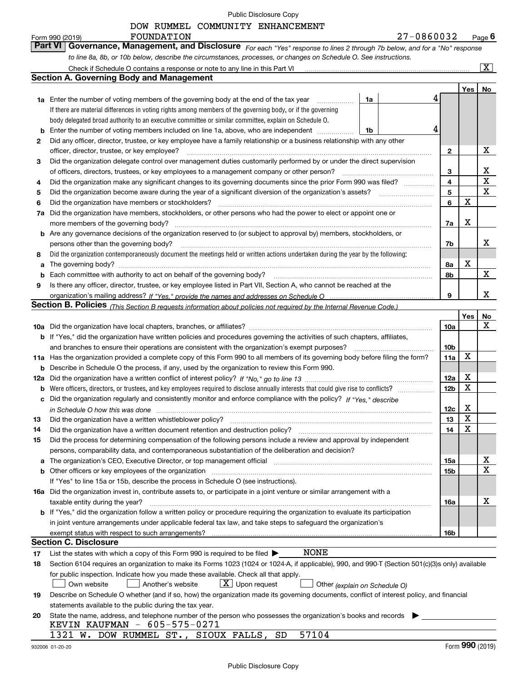|        | DOW RUMMEL COMMUNITY ENHANCEMENT                                                                                                                                                                                               |                 |     |                         |
|--------|--------------------------------------------------------------------------------------------------------------------------------------------------------------------------------------------------------------------------------|-----------------|-----|-------------------------|
|        | 27-0860032<br>FOUNDATION<br>Form 990 (2019)<br><b>Part VI</b><br>Governance, Management, and Disclosure For each "Yes" response to lines 2 through 7b below, and for a "No" response                                           |                 |     | $Page$ <sup>6</sup>     |
|        | to line 8a, 8b, or 10b below, describe the circumstances, processes, or changes on Schedule O. See instructions.                                                                                                               |                 |     |                         |
|        | Check if Schedule O contains a response or note to any line in this Part VI                                                                                                                                                    |                 |     | $\overline{\mathbf{x}}$ |
|        | <b>Section A. Governing Body and Management</b>                                                                                                                                                                                |                 |     |                         |
|        |                                                                                                                                                                                                                                |                 | Yes | No                      |
|        | 4<br>1a Enter the number of voting members of the governing body at the end of the tax year<br>1a                                                                                                                              |                 |     |                         |
|        | If there are material differences in voting rights among members of the governing body, or if the governing                                                                                                                    |                 |     |                         |
|        | body delegated broad authority to an executive committee or similar committee, explain on Schedule O.                                                                                                                          |                 |     |                         |
| b      | 4<br>Enter the number of voting members included on line 1a, above, who are independent<br>1b                                                                                                                                  |                 |     |                         |
| 2      | Did any officer, director, trustee, or key employee have a family relationship or a business relationship with any other                                                                                                       |                 |     |                         |
|        | officer, director, trustee, or key employee?                                                                                                                                                                                   | $\mathbf{2}$    |     | x                       |
| 3      | Did the organization delegate control over management duties customarily performed by or under the direct supervision                                                                                                          |                 |     |                         |
|        | of officers, directors, trustees, or key employees to a management company or other person?                                                                                                                                    | 3               |     | х                       |
| 4      | Did the organization make any significant changes to its governing documents since the prior Form 990 was filed?                                                                                                               | 4               |     | X                       |
| 5      | Did the organization become aware during the year of a significant diversion of the organization's assets?                                                                                                                     | 5               |     | $\mathbf X$             |
| 6      | Did the organization have members or stockholders?                                                                                                                                                                             | 6               | x   |                         |
| 7a     | Did the organization have members, stockholders, or other persons who had the power to elect or appoint one or                                                                                                                 |                 |     |                         |
|        | more members of the governing body?                                                                                                                                                                                            | 7a              | х   |                         |
| b      | Are any governance decisions of the organization reserved to (or subject to approval by) members, stockholders, or                                                                                                             |                 |     |                         |
|        | persons other than the governing body?                                                                                                                                                                                         | 7b              |     | х                       |
| 8      | Did the organization contemporaneously document the meetings held or written actions undertaken during the year by the following:                                                                                              |                 | х   |                         |
| a      | Each committee with authority to act on behalf of the governing body?                                                                                                                                                          | 8а              |     | x                       |
| b<br>9 | Is there any officer, director, trustee, or key employee listed in Part VII, Section A, who cannot be reached at the                                                                                                           | 8b              |     |                         |
|        |                                                                                                                                                                                                                                | 9               |     | x                       |
|        | Section B. Policies <sub>(This Section B requests information about policies not required by the Internal Revenue Code.)</sub>                                                                                                 |                 |     |                         |
|        |                                                                                                                                                                                                                                |                 | Yes | No                      |
|        |                                                                                                                                                                                                                                | 10a             |     | X                       |
|        | <b>b</b> If "Yes," did the organization have written policies and procedures governing the activities of such chapters, affiliates,                                                                                            |                 |     |                         |
|        | and branches to ensure their operations are consistent with the organization's exempt purposes?                                                                                                                                | 10 <sub>b</sub> |     |                         |
| 11a    | Has the organization provided a complete copy of this Form 990 to all members of its governing body before filing the form?                                                                                                    | 11a             | X   |                         |
| b      | Describe in Schedule O the process, if any, used by the organization to review this Form 990.                                                                                                                                  |                 |     |                         |
| 12a    |                                                                                                                                                                                                                                | 12a             | х   |                         |
| b      |                                                                                                                                                                                                                                | 12 <sub>b</sub> | X   |                         |
| с      | Did the organization regularly and consistently monitor and enforce compliance with the policy? If "Yes," describe                                                                                                             |                 |     |                         |
|        | in Schedule O how this was done                                                                                                                                                                                                | 12 <sub>c</sub> | Χ   |                         |
| 13     | Did the organization have a written whistleblower policy?                                                                                                                                                                      | 13              | X   |                         |
| 14     | Did the organization have a written document retention and destruction policy?                                                                                                                                                 | 14              | х   |                         |
| 15     | Did the process for determining compensation of the following persons include a review and approval by independent                                                                                                             |                 |     |                         |
|        | persons, comparability data, and contemporaneous substantiation of the deliberation and decision?                                                                                                                              |                 |     |                         |
| a      | The organization's CEO, Executive Director, or top management official manufactured contains and contained a manufactured with the organization's CEO, Executive Director, or top management official manufactured with the st | 15a             |     | X                       |
| b      | Other officers or key employees of the organization                                                                                                                                                                            | 15 <sub>b</sub> |     | х                       |
|        | If "Yes" to line 15a or 15b, describe the process in Schedule O (see instructions).                                                                                                                                            |                 |     |                         |
|        | 16a Did the organization invest in, contribute assets to, or participate in a joint venture or similar arrangement with a                                                                                                      |                 |     |                         |
|        | taxable entity during the year?                                                                                                                                                                                                | 16a             |     | х                       |
| b      | If "Yes," did the organization follow a written policy or procedure requiring the organization to evaluate its participation                                                                                                   |                 |     |                         |
|        | in joint venture arrangements under applicable federal tax law, and take steps to safeguard the organization's                                                                                                                 |                 |     |                         |
|        | exempt status with respect to such arrangements?                                                                                                                                                                               | 16b             |     |                         |
|        | <b>Section C. Disclosure</b>                                                                                                                                                                                                   |                 |     |                         |
| 17     | NONE<br>List the states with which a copy of this Form 990 is required to be filed $\blacktriangleright$                                                                                                                       |                 |     |                         |
| 18     | Section 6104 requires an organization to make its Forms 1023 (1024 or 1024-A, if applicable), 990, and 990-T (Section 501(c)(3)s only) available                                                                               |                 |     |                         |
|        | for public inspection. Indicate how you made these available. Check all that apply.                                                                                                                                            |                 |     |                         |
|        | $\lfloor x \rfloor$ Upon request<br>Own website<br>Another's website<br>Other (explain on Schedule O)                                                                                                                          |                 |     |                         |
| 19     | Describe on Schedule O whether (and if so, how) the organization made its governing documents, conflict of interest policy, and financial                                                                                      |                 |     |                         |
|        | statements available to the public during the tax year.<br>State the name, address, and telephone number of the person who possesses the organization's books and records                                                      |                 |     |                         |
| 20     | KEVIN KAUFMAN - 605-575-0271                                                                                                                                                                                                   |                 |     |                         |
|        | 57104<br>1321 W. DOW RUMMEL ST., SIOUX FALLS, SD                                                                                                                                                                               |                 |     |                         |

Form (2019) **990**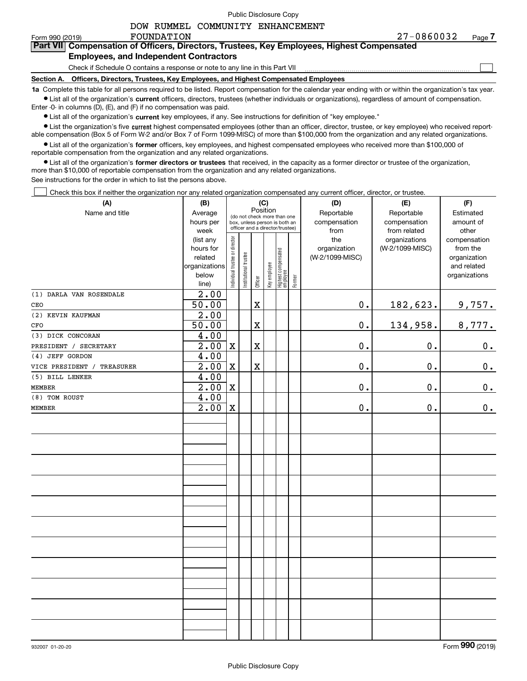$\mathcal{L}^{\text{max}}$ 

# **7Part VII Compensation of Officers, Directors, Trustees, Key Employees, Highest Compensated Employees, and Independent Contractors**

Check if Schedule O contains a response or note to any line in this Part VII

**Section A. Officers, Directors, Trustees, Key Employees, and Highest Compensated Employees**

**1a**  Complete this table for all persons required to be listed. Report compensation for the calendar year ending with or within the organization's tax year. **•** List all of the organization's current officers, directors, trustees (whether individuals or organizations), regardless of amount of compensation.

Enter -0- in columns (D), (E), and (F) if no compensation was paid.

 $\bullet$  List all of the organization's  $\,$ current key employees, if any. See instructions for definition of "key employee."

• List the organization's five current highest compensated employees (other than an officer, director, trustee, or key employee) who received report-■ List the organization's five current highest compensated employees (other than an officer, director, trustee, or key employee) who received report-<br>able compensation (Box 5 of Form W-2 and/or Box 7 of Form 1099-MISC) of

**•** List all of the organization's former officers, key employees, and highest compensated employees who received more than \$100,000 of reportable compensation from the organization and any related organizations.

**former directors or trustees**  ¥ List all of the organization's that received, in the capacity as a former director or trustee of the organization, more than \$10,000 of reportable compensation from the organization and any related organizations.

See instructions for the order in which to list the persons above.

Check this box if neither the organization nor any related organization compensated any current officer, director, or trustee.  $\mathcal{L}^{\text{max}}$ 

| (A)                                  | (B)               |                                 |                                         | (C)         |              |                                   |        | (D)             | (E)             | (F)           |
|--------------------------------------|-------------------|---------------------------------|-----------------------------------------|-------------|--------------|-----------------------------------|--------|-----------------|-----------------|---------------|
| Name and title                       | Average           |                                 | Position<br>(do not check more than one |             |              |                                   |        | Reportable      | Reportable      | Estimated     |
|                                      | hours per         |                                 | box, unless person is both an           |             |              |                                   |        | compensation    | compensation    | amount of     |
|                                      | week              | officer and a director/trustee) |                                         |             |              |                                   |        | from            | from related    | other         |
|                                      | (list any         |                                 |                                         |             |              |                                   |        | the             | organizations   | compensation  |
|                                      | hours for         |                                 |                                         |             |              |                                   |        | organization    | (W-2/1099-MISC) | from the      |
|                                      | related           |                                 |                                         |             |              |                                   |        | (W-2/1099-MISC) |                 | organization  |
|                                      | organizations     |                                 |                                         |             |              |                                   |        |                 |                 | and related   |
|                                      | below             | Individual trustee or director  | Institutional trustee                   | Officer     | Key employee | Highest compensated<br>  employee | Former |                 |                 | organizations |
|                                      | line)             |                                 |                                         |             |              |                                   |        |                 |                 |               |
| (1) DARLA VAN ROSENDALE              | $\overline{2.00}$ |                                 |                                         |             |              |                                   |        |                 |                 |               |
| CEO                                  | 50.00             |                                 |                                         | $\mathbf X$ |              |                                   |        | $\mathbf 0$ .   | 182,623.        | 9,757.        |
| (2) KEVIN KAUFMAN                    | 2.00              |                                 |                                         |             |              |                                   |        |                 |                 |               |
| CFO                                  | 50.00             |                                 |                                         | Χ           |              |                                   |        | $\mathbf 0$ .   | 134,958.        | 8,777.        |
| (3) DICK CONCORAN                    | 4.00              |                                 |                                         |             |              |                                   |        |                 |                 |               |
| PRESIDENT / SECRETARY                | 2.00              | $\mathbf X$                     |                                         | $\mathbf X$ |              |                                   |        | 0.              | 0.              | 0.            |
| (4) JEFF GORDON                      | 4.00              |                                 |                                         |             |              |                                   |        |                 |                 |               |
| VICE PRESIDENT /<br><b>TREASURER</b> | 2.00              | $\mathbf X$                     |                                         | $\mathbf X$ |              |                                   |        | $\mathbf 0$ .   | $0$ .           | 0.            |
| (5) BILL LENKER                      | 4.00              |                                 |                                         |             |              |                                   |        |                 |                 |               |
| <b>MEMBER</b>                        | $\overline{2.00}$ | X                               |                                         |             |              |                                   |        | 0.              | 0.              | $\mathbf 0$ . |
| (8) TOM ROUST                        | 4.00              |                                 |                                         |             |              |                                   |        |                 |                 |               |
| MEMBER                               | 2.00              | $\mathbf X$                     |                                         |             |              |                                   |        | $\mathbf 0$ .   | 0.              | 0.            |
|                                      |                   |                                 |                                         |             |              |                                   |        |                 |                 |               |
|                                      |                   |                                 |                                         |             |              |                                   |        |                 |                 |               |
|                                      |                   |                                 |                                         |             |              |                                   |        |                 |                 |               |
|                                      |                   |                                 |                                         |             |              |                                   |        |                 |                 |               |
|                                      |                   |                                 |                                         |             |              |                                   |        |                 |                 |               |
|                                      |                   |                                 |                                         |             |              |                                   |        |                 |                 |               |
|                                      |                   |                                 |                                         |             |              |                                   |        |                 |                 |               |
|                                      |                   |                                 |                                         |             |              |                                   |        |                 |                 |               |
|                                      |                   |                                 |                                         |             |              |                                   |        |                 |                 |               |
|                                      |                   |                                 |                                         |             |              |                                   |        |                 |                 |               |
|                                      |                   |                                 |                                         |             |              |                                   |        |                 |                 |               |
|                                      |                   |                                 |                                         |             |              |                                   |        |                 |                 |               |
|                                      |                   |                                 |                                         |             |              |                                   |        |                 |                 |               |
|                                      |                   |                                 |                                         |             |              |                                   |        |                 |                 |               |
|                                      |                   |                                 |                                         |             |              |                                   |        |                 |                 |               |
|                                      |                   |                                 |                                         |             |              |                                   |        |                 |                 |               |
|                                      |                   |                                 |                                         |             |              |                                   |        |                 |                 |               |
|                                      |                   |                                 |                                         |             |              |                                   |        |                 |                 |               |
|                                      |                   |                                 |                                         |             |              |                                   |        |                 |                 |               |
|                                      |                   |                                 |                                         |             |              |                                   |        |                 |                 |               |
|                                      |                   |                                 |                                         |             |              |                                   |        |                 |                 |               |
|                                      |                   |                                 |                                         |             |              |                                   |        |                 |                 |               |
|                                      |                   |                                 |                                         |             |              |                                   |        |                 |                 |               |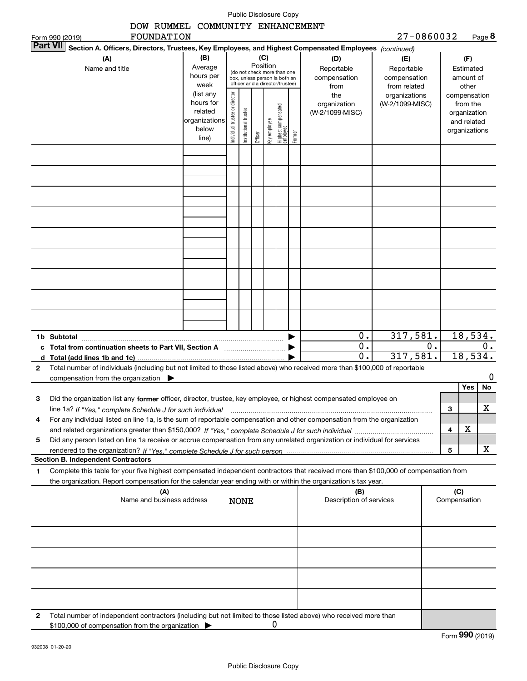|   |                                                                                                                                                                                                                                                                             |                             |                                                              |                       |         |                                | Public Disclosure Copy          |        |                                   |                                   |    |   |                               |               |
|---|-----------------------------------------------------------------------------------------------------------------------------------------------------------------------------------------------------------------------------------------------------------------------------|-----------------------------|--------------------------------------------------------------|-----------------------|---------|--------------------------------|---------------------------------|--------|-----------------------------------|-----------------------------------|----|---|-------------------------------|---------------|
|   | DOW RUMMEL COMMUNITY ENHANCEMENT                                                                                                                                                                                                                                            |                             |                                                              |                       |         |                                |                                 |        |                                   |                                   |    |   |                               |               |
|   | FOUNDATION<br>Form 990 (2019)                                                                                                                                                                                                                                               |                             |                                                              |                       |         |                                |                                 |        |                                   | 27-0860032                        |    |   |                               | Page 8        |
|   | Part VII <br>Section A. Officers, Directors, Trustees, Key Employees, and Highest Compensated Employees (continued)                                                                                                                                                         |                             |                                                              |                       |         |                                |                                 |        |                                   |                                   |    |   |                               |               |
|   | (A)<br>Name and title                                                                                                                                                                                                                                                       | (B)<br>Average<br>hours per | (do not check more than one<br>box, unless person is both an |                       |         | (C)<br>Position                |                                 |        | (D)<br>Reportable<br>compensation | (E)<br>Reportable<br>compensation |    |   | (F)<br>Estimated<br>amount of |               |
|   |                                                                                                                                                                                                                                                                             | week<br>(list any           |                                                              |                       |         |                                | officer and a director/trustee) |        | from<br>the                       | from related<br>organizations     |    |   | other<br>compensation         |               |
|   |                                                                                                                                                                                                                                                                             | hours for<br>related        |                                                              |                       |         |                                |                                 |        | organization<br>(W-2/1099-MISC)   | (W-2/1099-MISC)                   |    |   | from the<br>organization      |               |
|   |                                                                                                                                                                                                                                                                             | organizations<br>below      | Individual trustee or director                               | Institutional trustee |         | key employee                   | Highest compensated<br>employee |        |                                   |                                   |    |   | and related<br>organizations  |               |
|   |                                                                                                                                                                                                                                                                             | line)                       |                                                              |                       | Officer |                                |                                 | Former |                                   |                                   |    |   |                               |               |
|   |                                                                                                                                                                                                                                                                             |                             |                                                              |                       |         |                                |                                 |        |                                   |                                   |    |   |                               |               |
|   |                                                                                                                                                                                                                                                                             |                             |                                                              |                       |         |                                |                                 |        |                                   |                                   |    |   |                               |               |
|   |                                                                                                                                                                                                                                                                             |                             |                                                              |                       |         |                                |                                 |        |                                   |                                   |    |   |                               |               |
|   |                                                                                                                                                                                                                                                                             |                             |                                                              |                       |         |                                |                                 |        |                                   |                                   |    |   |                               |               |
|   |                                                                                                                                                                                                                                                                             |                             |                                                              |                       |         |                                |                                 |        |                                   |                                   |    |   |                               |               |
|   |                                                                                                                                                                                                                                                                             |                             |                                                              |                       |         |                                |                                 |        |                                   |                                   |    |   |                               |               |
|   |                                                                                                                                                                                                                                                                             |                             |                                                              |                       |         |                                |                                 |        |                                   |                                   |    |   |                               |               |
|   |                                                                                                                                                                                                                                                                             |                             |                                                              |                       |         |                                |                                 |        |                                   |                                   |    |   |                               |               |
|   |                                                                                                                                                                                                                                                                             |                             |                                                              |                       |         |                                |                                 |        |                                   |                                   |    |   |                               |               |
|   |                                                                                                                                                                                                                                                                             |                             |                                                              |                       |         |                                |                                 |        |                                   |                                   |    |   |                               |               |
|   | 1b Subtotal                                                                                                                                                                                                                                                                 |                             |                                                              |                       |         |                                |                                 |        | 0.                                | 317, 581.                         |    |   |                               | 18,534.       |
|   | c Total from continuation sheets to Part VII, Section A                                                                                                                                                                                                                     |                             |                                                              |                       |         |                                |                                 |        | 0.<br>$\overline{0}$ .            | 317, 581.                         | О. |   |                               | 0.<br>18,534. |
| 2 | Total number of individuals (including but not limited to those listed above) who received more than \$100,000 of reportable                                                                                                                                                |                             |                                                              |                       |         |                                |                                 |        |                                   |                                   |    |   |                               |               |
|   | compensation from the organization $\blacktriangleright$                                                                                                                                                                                                                    |                             |                                                              |                       |         |                                |                                 |        |                                   |                                   |    |   |                               | 0             |
|   |                                                                                                                                                                                                                                                                             |                             |                                                              |                       |         |                                |                                 |        |                                   |                                   |    |   | Yes                           | No            |
| з | Did the organization list any former officer, director, trustee, key employee, or highest compensated employee on                                                                                                                                                           |                             |                                                              |                       |         |                                |                                 |        |                                   |                                   |    |   |                               | х             |
| 4 | line 1a? If "Yes," complete Schedule J for such individual manufactured contained and the 1a? If "Yes," complete Schedule J for such individual<br>For any individual listed on line 1a, is the sum of reportable compensation and other compensation from the organization |                             |                                                              |                       |         |                                |                                 |        |                                   |                                   |    | 3 |                               |               |
|   |                                                                                                                                                                                                                                                                             |                             |                                                              |                       |         |                                |                                 |        |                                   |                                   |    | 4 | X                             |               |
| 5 | Did any person listed on line 1a receive or accrue compensation from any unrelated organization or individual for services                                                                                                                                                  |                             |                                                              |                       |         |                                |                                 |        |                                   |                                   |    |   |                               |               |
|   |                                                                                                                                                                                                                                                                             |                             |                                                              |                       |         |                                |                                 |        |                                   |                                   |    | 5 |                               | X             |
| 1 | <b>Section B. Independent Contractors</b>                                                                                                                                                                                                                                   |                             |                                                              |                       |         |                                |                                 |        |                                   |                                   |    |   |                               |               |
|   | Complete this table for your five highest compensated independent contractors that received more than \$100,000 of compensation from<br>the organization. Report compensation for the calendar year ending with or within the organization's tax year.                      |                             |                                                              |                       |         |                                |                                 |        |                                   |                                   |    |   |                               |               |
|   | (A)<br>Name and business address<br><b>NONE</b>                                                                                                                                                                                                                             |                             |                                                              |                       |         | (B)<br>Description of services |                                 |        | (C)<br>Compensation               |                                   |    |   |                               |               |
|   |                                                                                                                                                                                                                                                                             |                             |                                                              |                       |         |                                |                                 |        |                                   |                                   |    |   |                               |               |
|   |                                                                                                                                                                                                                                                                             |                             |                                                              |                       |         |                                |                                 |        |                                   |                                   |    |   |                               |               |
|   |                                                                                                                                                                                                                                                                             |                             |                                                              |                       |         |                                |                                 |        |                                   |                                   |    |   |                               |               |
|   |                                                                                                                                                                                                                                                                             |                             |                                                              |                       |         |                                |                                 |        |                                   |                                   |    |   |                               |               |
|   |                                                                                                                                                                                                                                                                             |                             |                                                              |                       |         |                                |                                 |        |                                   |                                   |    |   |                               |               |
|   | Total number of independent contractors (including but not limited to those listed above) who received more than                                                                                                                                                            |                             |                                                              |                       |         |                                |                                 |        |                                   |                                   |    |   |                               |               |
| 2 | \$100,000 of compensation from the organization                                                                                                                                                                                                                             |                             |                                                              |                       |         |                                | 0                               |        |                                   |                                   |    |   |                               |               |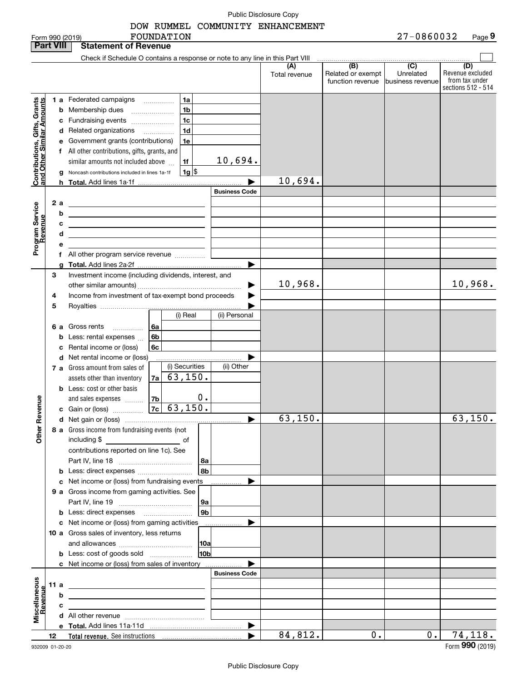DOW RUMMEL COMMUNITY ENHANCEMENT

|                                                            | <b>Part VIII</b> | <b>Statement of Revenue</b>                                                                                                                                                                                                                                                                                                                                                                                                                                                                          |                                                                                                                                                                          |
|------------------------------------------------------------|------------------|------------------------------------------------------------------------------------------------------------------------------------------------------------------------------------------------------------------------------------------------------------------------------------------------------------------------------------------------------------------------------------------------------------------------------------------------------------------------------------------------------|--------------------------------------------------------------------------------------------------------------------------------------------------------------------------|
|                                                            |                  | Check if Schedule O contains a response or note to any line in this Part VIII                                                                                                                                                                                                                                                                                                                                                                                                                        |                                                                                                                                                                          |
|                                                            |                  |                                                                                                                                                                                                                                                                                                                                                                                                                                                                                                      | (B)<br>(C)<br>(D)<br>Revenue excluded<br>Related or exempt<br>Unrelated<br>Total revenue<br>from tax under<br>function revenue<br>business revenue<br>sections 512 - 514 |
| Contributions, Gifts, Grants<br>Iand Other Similar Amounts | 2a               | 1a<br>1 a Federated campaigns<br>1 <sub>b</sub><br><b>b</b> Membership dues<br>1 <sub>c</sub><br>c Fundraising events<br>1 <sub>d</sub><br>d Related organizations<br>1e<br>e Government grants (contributions)<br>f All other contributions, gifts, grants, and<br>10,694.<br>similar amounts not included above<br>1f<br>$1g$ \\$<br>Noncash contributions included in lines 1a-1f<br>g<br><b>Business Code</b><br>the contract of the contract of the contract of the contract of the contract of | 10,694.                                                                                                                                                                  |
| Program Service<br>Revenue                                 | b<br>е           | <u> 1989 - Johann John Stone, markin f</u><br>с<br><u> 1999 - Johann Barbara, martxa alemaniar arg</u><br>d<br><u> 1989 - Johann Stein, marwolaethau a bhann an t-Amhainn an t-Amhainn an t-Amhainn an t-Amhainn an t-Amhainn an</u><br>f All other program service revenue                                                                                                                                                                                                                          |                                                                                                                                                                          |
|                                                            | 3<br>4<br>5      | Investment income (including dividends, interest, and<br>Income from investment of tax-exempt bond proceeds<br>(i) Real<br>(ii) Personal                                                                                                                                                                                                                                                                                                                                                             | 10,968.<br>10,968.<br>▶                                                                                                                                                  |
|                                                            |                  | 6 a Gross rents<br>l 6a<br><b>b</b> Less: rental expenses<br>6b<br>6c<br>c Rental income or (loss)<br>d Net rental income or (loss)<br>(i) Securities<br>(ii) Other<br><b>7 a</b> Gross amount from sales of                                                                                                                                                                                                                                                                                         |                                                                                                                                                                          |
| Revenue                                                    |                  | 63, 150.<br>assets other than inventory<br>7a<br><b>b</b> Less: cost or other basis<br>0.<br>and sales expenses<br>7b<br>7c   63,150.                                                                                                                                                                                                                                                                                                                                                                |                                                                                                                                                                          |
| Other                                                      |                  | 8 a Gross income from fundraising events (not<br>including \$<br><u>and the second second second</u> of<br>contributions reported on line 1c). See<br>8а<br>8b<br><b>b</b> Less: direct expenses <i></i>                                                                                                                                                                                                                                                                                             | 63, 150.<br>63, 150.                                                                                                                                                     |
|                                                            |                  | c Net income or (loss) from fundraising events<br>9 a Gross income from gaming activities. See<br>9а                                                                                                                                                                                                                                                                                                                                                                                                 |                                                                                                                                                                          |
|                                                            |                  | 9 <sub>b</sub><br><b>b</b> Less: direct expenses <b>manually</b><br>c Net income or (loss) from gaming activities<br>.<br>10 a Gross sales of inventory, less returns<br> 10a                                                                                                                                                                                                                                                                                                                        |                                                                                                                                                                          |
|                                                            |                  | 10 <sub>b</sub><br><b>b</b> Less: cost of goods sold<br><b>c</b> Net income or (loss) from sales of inventory<br><b>Business Code</b>                                                                                                                                                                                                                                                                                                                                                                |                                                                                                                                                                          |
| Miscellaneous<br>Revenue                                   | 11 a             | <u> 1989 - Johann Barbara, martin amerikan basar dan berasal dalam basa dalam basar dalam basar dalam basar dala</u>                                                                                                                                                                                                                                                                                                                                                                                 |                                                                                                                                                                          |
|                                                            |                  | b                                                                                                                                                                                                                                                                                                                                                                                                                                                                                                    |                                                                                                                                                                          |
|                                                            | с                |                                                                                                                                                                                                                                                                                                                                                                                                                                                                                                      |                                                                                                                                                                          |
|                                                            |                  |                                                                                                                                                                                                                                                                                                                                                                                                                                                                                                      |                                                                                                                                                                          |
|                                                            | 12               |                                                                                                                                                                                                                                                                                                                                                                                                                                                                                                      | 84,812.<br>0.<br>0.<br>74,118.                                                                                                                                           |
|                                                            |                  |                                                                                                                                                                                                                                                                                                                                                                                                                                                                                                      | nnn                                                                                                                                                                      |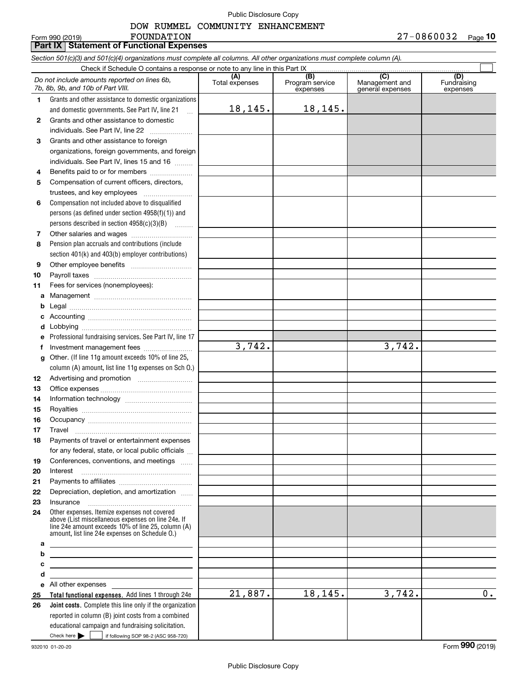#### DOW RUMMEL COMMUNITY ENHANCEMENT

#### **Total functional expenses.**  Add lines 1 through 24e **Joint costs.** Complete this line only if the organization **(A)**<br>Total expenses **(B) (C) (D) 1234567891011abcdefg12131415161718192021222324abcde2526***Section 501(c)(3) and 501(c)(4) organizations must complete all columns. All other organizations must complete column (A).* Grants and other assistance to domestic organizations and domestic governments. See Part IV, line 21 Compensation not included above to disqualified persons (as defined under section 4958(f)(1)) and persons described in section 4958(c)(3)(B)  $\quad \ldots \ldots \ldots$ Pension plan accruals and contributions (include section 401(k) and 403(b) employer contributions) Professional fundraising services. See Part IV, line 17 Other. (If line 11g amount exceeds 10% of line 25, column (A) amount, list line 11g expenses on Sch O.) Other expenses. Itemize expenses not covered above (List miscellaneous expenses on line 24e. If line 24e amount exceeds 10% of line 25, column (A) amount, list line 24e expenses on Schedule O.) reported in column (B) joint costs from a combined educational campaign and fundraising solicitation. Check if Schedule O contains a response or note to any line in this Part IX (C) (C) (C) (C) (C) (C) Program service expensesManagement and general expenses Fundraising expensesGrants and other assistance to domestic individuals. See Part IV, line 22 ~~~~~~~ Grants and other assistance to foreign organizations, foreign governments, and foreign individuals. See Part IV, lines 15 and 16  $\ldots$ Benefits paid to or for members .................... Compensation of current officers, directors, trustees, and key employees  $\ldots$   $\ldots$   $\ldots$   $\ldots$ Other salaries and wages ~~~~~~~~~~ Other employee benefits ~~~~~~~~~~ Payroll taxes ~~~~~~~~~~~~~~~~ Fees for services (nonemployees): Management ~~~~~~~~~~~~~~~~ Legal ~~~~~~~~~~~~~~~~~~~~Accounting ~~~~~~~~~~~~~~~~~ Lobbying ~~~~~~~~~~~~~~~~~~ lnvestment management fees ....................... Advertising and promotion \_\_\_\_\_\_\_\_\_\_\_\_\_\_\_\_\_\_\_ Office expenses ~~~~~~~~~~~~~~~ Information technology ~~~~~~~~~~~ Royalties ~~~~~~~~~~~~~~~~~~ Occupancy ~~~~~~~~~~~~~~~~~ Travel ……………………………………………… Payments of travel or entertainment expenses for any federal, state, or local public officials ... Conferences, conventions, and meetings Interest Payments to affiliates ~~~~~~~~~~~~ Depreciation, depletion, and amortization  $\,\,\ldots\,\,$ InsuranceAll other expenses *Do not include amounts reported on lines 6b, 7b, 8b, 9b, and 10b of Part VIII.*  $\mathcal{L}^{\text{max}}$ 18,145. 21,887. 3,742. 18,145. 3,742. 18,145. 3,742. 0.

Check here  $\begin{array}{|c|c|c|c|c|}\hline \text{ } & \text{ if following SOP 98-2 (ASC 958-720)} \hline \end{array}$ 

**Part IX Statement of Functional Expenses**

FOUNDATION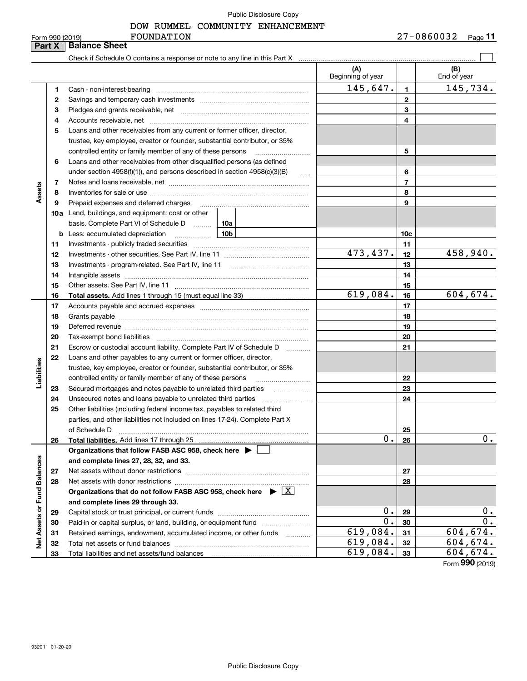# DOW RUMMEL COMMUNITY ENHANCEMENT

| 990 (2019)<br>orm | FOUNDATION | 08600<br>n n<br><b>DO</b><br>. J 4 | مممت<br>aue |
|-------------------|------------|------------------------------------|-------------|
|                   |            |                                    |             |

|                             | Form 990 (2019)<br>Part X | FOUNDATION<br><b>Balance Sheet</b>                                                                                                                                                                                            |                          |                 | $27 - 0860032$ Page 11 |
|-----------------------------|---------------------------|-------------------------------------------------------------------------------------------------------------------------------------------------------------------------------------------------------------------------------|--------------------------|-----------------|------------------------|
|                             |                           |                                                                                                                                                                                                                               |                          |                 |                        |
|                             |                           |                                                                                                                                                                                                                               | (A)<br>Beginning of year |                 | (B)<br>End of year     |
|                             | 1                         |                                                                                                                                                                                                                               | 145,647.                 | $\mathbf{1}$    | $\overline{145,734}$ . |
|                             | 2                         |                                                                                                                                                                                                                               |                          | $\mathbf{2}$    |                        |
|                             | З                         |                                                                                                                                                                                                                               |                          | 3               |                        |
|                             | 4                         |                                                                                                                                                                                                                               |                          | 4               |                        |
|                             | 5                         | Loans and other receivables from any current or former officer, director,                                                                                                                                                     |                          |                 |                        |
|                             |                           | trustee, key employee, creator or founder, substantial contributor, or 35%                                                                                                                                                    |                          |                 |                        |
|                             |                           | controlled entity or family member of any of these persons                                                                                                                                                                    |                          | 5               |                        |
|                             | 6                         | Loans and other receivables from other disqualified persons (as defined                                                                                                                                                       |                          |                 |                        |
|                             |                           | under section $4958(f)(1)$ , and persons described in section $4958(c)(3)(B)$<br>$\ldots$                                                                                                                                     |                          | 6               |                        |
|                             | 7                         |                                                                                                                                                                                                                               |                          | $\overline{7}$  |                        |
| Assets                      | 8                         |                                                                                                                                                                                                                               |                          | 8               |                        |
|                             | 9                         | Prepaid expenses and deferred charges [11] [11] Prepaid expenses and deferred charges [11] [11] Martin Martin Martin Martin Martin Martin Martin Martin Martin Martin Martin Martin Martin Martin Martin Martin Martin Martin |                          | 9               |                        |
|                             |                           | 10a Land, buildings, and equipment: cost or other                                                                                                                                                                             |                          |                 |                        |
|                             |                           | basis. Complete Part VI of Schedule D<br>10a                                                                                                                                                                                  |                          |                 |                        |
|                             |                           | 10 <sub>b</sub><br><b>b</b> Less: accumulated depreciation                                                                                                                                                                    |                          | 10 <sub>c</sub> |                        |
|                             | 11                        |                                                                                                                                                                                                                               |                          | 11              |                        |
|                             | 12                        |                                                                                                                                                                                                                               | 473, 437.                | 12              | 458,940.               |
|                             | 13                        |                                                                                                                                                                                                                               |                          | 13              |                        |
|                             | 14                        |                                                                                                                                                                                                                               |                          | 14              |                        |
|                             | 15                        |                                                                                                                                                                                                                               |                          | 15              |                        |
|                             | 16                        |                                                                                                                                                                                                                               | 619,084.                 | 16              | 604,674.               |
|                             | 17                        |                                                                                                                                                                                                                               |                          | 17              |                        |
|                             | 18                        |                                                                                                                                                                                                                               |                          | 18              |                        |
|                             | 19                        |                                                                                                                                                                                                                               |                          | 19              |                        |
|                             | 20                        |                                                                                                                                                                                                                               |                          | 20              |                        |
|                             | 21                        | Escrow or custodial account liability. Complete Part IV of Schedule D<br>1.1.1.1.1.1.1.1.1.1                                                                                                                                  |                          | 21              |                        |
|                             | 22                        | Loans and other payables to any current or former officer, director,                                                                                                                                                          |                          |                 |                        |
| Liabilities                 |                           | trustee, key employee, creator or founder, substantial contributor, or 35%                                                                                                                                                    |                          |                 |                        |
|                             |                           | controlled entity or family member of any of these persons                                                                                                                                                                    |                          | 22              |                        |
|                             | 23                        | Secured mortgages and notes payable to unrelated third parties<br>.                                                                                                                                                           |                          | 23              |                        |
|                             | 24                        |                                                                                                                                                                                                                               |                          | 24              |                        |
|                             | 25                        | Other liabilities (including federal income tax, payables to related third                                                                                                                                                    |                          |                 |                        |
|                             |                           | parties, and other liabilities not included on lines 17-24). Complete Part X                                                                                                                                                  |                          |                 |                        |
|                             |                           | of Schedule D                                                                                                                                                                                                                 |                          | 25              |                        |
|                             | 26                        |                                                                                                                                                                                                                               | 0.                       | 26              | 0.                     |
|                             |                           | Organizations that follow FASB ASC 958, check here $\blacktriangleright$                                                                                                                                                      |                          |                 |                        |
|                             |                           | and complete lines 27, 28, 32, and 33.                                                                                                                                                                                        |                          |                 |                        |
|                             | 27                        |                                                                                                                                                                                                                               |                          | 27              |                        |
|                             | 28                        |                                                                                                                                                                                                                               |                          | 28              |                        |
|                             |                           | Organizations that do not follow FASB ASC 958, check here $\triangleright \lfloor X \rfloor$                                                                                                                                  |                          |                 |                        |
|                             |                           | and complete lines 29 through 33.                                                                                                                                                                                             |                          |                 |                        |
|                             | 29                        |                                                                                                                                                                                                                               | 0.                       | 29              | 0.                     |
|                             | 30                        | Paid-in or capital surplus, or land, building, or equipment fund                                                                                                                                                              | 0.                       | 30              | 0.                     |
| Net Assets or Fund Balances | 31                        | Retained earnings, endowment, accumulated income, or other funds<br>1.1.1.1.1.1.1.1.1                                                                                                                                         | 619,084.                 | 31              | 604,674.               |
|                             | 32                        |                                                                                                                                                                                                                               | 619,084.                 | 32              | 604,674.               |
|                             | 33                        |                                                                                                                                                                                                                               | 619,084.                 | 33              | 604,674.               |

932011 01-20-20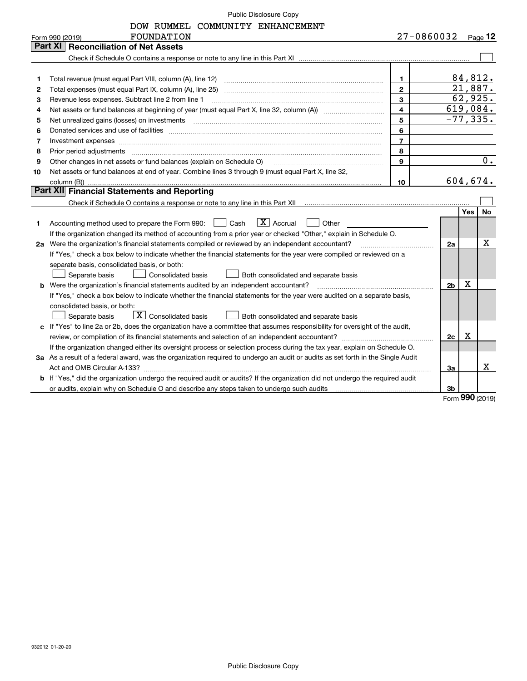DOW RUMMEL COMMUNITY ENHANCEMENT

| Part XI<br><b>Reconciliation of Net Assets</b><br>84,812.<br>$\mathbf{1}$<br>1<br>21,887.<br>$\overline{2}$<br>2<br>62,925.<br>3<br>Revenue less expenses. Subtract line 2 from line 1<br>з<br>619,084.<br>$\overline{4}$<br>4<br>$-77, 335.$<br>5<br>5<br>6<br>Donated services and use of facilities [111] matter contracts and the facilities in the matter of facilities [11] matter contracts and use of facilities [11] matter contracts and the service of the service of the service o<br>6<br>$\overline{7}$<br>Investment expenses www.communication.com/www.communication.com/www.communication.com/www.com<br>7<br>8<br>8<br>$0$ .<br>9<br>Other changes in net assets or fund balances (explain on Schedule O)<br>9<br>Net assets or fund balances at end of year. Combine lines 3 through 9 (must equal Part X, line 32,<br>10<br>604,674.<br>10<br>Part XII Financial Statements and Reporting<br><b>No</b><br>Yes<br>$\boxed{\text{X}}$ Accrual<br>Accounting method used to prepare the Form 990: [16] Cash<br>Other<br>1.<br>If the organization changed its method of accounting from a prior year or checked "Other," explain in Schedule O.<br>х<br>2a Were the organization's financial statements compiled or reviewed by an independent accountant?<br>2a<br>If "Yes," check a box below to indicate whether the financial statements for the year were compiled or reviewed on a<br>separate basis, consolidated basis, or both:<br>Separate basis<br>Consolidated basis<br>Both consolidated and separate basis<br>х<br>2 <sub>b</sub><br><b>b</b> Were the organization's financial statements audited by an independent accountant?<br>If "Yes," check a box below to indicate whether the financial statements for the year were audited on a separate basis,<br>consolidated basis, or both:<br>$\mathbf{X}$ Consolidated basis<br>Separate basis<br>Both consolidated and separate basis<br>c If "Yes" to line 2a or 2b, does the organization have a committee that assumes responsibility for oversight of the audit,<br>Χ<br>2c<br>If the organization changed either its oversight process or selection process during the tax year, explain on Schedule O.<br>3a As a result of a federal award, was the organization required to undergo an audit or audits as set forth in the Single Audit<br>x.<br>За<br>b If "Yes," did the organization undergo the required audit or audits? If the organization did not undergo the required audit<br>3b | <b>FOUNDATION</b><br>Form 990 (2019) | 27-0860032 | Page $12$ |
|--------------------------------------------------------------------------------------------------------------------------------------------------------------------------------------------------------------------------------------------------------------------------------------------------------------------------------------------------------------------------------------------------------------------------------------------------------------------------------------------------------------------------------------------------------------------------------------------------------------------------------------------------------------------------------------------------------------------------------------------------------------------------------------------------------------------------------------------------------------------------------------------------------------------------------------------------------------------------------------------------------------------------------------------------------------------------------------------------------------------------------------------------------------------------------------------------------------------------------------------------------------------------------------------------------------------------------------------------------------------------------------------------------------------------------------------------------------------------------------------------------------------------------------------------------------------------------------------------------------------------------------------------------------------------------------------------------------------------------------------------------------------------------------------------------------------------------------------------------------------------------------------------------------------------------------------------------------------------------------------------------------------------------------------------------------------------------------------------------------------------------------------------------------------------------------------------------------------------------------------------------------------------------------------------------------------------------------------------------------------------------------------------------------------------------------------------------------------------------------|--------------------------------------|------------|-----------|
|                                                                                                                                                                                                                                                                                                                                                                                                                                                                                                                                                                                                                                                                                                                                                                                                                                                                                                                                                                                                                                                                                                                                                                                                                                                                                                                                                                                                                                                                                                                                                                                                                                                                                                                                                                                                                                                                                                                                                                                                                                                                                                                                                                                                                                                                                                                                                                                                                                                                                      |                                      |            |           |
|                                                                                                                                                                                                                                                                                                                                                                                                                                                                                                                                                                                                                                                                                                                                                                                                                                                                                                                                                                                                                                                                                                                                                                                                                                                                                                                                                                                                                                                                                                                                                                                                                                                                                                                                                                                                                                                                                                                                                                                                                                                                                                                                                                                                                                                                                                                                                                                                                                                                                      |                                      |            |           |
|                                                                                                                                                                                                                                                                                                                                                                                                                                                                                                                                                                                                                                                                                                                                                                                                                                                                                                                                                                                                                                                                                                                                                                                                                                                                                                                                                                                                                                                                                                                                                                                                                                                                                                                                                                                                                                                                                                                                                                                                                                                                                                                                                                                                                                                                                                                                                                                                                                                                                      |                                      |            |           |
|                                                                                                                                                                                                                                                                                                                                                                                                                                                                                                                                                                                                                                                                                                                                                                                                                                                                                                                                                                                                                                                                                                                                                                                                                                                                                                                                                                                                                                                                                                                                                                                                                                                                                                                                                                                                                                                                                                                                                                                                                                                                                                                                                                                                                                                                                                                                                                                                                                                                                      |                                      |            |           |
|                                                                                                                                                                                                                                                                                                                                                                                                                                                                                                                                                                                                                                                                                                                                                                                                                                                                                                                                                                                                                                                                                                                                                                                                                                                                                                                                                                                                                                                                                                                                                                                                                                                                                                                                                                                                                                                                                                                                                                                                                                                                                                                                                                                                                                                                                                                                                                                                                                                                                      |                                      |            |           |
|                                                                                                                                                                                                                                                                                                                                                                                                                                                                                                                                                                                                                                                                                                                                                                                                                                                                                                                                                                                                                                                                                                                                                                                                                                                                                                                                                                                                                                                                                                                                                                                                                                                                                                                                                                                                                                                                                                                                                                                                                                                                                                                                                                                                                                                                                                                                                                                                                                                                                      |                                      |            |           |
|                                                                                                                                                                                                                                                                                                                                                                                                                                                                                                                                                                                                                                                                                                                                                                                                                                                                                                                                                                                                                                                                                                                                                                                                                                                                                                                                                                                                                                                                                                                                                                                                                                                                                                                                                                                                                                                                                                                                                                                                                                                                                                                                                                                                                                                                                                                                                                                                                                                                                      |                                      |            |           |
|                                                                                                                                                                                                                                                                                                                                                                                                                                                                                                                                                                                                                                                                                                                                                                                                                                                                                                                                                                                                                                                                                                                                                                                                                                                                                                                                                                                                                                                                                                                                                                                                                                                                                                                                                                                                                                                                                                                                                                                                                                                                                                                                                                                                                                                                                                                                                                                                                                                                                      |                                      |            |           |
|                                                                                                                                                                                                                                                                                                                                                                                                                                                                                                                                                                                                                                                                                                                                                                                                                                                                                                                                                                                                                                                                                                                                                                                                                                                                                                                                                                                                                                                                                                                                                                                                                                                                                                                                                                                                                                                                                                                                                                                                                                                                                                                                                                                                                                                                                                                                                                                                                                                                                      |                                      |            |           |
|                                                                                                                                                                                                                                                                                                                                                                                                                                                                                                                                                                                                                                                                                                                                                                                                                                                                                                                                                                                                                                                                                                                                                                                                                                                                                                                                                                                                                                                                                                                                                                                                                                                                                                                                                                                                                                                                                                                                                                                                                                                                                                                                                                                                                                                                                                                                                                                                                                                                                      |                                      |            |           |
|                                                                                                                                                                                                                                                                                                                                                                                                                                                                                                                                                                                                                                                                                                                                                                                                                                                                                                                                                                                                                                                                                                                                                                                                                                                                                                                                                                                                                                                                                                                                                                                                                                                                                                                                                                                                                                                                                                                                                                                                                                                                                                                                                                                                                                                                                                                                                                                                                                                                                      |                                      |            |           |
|                                                                                                                                                                                                                                                                                                                                                                                                                                                                                                                                                                                                                                                                                                                                                                                                                                                                                                                                                                                                                                                                                                                                                                                                                                                                                                                                                                                                                                                                                                                                                                                                                                                                                                                                                                                                                                                                                                                                                                                                                                                                                                                                                                                                                                                                                                                                                                                                                                                                                      |                                      |            |           |
|                                                                                                                                                                                                                                                                                                                                                                                                                                                                                                                                                                                                                                                                                                                                                                                                                                                                                                                                                                                                                                                                                                                                                                                                                                                                                                                                                                                                                                                                                                                                                                                                                                                                                                                                                                                                                                                                                                                                                                                                                                                                                                                                                                                                                                                                                                                                                                                                                                                                                      |                                      |            |           |
|                                                                                                                                                                                                                                                                                                                                                                                                                                                                                                                                                                                                                                                                                                                                                                                                                                                                                                                                                                                                                                                                                                                                                                                                                                                                                                                                                                                                                                                                                                                                                                                                                                                                                                                                                                                                                                                                                                                                                                                                                                                                                                                                                                                                                                                                                                                                                                                                                                                                                      |                                      |            |           |
|                                                                                                                                                                                                                                                                                                                                                                                                                                                                                                                                                                                                                                                                                                                                                                                                                                                                                                                                                                                                                                                                                                                                                                                                                                                                                                                                                                                                                                                                                                                                                                                                                                                                                                                                                                                                                                                                                                                                                                                                                                                                                                                                                                                                                                                                                                                                                                                                                                                                                      |                                      |            |           |
|                                                                                                                                                                                                                                                                                                                                                                                                                                                                                                                                                                                                                                                                                                                                                                                                                                                                                                                                                                                                                                                                                                                                                                                                                                                                                                                                                                                                                                                                                                                                                                                                                                                                                                                                                                                                                                                                                                                                                                                                                                                                                                                                                                                                                                                                                                                                                                                                                                                                                      |                                      |            |           |
|                                                                                                                                                                                                                                                                                                                                                                                                                                                                                                                                                                                                                                                                                                                                                                                                                                                                                                                                                                                                                                                                                                                                                                                                                                                                                                                                                                                                                                                                                                                                                                                                                                                                                                                                                                                                                                                                                                                                                                                                                                                                                                                                                                                                                                                                                                                                                                                                                                                                                      |                                      |            |           |
|                                                                                                                                                                                                                                                                                                                                                                                                                                                                                                                                                                                                                                                                                                                                                                                                                                                                                                                                                                                                                                                                                                                                                                                                                                                                                                                                                                                                                                                                                                                                                                                                                                                                                                                                                                                                                                                                                                                                                                                                                                                                                                                                                                                                                                                                                                                                                                                                                                                                                      |                                      |            |           |
|                                                                                                                                                                                                                                                                                                                                                                                                                                                                                                                                                                                                                                                                                                                                                                                                                                                                                                                                                                                                                                                                                                                                                                                                                                                                                                                                                                                                                                                                                                                                                                                                                                                                                                                                                                                                                                                                                                                                                                                                                                                                                                                                                                                                                                                                                                                                                                                                                                                                                      |                                      |            |           |
|                                                                                                                                                                                                                                                                                                                                                                                                                                                                                                                                                                                                                                                                                                                                                                                                                                                                                                                                                                                                                                                                                                                                                                                                                                                                                                                                                                                                                                                                                                                                                                                                                                                                                                                                                                                                                                                                                                                                                                                                                                                                                                                                                                                                                                                                                                                                                                                                                                                                                      |                                      |            |           |
|                                                                                                                                                                                                                                                                                                                                                                                                                                                                                                                                                                                                                                                                                                                                                                                                                                                                                                                                                                                                                                                                                                                                                                                                                                                                                                                                                                                                                                                                                                                                                                                                                                                                                                                                                                                                                                                                                                                                                                                                                                                                                                                                                                                                                                                                                                                                                                                                                                                                                      |                                      |            |           |
|                                                                                                                                                                                                                                                                                                                                                                                                                                                                                                                                                                                                                                                                                                                                                                                                                                                                                                                                                                                                                                                                                                                                                                                                                                                                                                                                                                                                                                                                                                                                                                                                                                                                                                                                                                                                                                                                                                                                                                                                                                                                                                                                                                                                                                                                                                                                                                                                                                                                                      |                                      |            |           |
|                                                                                                                                                                                                                                                                                                                                                                                                                                                                                                                                                                                                                                                                                                                                                                                                                                                                                                                                                                                                                                                                                                                                                                                                                                                                                                                                                                                                                                                                                                                                                                                                                                                                                                                                                                                                                                                                                                                                                                                                                                                                                                                                                                                                                                                                                                                                                                                                                                                                                      |                                      |            |           |
|                                                                                                                                                                                                                                                                                                                                                                                                                                                                                                                                                                                                                                                                                                                                                                                                                                                                                                                                                                                                                                                                                                                                                                                                                                                                                                                                                                                                                                                                                                                                                                                                                                                                                                                                                                                                                                                                                                                                                                                                                                                                                                                                                                                                                                                                                                                                                                                                                                                                                      |                                      |            |           |
|                                                                                                                                                                                                                                                                                                                                                                                                                                                                                                                                                                                                                                                                                                                                                                                                                                                                                                                                                                                                                                                                                                                                                                                                                                                                                                                                                                                                                                                                                                                                                                                                                                                                                                                                                                                                                                                                                                                                                                                                                                                                                                                                                                                                                                                                                                                                                                                                                                                                                      |                                      |            |           |
|                                                                                                                                                                                                                                                                                                                                                                                                                                                                                                                                                                                                                                                                                                                                                                                                                                                                                                                                                                                                                                                                                                                                                                                                                                                                                                                                                                                                                                                                                                                                                                                                                                                                                                                                                                                                                                                                                                                                                                                                                                                                                                                                                                                                                                                                                                                                                                                                                                                                                      |                                      |            |           |
|                                                                                                                                                                                                                                                                                                                                                                                                                                                                                                                                                                                                                                                                                                                                                                                                                                                                                                                                                                                                                                                                                                                                                                                                                                                                                                                                                                                                                                                                                                                                                                                                                                                                                                                                                                                                                                                                                                                                                                                                                                                                                                                                                                                                                                                                                                                                                                                                                                                                                      |                                      |            |           |
|                                                                                                                                                                                                                                                                                                                                                                                                                                                                                                                                                                                                                                                                                                                                                                                                                                                                                                                                                                                                                                                                                                                                                                                                                                                                                                                                                                                                                                                                                                                                                                                                                                                                                                                                                                                                                                                                                                                                                                                                                                                                                                                                                                                                                                                                                                                                                                                                                                                                                      |                                      |            |           |
|                                                                                                                                                                                                                                                                                                                                                                                                                                                                                                                                                                                                                                                                                                                                                                                                                                                                                                                                                                                                                                                                                                                                                                                                                                                                                                                                                                                                                                                                                                                                                                                                                                                                                                                                                                                                                                                                                                                                                                                                                                                                                                                                                                                                                                                                                                                                                                                                                                                                                      |                                      |            |           |
|                                                                                                                                                                                                                                                                                                                                                                                                                                                                                                                                                                                                                                                                                                                                                                                                                                                                                                                                                                                                                                                                                                                                                                                                                                                                                                                                                                                                                                                                                                                                                                                                                                                                                                                                                                                                                                                                                                                                                                                                                                                                                                                                                                                                                                                                                                                                                                                                                                                                                      |                                      |            |           |
|                                                                                                                                                                                                                                                                                                                                                                                                                                                                                                                                                                                                                                                                                                                                                                                                                                                                                                                                                                                                                                                                                                                                                                                                                                                                                                                                                                                                                                                                                                                                                                                                                                                                                                                                                                                                                                                                                                                                                                                                                                                                                                                                                                                                                                                                                                                                                                                                                                                                                      |                                      |            |           |
|                                                                                                                                                                                                                                                                                                                                                                                                                                                                                                                                                                                                                                                                                                                                                                                                                                                                                                                                                                                                                                                                                                                                                                                                                                                                                                                                                                                                                                                                                                                                                                                                                                                                                                                                                                                                                                                                                                                                                                                                                                                                                                                                                                                                                                                                                                                                                                                                                                                                                      |                                      |            |           |
|                                                                                                                                                                                                                                                                                                                                                                                                                                                                                                                                                                                                                                                                                                                                                                                                                                                                                                                                                                                                                                                                                                                                                                                                                                                                                                                                                                                                                                                                                                                                                                                                                                                                                                                                                                                                                                                                                                                                                                                                                                                                                                                                                                                                                                                                                                                                                                                                                                                                                      |                                      |            |           |
| $000 \approx$                                                                                                                                                                                                                                                                                                                                                                                                                                                                                                                                                                                                                                                                                                                                                                                                                                                                                                                                                                                                                                                                                                                                                                                                                                                                                                                                                                                                                                                                                                                                                                                                                                                                                                                                                                                                                                                                                                                                                                                                                                                                                                                                                                                                                                                                                                                                                                                                                                                                        |                                      |            |           |

Form (2019) **990**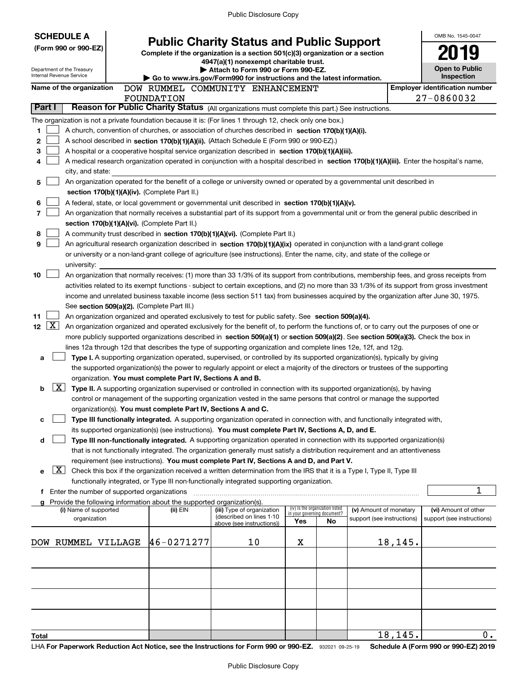| <b>Public Charity Status and Public Support</b><br>(Form 990 or 990-EZ)<br>Complete if the organization is a section 501(c)(3) organization or a section                                                                            |                  |  |  |  |  |  |  |  |  |  |
|-------------------------------------------------------------------------------------------------------------------------------------------------------------------------------------------------------------------------------------|------------------|--|--|--|--|--|--|--|--|--|
|                                                                                                                                                                                                                                     |                  |  |  |  |  |  |  |  |  |  |
| 4947(a)(1) nonexempt charitable trust.                                                                                                                                                                                              |                  |  |  |  |  |  |  |  |  |  |
| <b>Open to Public</b><br>Attach to Form 990 or Form 990-EZ.<br>Department of the Treasury<br>Internal Revenue Service<br>Inspection                                                                                                 |                  |  |  |  |  |  |  |  |  |  |
| Go to www.irs.gov/Form990 for instructions and the latest information.<br><b>Employer identification number</b><br>Name of the organization<br>DOW RUMMEL COMMUNITY ENHANCEMENT                                                     |                  |  |  |  |  |  |  |  |  |  |
| 27-0860032<br>FOUNDATION                                                                                                                                                                                                            |                  |  |  |  |  |  |  |  |  |  |
| Part I<br>Reason for Public Charity Status (All organizations must complete this part.) See instructions.                                                                                                                           |                  |  |  |  |  |  |  |  |  |  |
| The organization is not a private foundation because it is: (For lines 1 through 12, check only one box.)                                                                                                                           |                  |  |  |  |  |  |  |  |  |  |
| 1<br>A church, convention of churches, or association of churches described in section 170(b)(1)(A)(i).                                                                                                                             |                  |  |  |  |  |  |  |  |  |  |
| 2<br>A school described in section 170(b)(1)(A)(ii). (Attach Schedule E (Form 990 or 990-EZ).)                                                                                                                                      |                  |  |  |  |  |  |  |  |  |  |
| 3<br>A hospital or a cooperative hospital service organization described in section 170(b)(1)(A)(iii).                                                                                                                              |                  |  |  |  |  |  |  |  |  |  |
| A medical research organization operated in conjunction with a hospital described in section 170(b)(1)(A)(iii). Enter the hospital's name,<br>4                                                                                     |                  |  |  |  |  |  |  |  |  |  |
| city, and state:                                                                                                                                                                                                                    |                  |  |  |  |  |  |  |  |  |  |
| An organization operated for the benefit of a college or university owned or operated by a governmental unit described in<br>5                                                                                                      |                  |  |  |  |  |  |  |  |  |  |
| section 170(b)(1)(A)(iv). (Complete Part II.)                                                                                                                                                                                       |                  |  |  |  |  |  |  |  |  |  |
| 6<br>A federal, state, or local government or governmental unit described in section 170(b)(1)(A)(v).                                                                                                                               |                  |  |  |  |  |  |  |  |  |  |
| 7<br>An organization that normally receives a substantial part of its support from a governmental unit or from the general public described in                                                                                      |                  |  |  |  |  |  |  |  |  |  |
| section 170(b)(1)(A)(vi). (Complete Part II.)<br>8                                                                                                                                                                                  |                  |  |  |  |  |  |  |  |  |  |
| A community trust described in section 170(b)(1)(A)(vi). (Complete Part II.)<br>9<br>An agricultural research organization described in section 170(b)(1)(A)(ix) operated in conjunction with a land-grant college                  |                  |  |  |  |  |  |  |  |  |  |
| or university or a non-land-grant college of agriculture (see instructions). Enter the name, city, and state of the college or                                                                                                      |                  |  |  |  |  |  |  |  |  |  |
| university:                                                                                                                                                                                                                         |                  |  |  |  |  |  |  |  |  |  |
| 10<br>An organization that normally receives: (1) more than 33 1/3% of its support from contributions, membership fees, and gross receipts from                                                                                     |                  |  |  |  |  |  |  |  |  |  |
| activities related to its exempt functions - subject to certain exceptions, and (2) no more than 33 1/3% of its support from gross investment                                                                                       |                  |  |  |  |  |  |  |  |  |  |
| income and unrelated business taxable income (less section 511 tax) from businesses acquired by the organization after June 30, 1975.                                                                                               |                  |  |  |  |  |  |  |  |  |  |
| See section 509(a)(2). (Complete Part III.)                                                                                                                                                                                         |                  |  |  |  |  |  |  |  |  |  |
| 11<br>An organization organized and operated exclusively to test for public safety. See section 509(a)(4).                                                                                                                          |                  |  |  |  |  |  |  |  |  |  |
| $\mathbf{X}$<br>12 <sub>2</sub><br>An organization organized and operated exclusively for the benefit of, to perform the functions of, or to carry out the purposes of one or                                                       |                  |  |  |  |  |  |  |  |  |  |
| more publicly supported organizations described in section 509(a)(1) or section 509(a)(2). See section 509(a)(3). Check the box in                                                                                                  |                  |  |  |  |  |  |  |  |  |  |
| lines 12a through 12d that describes the type of supporting organization and complete lines 12e, 12f, and 12g.                                                                                                                      |                  |  |  |  |  |  |  |  |  |  |
| Type I. A supporting organization operated, supervised, or controlled by its supported organization(s), typically by giving<br>а                                                                                                    |                  |  |  |  |  |  |  |  |  |  |
| the supported organization(s) the power to regularly appoint or elect a majority of the directors or trustees of the supporting                                                                                                     |                  |  |  |  |  |  |  |  |  |  |
| organization. You must complete Part IV, Sections A and B.<br>$\mathbf{X}$<br>b<br>Type II. A supporting organization supervised or controlled in connection with its supported organization(s), by having                          |                  |  |  |  |  |  |  |  |  |  |
| control or management of the supporting organization vested in the same persons that control or manage the supported                                                                                                                |                  |  |  |  |  |  |  |  |  |  |
| organization(s). You must complete Part IV, Sections A and C.                                                                                                                                                                       |                  |  |  |  |  |  |  |  |  |  |
| Type III functionally integrated. A supporting organization operated in connection with, and functionally integrated with,<br>с                                                                                                     |                  |  |  |  |  |  |  |  |  |  |
| its supported organization(s) (see instructions). You must complete Part IV, Sections A, D, and E.                                                                                                                                  |                  |  |  |  |  |  |  |  |  |  |
| Type III non-functionally integrated. A supporting organization operated in connection with its supported organization(s)<br>d                                                                                                      |                  |  |  |  |  |  |  |  |  |  |
| that is not functionally integrated. The organization generally must satisfy a distribution requirement and an attentiveness                                                                                                        |                  |  |  |  |  |  |  |  |  |  |
| requirement (see instructions). You must complete Part IV, Sections A and D, and Part V.                                                                                                                                            |                  |  |  |  |  |  |  |  |  |  |
| $\mathbf{X}$<br>Check this box if the organization received a written determination from the IRS that it is a Type I, Type II, Type III<br>е                                                                                        |                  |  |  |  |  |  |  |  |  |  |
| functionally integrated, or Type III non-functionally integrated supporting organization.                                                                                                                                           |                  |  |  |  |  |  |  |  |  |  |
| 1<br>Enter the number of supported organizations<br>f.                                                                                                                                                                              |                  |  |  |  |  |  |  |  |  |  |
| Provide the following information about the supported organization(s).<br>g<br>(iv) Is the organization listed<br>(i) Name of supported<br>(ii) EIN<br>(iii) Type of organization<br>(v) Amount of monetary<br>(vi) Amount of other |                  |  |  |  |  |  |  |  |  |  |
| in your governing document?<br>(described on lines 1-10<br>organization<br>support (see instructions)<br>support (see instructions)<br>Yes<br>No                                                                                    |                  |  |  |  |  |  |  |  |  |  |
| above (see instructions))                                                                                                                                                                                                           |                  |  |  |  |  |  |  |  |  |  |
| 46-0271277<br>10<br>18,145.<br>DOW RUMMEL VILLAGE<br>х                                                                                                                                                                              |                  |  |  |  |  |  |  |  |  |  |
|                                                                                                                                                                                                                                     |                  |  |  |  |  |  |  |  |  |  |
|                                                                                                                                                                                                                                     |                  |  |  |  |  |  |  |  |  |  |
|                                                                                                                                                                                                                                     |                  |  |  |  |  |  |  |  |  |  |
|                                                                                                                                                                                                                                     |                  |  |  |  |  |  |  |  |  |  |
|                                                                                                                                                                                                                                     |                  |  |  |  |  |  |  |  |  |  |
|                                                                                                                                                                                                                                     |                  |  |  |  |  |  |  |  |  |  |
|                                                                                                                                                                                                                                     |                  |  |  |  |  |  |  |  |  |  |
| 18, 145.<br><b>Total</b>                                                                                                                                                                                                            | $\overline{0}$ . |  |  |  |  |  |  |  |  |  |

LHA For Paperwork Reduction Act Notice, see the Instructions for Form 990 or 990-EZ. 932021 09-25-19 Schedule A (Form 990 or 990-EZ) 2019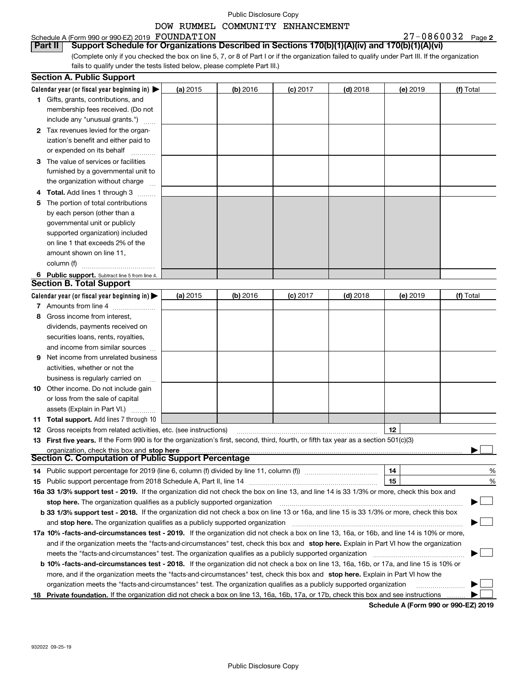# DOW RUMMEL COMMUNITY ENHANCEMENT

| Schedule A (Form 990 or 990-EZ) 2019 FOUNDATION                                                                                                 | 27-0860032<br>Page 2 |
|-------------------------------------------------------------------------------------------------------------------------------------------------|----------------------|
| Part II Support Schedule for Organizations Described in Sections 170(b)(1)(A)(iv) and 170(b)(1)(A)(vi)                                          |                      |
| (Complete only if you checked the box on line 5, 7, or 8 of Part I or if the organization failed to qualify under Part III. If the organization |                      |
| tails to qualify under the tests listed below, please complete Part III.                                                                        |                      |

|    | <b>Section A. Public Support</b>                                                                                                               |          |            |            |                 |          |                                             |
|----|------------------------------------------------------------------------------------------------------------------------------------------------|----------|------------|------------|-----------------|----------|---------------------------------------------|
|    | Calendar year (or fiscal year beginning in) $\blacktriangleright$                                                                              | (a) 2015 | (b) 2016   | $(c)$ 2017 | <b>(d)</b> 2018 | (e) 2019 | (f) Total                                   |
|    | <b>1</b> Gifts, grants, contributions, and                                                                                                     |          |            |            |                 |          |                                             |
|    | membership fees received. (Do not                                                                                                              |          |            |            |                 |          |                                             |
|    | include any "unusual grants.")                                                                                                                 |          |            |            |                 |          |                                             |
|    | 2 Tax revenues levied for the organ-                                                                                                           |          |            |            |                 |          |                                             |
|    | ization's benefit and either paid to                                                                                                           |          |            |            |                 |          |                                             |
|    | or expended on its behalf                                                                                                                      |          |            |            |                 |          |                                             |
|    | 3 The value of services or facilities                                                                                                          |          |            |            |                 |          |                                             |
|    | furnished by a governmental unit to                                                                                                            |          |            |            |                 |          |                                             |
|    | the organization without charge                                                                                                                |          |            |            |                 |          |                                             |
|    | 4 Total. Add lines 1 through 3                                                                                                                 |          |            |            |                 |          |                                             |
| 5  | The portion of total contributions                                                                                                             |          |            |            |                 |          |                                             |
|    | by each person (other than a                                                                                                                   |          |            |            |                 |          |                                             |
|    | governmental unit or publicly                                                                                                                  |          |            |            |                 |          |                                             |
|    | supported organization) included                                                                                                               |          |            |            |                 |          |                                             |
|    | on line 1 that exceeds 2% of the                                                                                                               |          |            |            |                 |          |                                             |
|    | amount shown on line 11,                                                                                                                       |          |            |            |                 |          |                                             |
|    | column (f)                                                                                                                                     |          |            |            |                 |          |                                             |
|    | 6 Public support. Subtract line 5 from line 4.                                                                                                 |          |            |            |                 |          |                                             |
|    | <b>Section B. Total Support</b>                                                                                                                |          |            |            |                 |          |                                             |
|    | Calendar year (or fiscal year beginning in) $\blacktriangleright$                                                                              | (a) 2015 | $(b)$ 2016 | $(c)$ 2017 | $(d)$ 2018      | (e) 2019 | (f) Total                                   |
|    | 7 Amounts from line 4                                                                                                                          |          |            |            |                 |          |                                             |
| 8. | Gross income from interest,                                                                                                                    |          |            |            |                 |          |                                             |
|    | dividends, payments received on                                                                                                                |          |            |            |                 |          |                                             |
|    | securities loans, rents, royalties,                                                                                                            |          |            |            |                 |          |                                             |
|    | and income from similar sources                                                                                                                |          |            |            |                 |          |                                             |
|    | <b>9</b> Net income from unrelated business                                                                                                    |          |            |            |                 |          |                                             |
|    | activities, whether or not the                                                                                                                 |          |            |            |                 |          |                                             |
|    | business is regularly carried on                                                                                                               |          |            |            |                 |          |                                             |
|    | <b>10</b> Other income. Do not include gain                                                                                                    |          |            |            |                 |          |                                             |
|    | or loss from the sale of capital                                                                                                               |          |            |            |                 |          |                                             |
|    | assets (Explain in Part VI.)                                                                                                                   |          |            |            |                 |          |                                             |
|    | 11 Total support. Add lines 7 through 10                                                                                                       |          |            |            |                 |          |                                             |
|    | <b>12</b> Gross receipts from related activities, etc. (see instructions)                                                                      |          |            |            |                 | 12       |                                             |
|    | 13 First five years. If the Form 990 is for the organization's first, second, third, fourth, or fifth tax year as a section 501(c)(3)          |          |            |            |                 |          |                                             |
|    | organization, check this box and stop here                                                                                                     |          |            |            |                 |          |                                             |
|    | <b>Section C. Computation of Public Support Percentage</b>                                                                                     |          |            |            |                 |          |                                             |
|    | 14 Public support percentage for 2019 (line 6, column (f) divided by line 11, column (f) <i>mummumumum</i>                                     |          |            |            |                 | 14       | %                                           |
|    |                                                                                                                                                |          |            |            |                 | 15       | %                                           |
|    | 16a 33 1/3% support test - 2019. If the organization did not check the box on line 13, and line 14 is 33 1/3% or more, check this box and      |          |            |            |                 |          |                                             |
|    | stop here. The organization qualifies as a publicly supported organization                                                                     |          |            |            |                 |          |                                             |
|    | b 33 1/3% support test - 2018. If the organization did not check a box on line 13 or 16a, and line 15 is 33 1/3% or more, check this box       |          |            |            |                 |          |                                             |
|    | and stop here. The organization qualifies as a publicly supported organization                                                                 |          |            |            |                 |          |                                             |
|    | 17a 10% -facts-and-circumstances test - 2019. If the organization did not check a box on line 13, 16a, or 16b, and line 14 is 10% or more,     |          |            |            |                 |          |                                             |
|    | and if the organization meets the "facts-and-circumstances" test, check this box and stop here. Explain in Part VI how the organization        |          |            |            |                 |          |                                             |
|    | meets the "facts-and-circumstances" test. The organization qualifies as a publicly supported organization                                      |          |            |            |                 |          |                                             |
|    | <b>b 10% -facts-and-circumstances test - 2018.</b> If the organization did not check a box on line 13, 16a, 16b, or 17a, and line 15 is 10% or |          |            |            |                 |          |                                             |
|    | more, and if the organization meets the "facts-and-circumstances" test, check this box and stop here. Explain in Part VI how the               |          |            |            |                 |          |                                             |
|    | organization meets the "facts-and-circumstances" test. The organization qualifies as a publicly supported organization                         |          |            |            |                 |          |                                             |
|    | 18 Private foundation. If the organization did not check a box on line 13, 16a, 16b, 17a, or 17b, check this box and see instructions          |          |            |            |                 |          |                                             |
|    |                                                                                                                                                |          |            |            |                 |          | <b>Cohodulo A (Form 000 or 000 EZ) 2010</b> |

**Schedule A (Form 990 or 990-EZ) 2019**

fails to qualify under the tests listed below, please complete Part III.)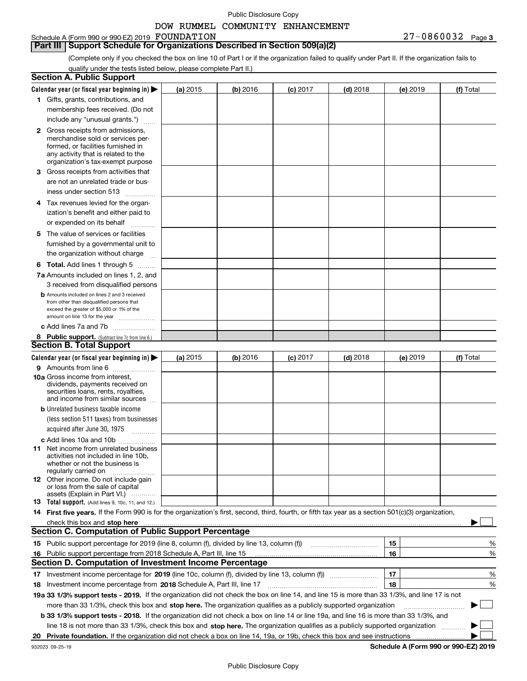# DOW RUMMEL COMMUNITY ENHANCEMENT

| Schedule A (Form 990 or 990-EZ) 2019 $\,$ $\rm \,FOUNDATION$ |  |  | $27 - 0860032$ Page 3 |  |
|--------------------------------------------------------------|--|--|-----------------------|--|
|                                                              |  |  |                       |  |

**Part III** | Support Schedule for Organizations Described in Section 509(a)(2)

(Complete only if you checked the box on line 10 of Part I or if the organization failed to qualify under Part II. If the organization fails to qualify under the tests listed below, please complete Part II.)

|    | <b>Section A. Public Support</b>                                                                                                                                                                                         |            |          |            |            |    |          |                                      |   |
|----|--------------------------------------------------------------------------------------------------------------------------------------------------------------------------------------------------------------------------|------------|----------|------------|------------|----|----------|--------------------------------------|---|
|    | Calendar year (or fiscal year beginning in) $\blacktriangleright$                                                                                                                                                        | (a) 2015   | (b) 2016 | $(c)$ 2017 | $(d)$ 2018 |    | (e) 2019 | (f) Total                            |   |
|    | 1 Gifts, grants, contributions, and                                                                                                                                                                                      |            |          |            |            |    |          |                                      |   |
|    | membership fees received. (Do not                                                                                                                                                                                        |            |          |            |            |    |          |                                      |   |
|    | include any "unusual grants.")                                                                                                                                                                                           |            |          |            |            |    |          |                                      |   |
|    | 2 Gross receipts from admissions,<br>merchandise sold or services per-<br>formed, or facilities furnished in<br>any activity that is related to the<br>organization's tax-exempt purpose                                 |            |          |            |            |    |          |                                      |   |
|    | 3 Gross receipts from activities that<br>are not an unrelated trade or bus-                                                                                                                                              |            |          |            |            |    |          |                                      |   |
|    | iness under section 513                                                                                                                                                                                                  |            |          |            |            |    |          |                                      |   |
|    | 4 Tax revenues levied for the organ-<br>ization's benefit and either paid to                                                                                                                                             |            |          |            |            |    |          |                                      |   |
|    | or expended on its behalf<br>.                                                                                                                                                                                           |            |          |            |            |    |          |                                      |   |
|    | 5 The value of services or facilities<br>furnished by a governmental unit to<br>the organization without charge                                                                                                          |            |          |            |            |    |          |                                      |   |
|    | <b>6 Total.</b> Add lines 1 through 5                                                                                                                                                                                    |            |          |            |            |    |          |                                      |   |
|    | 7a Amounts included on lines 1, 2, and                                                                                                                                                                                   |            |          |            |            |    |          |                                      |   |
|    | 3 received from disqualified persons<br><b>b</b> Amounts included on lines 2 and 3 received<br>from other than disqualified persons that<br>exceed the greater of \$5,000 or 1% of the<br>amount on line 13 for the year |            |          |            |            |    |          |                                      |   |
|    | c Add lines 7a and 7b                                                                                                                                                                                                    |            |          |            |            |    |          |                                      |   |
|    | 8 Public support. (Subtract line 7c from line 6.)                                                                                                                                                                        |            |          |            |            |    |          |                                      |   |
|    | <b>Section B. Total Support</b>                                                                                                                                                                                          |            |          |            |            |    |          |                                      |   |
|    | Calendar year (or fiscal year beginning in) $\blacktriangleright$                                                                                                                                                        | (a) $2015$ | (b) 2016 | $(c)$ 2017 | $(d)$ 2018 |    | (e) 2019 | (f) Total                            |   |
|    | 9 Amounts from line 6                                                                                                                                                                                                    |            |          |            |            |    |          |                                      |   |
|    | 10a Gross income from interest,<br>dividends, payments received on<br>securities loans, rents, royalties,<br>and income from similar sources                                                                             |            |          |            |            |    |          |                                      |   |
|    | <b>b</b> Unrelated business taxable income                                                                                                                                                                               |            |          |            |            |    |          |                                      |   |
|    | (less section 511 taxes) from businesses<br>acquired after June 30, 1975<br>1.1.1.1.1.1.1.1.1.1                                                                                                                          |            |          |            |            |    |          |                                      |   |
|    | c Add lines 10a and 10b                                                                                                                                                                                                  |            |          |            |            |    |          |                                      |   |
|    | <b>11</b> Net income from unrelated business<br>activities not included in line 10b,<br>whether or not the business is<br>regularly carried on                                                                           |            |          |            |            |    |          |                                      |   |
|    | <b>12</b> Other income. Do not include gain<br>or loss from the sale of capital<br>assets (Explain in Part VI.)                                                                                                          |            |          |            |            |    |          |                                      |   |
|    | <b>13</b> Total support. (Add lines 9, 10c, 11, and 12.)                                                                                                                                                                 |            |          |            |            |    |          |                                      |   |
|    | 14 First five years. If the Form 990 is for the organization's first, second, third, fourth, or fifth tax year as a section 501(c)(3) organization,                                                                      |            |          |            |            |    |          |                                      |   |
|    |                                                                                                                                                                                                                          |            |          |            |            |    |          |                                      |   |
|    | <b>Section C. Computation of Public Support Percentage</b>                                                                                                                                                               |            |          |            |            |    |          |                                      |   |
|    | 15 Public support percentage for 2019 (line 8, column (f), divided by line 13, column (f))                                                                                                                               |            |          |            |            | 15 |          |                                      | % |
|    | 16 Public support percentage from 2018 Schedule A, Part III, line 15                                                                                                                                                     |            |          |            |            | 16 |          |                                      | % |
|    | <b>Section D. Computation of Investment Income Percentage</b>                                                                                                                                                            |            |          |            |            |    |          |                                      |   |
|    | 17 Investment income percentage for 2019 (line 10c, column (f), divided by line 13, column (f))                                                                                                                          |            |          |            |            | 17 |          |                                      | % |
|    | 18 Investment income percentage from 2018 Schedule A, Part III, line 17                                                                                                                                                  |            |          |            |            | 18 |          |                                      | % |
|    | 19a 33 1/3% support tests - 2019. If the organization did not check the box on line 14, and line 15 is more than 33 1/3%, and line 17 is not                                                                             |            |          |            |            |    |          |                                      |   |
|    | more than 33 1/3%, check this box and stop here. The organization qualifies as a publicly supported organization                                                                                                         |            |          |            |            |    |          |                                      |   |
|    | b 33 1/3% support tests - 2018. If the organization did not check a box on line 14 or line 19a, and line 16 is more than 33 1/3%, and                                                                                    |            |          |            |            |    |          |                                      |   |
|    | line 18 is not more than 33 1/3%, check this box and stop here. The organization qualifies as a publicly supported organization                                                                                          |            |          |            |            |    |          |                                      |   |
| 20 | Private foundation. If the organization did not check a box on line 14, 19a, or 19b, check this box and see instructions                                                                                                 |            |          |            |            |    |          |                                      |   |
|    | 932023 09-25-19                                                                                                                                                                                                          |            |          |            |            |    |          | Schedule A (Form 990 or 990-EZ) 2019 |   |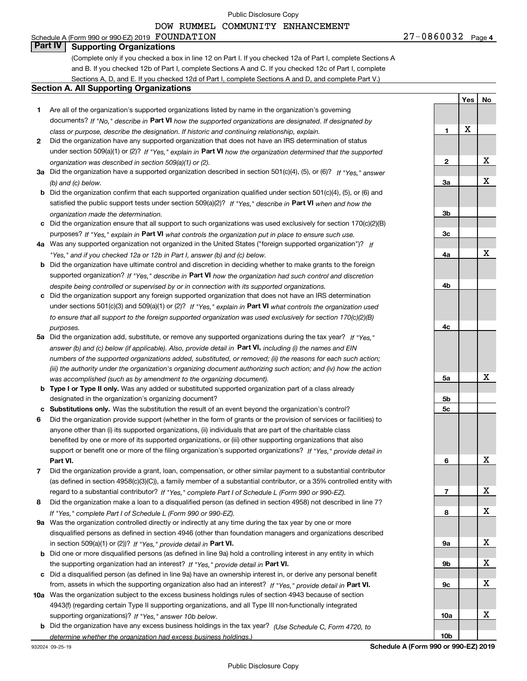#### DOW RUMMEL COMMUNITY ENHANCEMENT

# Schedule A (Form 990 or 990-EZ) 2019 Page FOUNDATION 27-0860032

**Part IV Supporting Organizations**

(Complete only if you checked a box in line 12 on Part I. If you checked 12a of Part I, complete Sections A and B. If you checked 12b of Part I, complete Sections A and C. If you checked 12c of Part I, complete Sections A, D, and E. If you checked 12d of Part I, complete Sections A and D, and complete Part V.)

# **Section A. All Supporting Organizations**

- **2** Did the organization have any supported organization that does not have an IRS determination of status under section 509(a)(1) or (2)? If "Yes," explain in Part VI how the organization determined that the supported *organization was described in section 509(a)(1) or (2).*
- **3a** Did the organization have a supported organization described in section 501(c)(4), (5), or (6)? If "Yes," answer *(b) and (c) below.*
- **b** Did the organization confirm that each supported organization qualified under section 501(c)(4), (5), or (6) and satisfied the public support tests under section 509(a)(2)? If "Yes," describe in **Part VI** when and how the *organization made the determination.*
- **c**Did the organization ensure that all support to such organizations was used exclusively for section 170(c)(2)(B) purposes? If "Yes," explain in **Part VI** what controls the organization put in place to ensure such use.
- **4a***If* Was any supported organization not organized in the United States ("foreign supported organization")? *"Yes," and if you checked 12a or 12b in Part I, answer (b) and (c) below.*
- **b** Did the organization have ultimate control and discretion in deciding whether to make grants to the foreign supported organization? If "Yes," describe in **Part VI** how the organization had such control and discretion *despite being controlled or supervised by or in connection with its supported organizations.*
- **c** Did the organization support any foreign supported organization that does not have an IRS determination under sections 501(c)(3) and 509(a)(1) or (2)? If "Yes," explain in **Part VI** what controls the organization used *to ensure that all support to the foreign supported organization was used exclusively for section 170(c)(2)(B) purposes.*
- **5a** Did the organization add, substitute, or remove any supported organizations during the tax year? If "Yes," answer (b) and (c) below (if applicable). Also, provide detail in **Part VI,** including (i) the names and EIN *numbers of the supported organizations added, substituted, or removed; (ii) the reasons for each such action; (iii) the authority under the organization's organizing document authorizing such action; and (iv) how the action was accomplished (such as by amendment to the organizing document).*
- **b** Type I or Type II only. Was any added or substituted supported organization part of a class already designated in the organization's organizing document?
- **cSubstitutions only.**  Was the substitution the result of an event beyond the organization's control?
- **6** Did the organization provide support (whether in the form of grants or the provision of services or facilities) to **Part VI.** *If "Yes," provide detail in* support or benefit one or more of the filing organization's supported organizations? anyone other than (i) its supported organizations, (ii) individuals that are part of the charitable class benefited by one or more of its supported organizations, or (iii) other supporting organizations that also
- **7**Did the organization provide a grant, loan, compensation, or other similar payment to a substantial contributor *If "Yes," complete Part I of Schedule L (Form 990 or 990-EZ).* regard to a substantial contributor? (as defined in section 4958(c)(3)(C)), a family member of a substantial contributor, or a 35% controlled entity with
- **8** Did the organization make a loan to a disqualified person (as defined in section 4958) not described in line 7? *If "Yes," complete Part I of Schedule L (Form 990 or 990-EZ).*
- **9a** Was the organization controlled directly or indirectly at any time during the tax year by one or more in section 509(a)(1) or (2))? If "Yes," *provide detail in* <code>Part VI.</code> disqualified persons as defined in section 4946 (other than foundation managers and organizations described
- **b** Did one or more disqualified persons (as defined in line 9a) hold a controlling interest in any entity in which the supporting organization had an interest? If "Yes," provide detail in P**art VI**.
- **c**Did a disqualified person (as defined in line 9a) have an ownership interest in, or derive any personal benefit from, assets in which the supporting organization also had an interest? If "Yes," provide detail in P**art VI.**
- **10a** Was the organization subject to the excess business holdings rules of section 4943 because of section supporting organizations)? If "Yes," answer 10b below. 4943(f) (regarding certain Type II supporting organizations, and all Type III non-functionally integrated
- **b** Did the organization have any excess business holdings in the tax year? (Use Schedule C, Form 4720, to *determine whether the organization had excess business holdings.)*

27-0860032 Page 4

**1**

**2**

**3a**

**3b**

**3c**

**4a**

**4b**

**4c**

**5a**

**5b5c**

**6**

**7**

**8**

**9a**

**9b**

**9c**

**10a**

**10b**

**Yes**

X

 **No**

X

X

X

X

X

X

X

X

X

X

X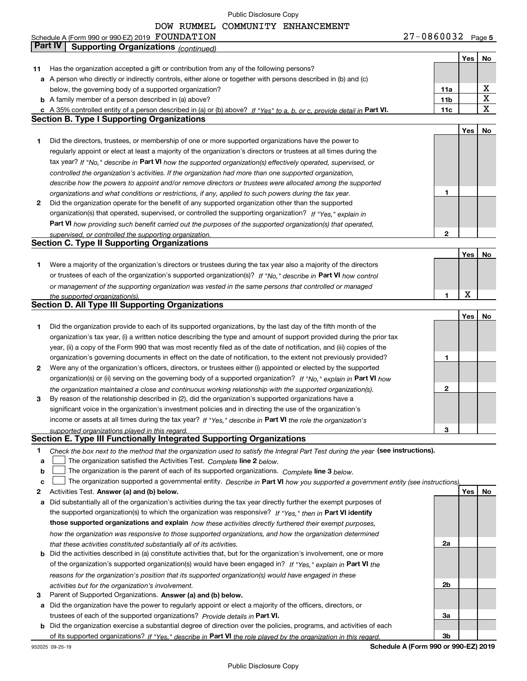DOW RUMMEL COMMUNITY ENHANCEMENT

|    | Schedule A (Form 990 or 990-EZ) 2019 FOUNDATION                                                                                   | $27 - 0860032$ Page 5 |     |                         |
|----|-----------------------------------------------------------------------------------------------------------------------------------|-----------------------|-----|-------------------------|
|    | <b>Part IV</b><br><b>Supporting Organizations (continued)</b>                                                                     |                       |     |                         |
|    |                                                                                                                                   |                       | Yes | No                      |
| 11 | Has the organization accepted a gift or contribution from any of the following persons?                                           |                       |     |                         |
|    | a A person who directly or indirectly controls, either alone or together with persons described in (b) and (c)                    |                       |     |                         |
|    | below, the governing body of a supported organization?                                                                            | 11a                   |     | х                       |
|    | <b>b</b> A family member of a person described in (a) above?                                                                      | 11 <sub>b</sub>       |     | $\overline{\textbf{X}}$ |
|    | c A 35% controlled entity of a person described in (a) or (b) above? If "Yes" to a, b, or c, provide detail in Part VI.           | 11c                   |     | $\overline{\mathbf{x}}$ |
|    | <b>Section B. Type I Supporting Organizations</b>                                                                                 |                       |     |                         |
|    |                                                                                                                                   |                       | Yes | No                      |
| 1  | Did the directors, trustees, or membership of one or more supported organizations have the power to                               |                       |     |                         |
|    | regularly appoint or elect at least a majority of the organization's directors or trustees at all times during the                |                       |     |                         |
|    | tax year? If "No," describe in Part VI how the supported organization(s) effectively operated, supervised, or                     |                       |     |                         |
|    | controlled the organization's activities. If the organization had more than one supported organization,                           |                       |     |                         |
|    | describe how the powers to appoint and/or remove directors or trustees were allocated among the supported                         |                       |     |                         |
|    | organizations and what conditions or restrictions, if any, applied to such powers during the tax year.                            | 1                     |     |                         |
| 2  | Did the organization operate for the benefit of any supported organization other than the supported                               |                       |     |                         |
|    | organization(s) that operated, supervised, or controlled the supporting organization? If "Yes," explain in                        |                       |     |                         |
|    | Part VI how providing such benefit carried out the purposes of the supported organization(s) that operated,                       |                       |     |                         |
|    | supervised, or controlled the supporting organization.<br><b>Section C. Type II Supporting Organizations</b>                      | $\mathbf{2}$          |     |                         |
|    |                                                                                                                                   |                       | Yes | No                      |
| 1  | Were a majority of the organization's directors or trustees during the tax year also a majority of the directors                  |                       |     |                         |
|    | or trustees of each of the organization's supported organization(s)? If "No," describe in Part VI how control                     |                       |     |                         |
|    | or management of the supporting organization was vested in the same persons that controlled or managed                            |                       |     |                         |
|    | the supported organization(s).                                                                                                    | 1                     | X   |                         |
|    | <b>Section D. All Type III Supporting Organizations</b>                                                                           |                       |     |                         |
|    |                                                                                                                                   |                       | Yes | No                      |
| 1  | Did the organization provide to each of its supported organizations, by the last day of the fifth month of the                    |                       |     |                         |
|    | organization's tax year, (i) a written notice describing the type and amount of support provided during the prior tax             |                       |     |                         |
|    | year, (ii) a copy of the Form 990 that was most recently filed as of the date of notification, and (iii) copies of the            |                       |     |                         |
|    | organization's governing documents in effect on the date of notification, to the extent not previously provided?                  | 1                     |     |                         |
| 2  | Were any of the organization's officers, directors, or trustees either (i) appointed or elected by the supported                  |                       |     |                         |
|    | organization(s) or (ii) serving on the governing body of a supported organization? If "No," explain in Part VI how                |                       |     |                         |
|    | the organization maintained a close and continuous working relationship with the supported organization(s).                       | $\mathbf{2}$          |     |                         |
| 3  | By reason of the relationship described in (2), did the organization's supported organizations have a                             |                       |     |                         |
|    | significant voice in the organization's investment policies and in directing the use of the organization's                        |                       |     |                         |
|    | income or assets at all times during the tax year? If "Yes," describe in Part VI the role the organization's                      |                       |     |                         |
|    | supported organizations played in this regard.                                                                                    | 3                     |     |                         |
|    | Section E. Type III Functionally Integrated Supporting Organizations                                                              |                       |     |                         |
| 1  | Check the box next to the method that the organization used to satisfy the Integral Part Test during the year (see instructions). |                       |     |                         |
| a  | The organization satisfied the Activities Test. Complete line 2 below.                                                            |                       |     |                         |
| b  | The organization is the parent of each of its supported organizations. Complete line 3 below.                                     |                       |     |                         |
| c  | The organization supported a governmental entity. Describe in Part VI how you supported a government entity (see instructions),   |                       |     |                         |
| 2  | Activities Test. Answer (a) and (b) below.                                                                                        |                       | Yes | No                      |
| а  | Did substantially all of the organization's activities during the tax year directly further the exempt purposes of                |                       |     |                         |
|    | the supported organization(s) to which the organization was responsive? If "Yes," then in Part VI identify                        |                       |     |                         |
|    | those supported organizations and explain how these activities directly furthered their exempt purposes,                          |                       |     |                         |
|    | how the organization was responsive to those supported organizations, and how the organization determined                         |                       |     |                         |
|    | that these activities constituted substantially all of its activities.                                                            | 2a                    |     |                         |
|    | <b>b</b> Did the activities described in (a) constitute activities that, but for the organization's involvement, one or more      |                       |     |                         |
|    | of the organization's supported organization(s) would have been engaged in? If "Yes," explain in Part VI the                      |                       |     |                         |
|    | reasons for the organization's position that its supported organization(s) would have engaged in these                            |                       |     |                         |
| з  | activities but for the organization's involvement.<br>Parent of Supported Organizations. Answer (a) and (b) below.                | 2b                    |     |                         |
|    | a Did the organization have the power to regularly appoint or elect a majority of the officers, directors, or                     |                       |     |                         |
|    | trustees of each of the supported organizations? Provide details in Part VI.                                                      | За                    |     |                         |
|    | <b>b</b> Did the organization exercise a substantial degree of direction over the policies, programs, and activities of each      |                       |     |                         |
|    | of its supported organizations? If "Yes." describe in Part VI the role played by the organization in this regard.                 | 3b                    |     |                         |
|    |                                                                                                                                   |                       |     |                         |

932025 09-25-19

**Schedule A (Form 990 or 990-EZ) 2019**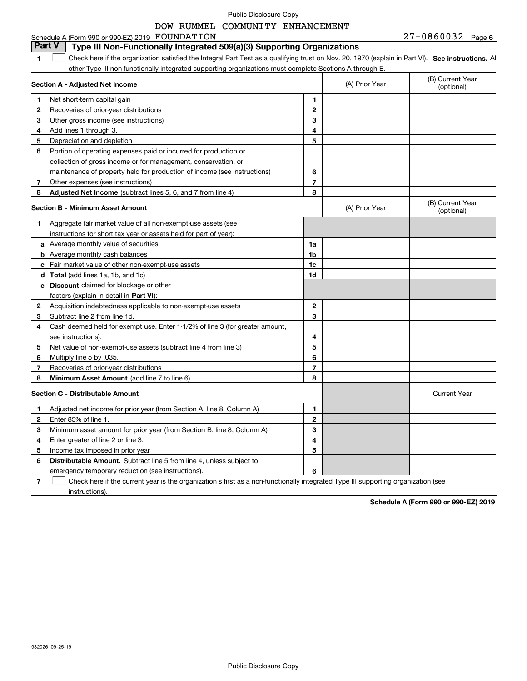### Schedule A (Form 990 or 990-EZ) 2019 Page FOUNDATION 27-0860032 **Part V Type III Non-Functionally Integrated 509(a)(3) Supporting Organizations**

**1SEP 10. See instructions.** All antegral Part Test as a qualifying trust on Nov. 20, 1970 (explain in Part VI). See instructions. All other Type III non-functionally integrated supporting organizations must complete Sections A through E.  $\mathcal{L}^{\text{max}}$ 

|    | Section A - Adjusted Net Income                                              |                | (A) Prior Year | (B) Current Year<br>(optional) |
|----|------------------------------------------------------------------------------|----------------|----------------|--------------------------------|
| 1  | Net short-term capital gain                                                  | 1              |                |                                |
| 2  | Recoveries of prior-year distributions                                       | $\mathbf{2}$   |                |                                |
| 3  | Other gross income (see instructions)                                        | 3              |                |                                |
| 4  | Add lines 1 through 3.                                                       | 4              |                |                                |
| 5  | Depreciation and depletion                                                   | 5              |                |                                |
| 6  | Portion of operating expenses paid or incurred for production or             |                |                |                                |
|    | collection of gross income or for management, conservation, or               |                |                |                                |
|    | maintenance of property held for production of income (see instructions)     | 6              |                |                                |
| 7  | Other expenses (see instructions)                                            | $\overline{7}$ |                |                                |
| 8  | Adjusted Net Income (subtract lines 5, 6, and 7 from line 4)                 | 8              |                |                                |
|    | <b>Section B - Minimum Asset Amount</b>                                      |                | (A) Prior Year | (B) Current Year<br>(optional) |
| 1. | Aggregate fair market value of all non-exempt-use assets (see                |                |                |                                |
|    | instructions for short tax year or assets held for part of year):            |                |                |                                |
|    | <b>a</b> Average monthly value of securities                                 | 1a             |                |                                |
|    | <b>b</b> Average monthly cash balances                                       | 1b             |                |                                |
|    | c Fair market value of other non-exempt-use assets                           | 1c             |                |                                |
|    | <b>d</b> Total (add lines 1a, 1b, and 1c)                                    | 1d             |                |                                |
|    | e Discount claimed for blockage or other                                     |                |                |                                |
|    | factors (explain in detail in Part VI):                                      |                |                |                                |
| 2  | Acquisition indebtedness applicable to non-exempt-use assets                 | $\mathbf 2$    |                |                                |
| 3  | Subtract line 2 from line 1d.                                                | 3              |                |                                |
| 4  | Cash deemed held for exempt use. Enter 1-1/2% of line 3 (for greater amount, |                |                |                                |
|    | see instructions).                                                           | 4              |                |                                |
| 5  | Net value of non-exempt-use assets (subtract line 4 from line 3)             | 5              |                |                                |
| 6  | Multiply line 5 by .035.                                                     | 6              |                |                                |
| 7  | Recoveries of prior-year distributions                                       | $\overline{7}$ |                |                                |
| 8  | Minimum Asset Amount (add line 7 to line 6)                                  | 8              |                |                                |
|    | <b>Section C - Distributable Amount</b>                                      |                |                | <b>Current Year</b>            |
| 1  | Adjusted net income for prior year (from Section A, line 8, Column A)        | 1              |                |                                |
| 2  | Enter 85% of line 1.                                                         | $\overline{2}$ |                |                                |
| 3  | Minimum asset amount for prior year (from Section B, line 8, Column A)       | 3              |                |                                |
| 4  | Enter greater of line 2 or line 3.                                           | 4              |                |                                |
| 5  | Income tax imposed in prior year                                             | 5              |                |                                |
| 6  | <b>Distributable Amount.</b> Subtract line 5 from line 4, unless subject to  |                |                |                                |
|    | emergency temporary reduction (see instructions).                            | 6              |                |                                |

**7**Check here if the current year is the organization's first as a non-functionally integrated Type III supporting organization (see instructions).

**Schedule A (Form 990 or 990-EZ) 2019**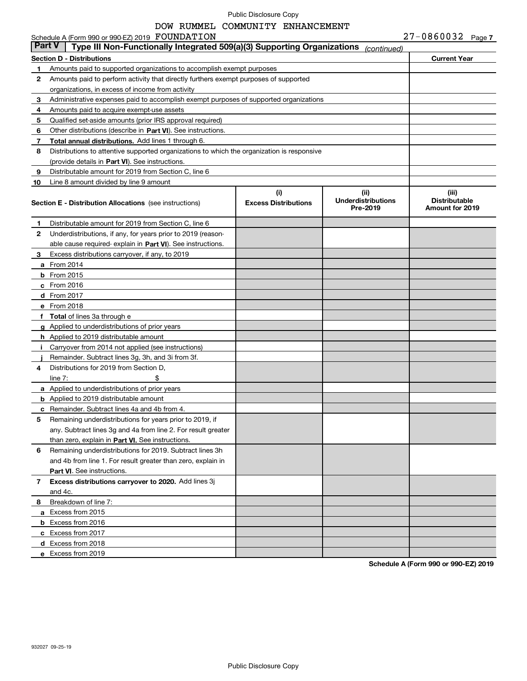# DOW RUMMEL COMMUNITY ENHANCEMENT

| <b>Part V</b> | Schedule A (Form 990 or 990-EZ) 2019 FOUNDATION<br>Type III Non-Functionally Integrated 509(a)(3) Supporting Organizations |                                    | (continued)                                   | 27-0860032 Page 7                                |  |
|---------------|----------------------------------------------------------------------------------------------------------------------------|------------------------------------|-----------------------------------------------|--------------------------------------------------|--|
|               | <b>Section D - Distributions</b>                                                                                           |                                    |                                               | <b>Current Year</b>                              |  |
| 1.            | Amounts paid to supported organizations to accomplish exempt purposes                                                      |                                    |                                               |                                                  |  |
| 2             | Amounts paid to perform activity that directly furthers exempt purposes of supported                                       |                                    |                                               |                                                  |  |
|               | organizations, in excess of income from activity                                                                           |                                    |                                               |                                                  |  |
| 3             | Administrative expenses paid to accomplish exempt purposes of supported organizations                                      |                                    |                                               |                                                  |  |
| 4             | Amounts paid to acquire exempt-use assets                                                                                  |                                    |                                               |                                                  |  |
| 5             | Qualified set-aside amounts (prior IRS approval required)                                                                  |                                    |                                               |                                                  |  |
| 6             | Other distributions (describe in Part VI). See instructions.                                                               |                                    |                                               |                                                  |  |
| 7             | Total annual distributions. Add lines 1 through 6.                                                                         |                                    |                                               |                                                  |  |
| 8             | Distributions to attentive supported organizations to which the organization is responsive                                 |                                    |                                               |                                                  |  |
|               | (provide details in Part VI). See instructions.                                                                            |                                    |                                               |                                                  |  |
| 9             | Distributable amount for 2019 from Section C, line 6                                                                       |                                    |                                               |                                                  |  |
| 10            | Line 8 amount divided by line 9 amount                                                                                     |                                    |                                               |                                                  |  |
|               | <b>Section E - Distribution Allocations</b> (see instructions)                                                             | (i)<br><b>Excess Distributions</b> | (ii)<br><b>Underdistributions</b><br>Pre-2019 | (iii)<br><b>Distributable</b><br>Amount for 2019 |  |
| 1             | Distributable amount for 2019 from Section C. line 6                                                                       |                                    |                                               |                                                  |  |
| 2             | Underdistributions, if any, for years prior to 2019 (reason-                                                               |                                    |                                               |                                                  |  |
|               | able cause required-explain in Part VI). See instructions.                                                                 |                                    |                                               |                                                  |  |
| 3             | Excess distributions carryover, if any, to 2019                                                                            |                                    |                                               |                                                  |  |
|               | <b>a</b> From 2014                                                                                                         |                                    |                                               |                                                  |  |
|               | $b$ From 2015                                                                                                              |                                    |                                               |                                                  |  |
|               | c From 2016                                                                                                                |                                    |                                               |                                                  |  |
|               | d From 2017                                                                                                                |                                    |                                               |                                                  |  |
|               | e From 2018                                                                                                                |                                    |                                               |                                                  |  |
|               | f Total of lines 3a through e                                                                                              |                                    |                                               |                                                  |  |
|               | g Applied to underdistributions of prior years                                                                             |                                    |                                               |                                                  |  |
|               | <b>h</b> Applied to 2019 distributable amount                                                                              |                                    |                                               |                                                  |  |
|               | i Carryover from 2014 not applied (see instructions)                                                                       |                                    |                                               |                                                  |  |
|               | Remainder. Subtract lines 3g, 3h, and 3i from 3f.                                                                          |                                    |                                               |                                                  |  |
| 4             | Distributions for 2019 from Section D,                                                                                     |                                    |                                               |                                                  |  |
|               | \$<br>line $7:$                                                                                                            |                                    |                                               |                                                  |  |
|               | <b>a</b> Applied to underdistributions of prior years                                                                      |                                    |                                               |                                                  |  |
|               | <b>b</b> Applied to 2019 distributable amount                                                                              |                                    |                                               |                                                  |  |
|               | c Remainder. Subtract lines 4a and 4b from 4.                                                                              |                                    |                                               |                                                  |  |
| 5             | Remaining underdistributions for years prior to 2019, if                                                                   |                                    |                                               |                                                  |  |
|               | any. Subtract lines 3g and 4a from line 2. For result greater                                                              |                                    |                                               |                                                  |  |
|               | than zero, explain in Part VI. See instructions.                                                                           |                                    |                                               |                                                  |  |
| 6             | Remaining underdistributions for 2019. Subtract lines 3h                                                                   |                                    |                                               |                                                  |  |
|               | and 4b from line 1. For result greater than zero, explain in                                                               |                                    |                                               |                                                  |  |
|               | Part VI. See instructions.                                                                                                 |                                    |                                               |                                                  |  |
| $\mathbf{7}$  | Excess distributions carryover to 2020. Add lines 3j                                                                       |                                    |                                               |                                                  |  |
|               | and 4c.                                                                                                                    |                                    |                                               |                                                  |  |
| 8             | Breakdown of line 7:                                                                                                       |                                    |                                               |                                                  |  |
|               | a Excess from 2015                                                                                                         |                                    |                                               |                                                  |  |
|               | <b>b</b> Excess from 2016                                                                                                  |                                    |                                               |                                                  |  |
|               | c Excess from 2017                                                                                                         |                                    |                                               |                                                  |  |
|               | d Excess from 2018                                                                                                         |                                    |                                               |                                                  |  |
|               | e Excess from 2019                                                                                                         |                                    |                                               |                                                  |  |

**Schedule A (Form 990 or 990-EZ) 2019**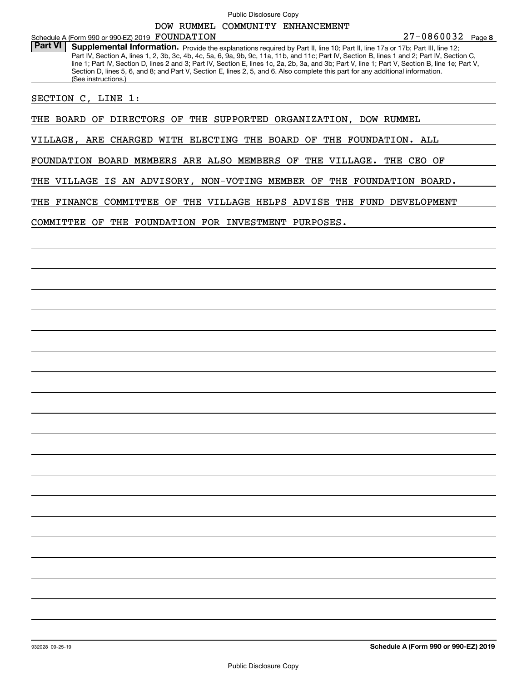**8**27-0860032 Schedule A (Form 990 or 990-EZ) 2019 Page FOUNDATION

Part VI | Supplemental Information. Provide the explanations required by Part II, line 10; Part II, line 17a or 17b; Part III, line 12; Part IV, Section A, lines 1, 2, 3b, 3c, 4b, 4c, 5a, 6, 9a, 9b, 9c, 11a, 11b, and 11c; Part IV, Section B, lines 1 and 2; Part IV, Section C, line 1; Part IV, Section D, lines 2 and 3; Part IV, Section E, lines 1c, 2a, 2b, 3a, and 3b; Part V, line 1; Part V, Section B, line 1e; Part V, Section D, lines 5, 6, and 8; and Part V, Section E, lines 2, 5, and 6. Also complete this part for any additional information. (See instructions.)

SECTION C, LINE 1:

THE BOARD OF DIRECTORS OF THE SUPPORTED ORGANIZATION, DOW RUMMEL

VILLAGE, ARE CHARGED WITH ELECTING THE BOARD OF THE FOUNDATION. ALL

FOUNDATION BOARD MEMBERS ARE ALSO MEMBERS OF THE VILLAGE. THE CEO OF

THE VILLAGE IS AN ADVISORY, NON-VOTING MEMBER OF THE FOUNDATION BOARD.

THE FINANCE COMMITTEE OF THE VILLAGE HELPS ADVISE THE FUND DEVELOPMENT

COMMITTEE OF THE FOUNDATION FOR INVESTMENT PURPOSES.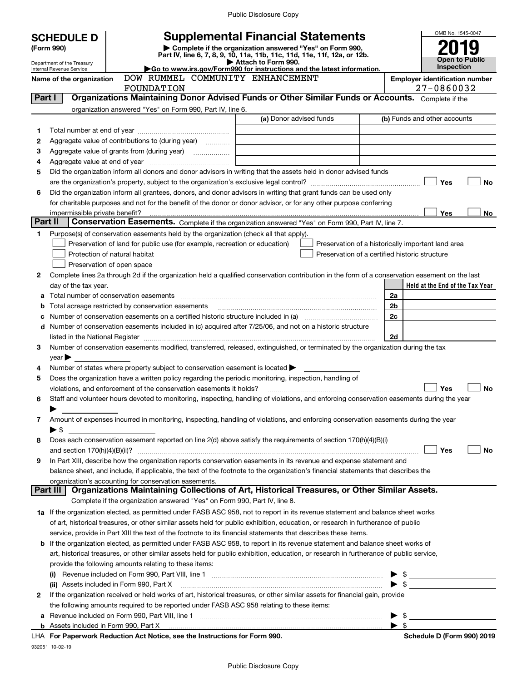|                                 |                                                        | <b>Supplemental Financial Statements</b>                                                                                                       |                         |                                                |                          | OMB No. 1545-0047                                   |
|---------------------------------|--------------------------------------------------------|------------------------------------------------------------------------------------------------------------------------------------------------|-------------------------|------------------------------------------------|--------------------------|-----------------------------------------------------|
| <b>SCHEDULE D</b><br>(Form 990) |                                                        | Complete if the organization answered "Yes" on Form 990,                                                                                       |                         |                                                |                          |                                                     |
|                                 |                                                        | Part IV, line 6, 7, 8, 9, 10, 11a, 11b, 11c, 11d, 11e, 11f, 12a, or 12b.<br>Attach to Form 990.                                                |                         |                                                | Open to Public           |                                                     |
|                                 | Department of the Treasury<br>Internal Revenue Service | Go to www.irs.gov/Form990 for instructions and the latest information.                                                                         |                         | <b>Inspection</b>                              |                          |                                                     |
|                                 | Name of the organization                               | DOW RUMMEL COMMUNITY ENHANCEMENT<br><b>FOUNDATION</b>                                                                                          |                         |                                                |                          | <b>Employer identification number</b><br>27-0860032 |
|                                 | Part I                                                 | Organizations Maintaining Donor Advised Funds or Other Similar Funds or Accounts. Complete if the                                              |                         |                                                |                          |                                                     |
|                                 |                                                        | organization answered "Yes" on Form 990, Part IV, line 6.                                                                                      |                         |                                                |                          |                                                     |
|                                 |                                                        |                                                                                                                                                | (a) Donor advised funds |                                                |                          | (b) Funds and other accounts                        |
| 1                               |                                                        |                                                                                                                                                |                         |                                                |                          |                                                     |
| 2                               |                                                        | Aggregate value of contributions to (during year)                                                                                              |                         |                                                |                          |                                                     |
| 3                               |                                                        | Aggregate value of grants from (during year)                                                                                                   |                         |                                                |                          |                                                     |
| 4                               |                                                        |                                                                                                                                                |                         |                                                |                          |                                                     |
| 5                               |                                                        | Did the organization inform all donors and donor advisors in writing that the assets held in donor advised funds                               |                         |                                                |                          |                                                     |
|                                 |                                                        |                                                                                                                                                |                         |                                                |                          | Yes<br><b>No</b>                                    |
| 6                               |                                                        | Did the organization inform all grantees, donors, and donor advisors in writing that grant funds can be used only                              |                         |                                                |                          |                                                     |
|                                 |                                                        | for charitable purposes and not for the benefit of the donor or donor advisor, or for any other purpose conferring                             |                         |                                                |                          |                                                     |
|                                 | impermissible private benefit?                         |                                                                                                                                                |                         |                                                |                          | <b>Yes</b><br>No                                    |
|                                 | Part II                                                | Conservation Easements. Complete if the organization answered "Yes" on Form 990, Part IV, line 7.                                              |                         |                                                |                          |                                                     |
| 1                               |                                                        | Purpose(s) of conservation easements held by the organization (check all that apply).                                                          |                         |                                                |                          |                                                     |
|                                 |                                                        | Preservation of land for public use (for example, recreation or education)                                                                     |                         |                                                |                          | Preservation of a historically important land area  |
|                                 |                                                        | Protection of natural habitat                                                                                                                  |                         | Preservation of a certified historic structure |                          |                                                     |
|                                 |                                                        | Preservation of open space                                                                                                                     |                         |                                                |                          |                                                     |
| 2                               |                                                        | Complete lines 2a through 2d if the organization held a qualified conservation contribution in the form of a conservation easement on the last |                         |                                                |                          |                                                     |
|                                 | day of the tax year.                                   |                                                                                                                                                |                         |                                                |                          | Held at the End of the Tax Year                     |
|                                 |                                                        |                                                                                                                                                |                         |                                                | 2a                       |                                                     |
| b                               |                                                        | Total acreage restricted by conservation easements                                                                                             |                         |                                                | 2 <sub>b</sub>           |                                                     |
| c                               |                                                        |                                                                                                                                                |                         |                                                | 2c                       |                                                     |
| d                               |                                                        | Number of conservation easements included in (c) acquired after 7/25/06, and not on a historic structure                                       |                         |                                                |                          |                                                     |
|                                 |                                                        |                                                                                                                                                |                         |                                                | 2d                       |                                                     |
| 3                               |                                                        | Number of conservation easements modified, transferred, released, extinguished, or terminated by the organization during the tax               |                         |                                                |                          |                                                     |
|                                 | $\vee$ ear $\blacktriangleright$                       |                                                                                                                                                |                         |                                                |                          |                                                     |
| 4                               |                                                        | Number of states where property subject to conservation easement is located $\blacktriangleright$                                              |                         |                                                |                          |                                                     |
| 5                               |                                                        | Does the organization have a written policy regarding the periodic monitoring, inspection, handling of                                         |                         |                                                |                          |                                                     |
|                                 |                                                        | violations, and enforcement of the conservation easements it holds?                                                                            |                         |                                                |                          | Yes<br><b>No</b>                                    |
| 6                               |                                                        | Staff and volunteer hours devoted to monitoring, inspecting, handling of violations, and enforcing conservation easements during the year      |                         |                                                |                          |                                                     |
|                                 | ▶                                                      |                                                                                                                                                |                         |                                                |                          |                                                     |
| 7                               |                                                        | Amount of expenses incurred in monitoring, inspecting, handling of violations, and enforcing conservation easements during the year            |                         |                                                |                          |                                                     |
|                                 | ▶ \$                                                   | Does each conservation easement reported on line 2(d) above satisfy the requirements of section 170(h)(4)(B)(i)                                |                         |                                                |                          |                                                     |
| 8                               |                                                        |                                                                                                                                                |                         |                                                |                          | Yes<br>No                                           |
| 9                               |                                                        | In Part XIII, describe how the organization reports conservation easements in its revenue and expense statement and                            |                         |                                                |                          |                                                     |
|                                 |                                                        | balance sheet, and include, if applicable, the text of the footnote to the organization's financial statements that describes the              |                         |                                                |                          |                                                     |
|                                 |                                                        | organization's accounting for conservation easements.                                                                                          |                         |                                                |                          |                                                     |
|                                 | Part III                                               | Organizations Maintaining Collections of Art, Historical Treasures, or Other Similar Assets.                                                   |                         |                                                |                          |                                                     |
|                                 |                                                        | Complete if the organization answered "Yes" on Form 990, Part IV, line 8.                                                                      |                         |                                                |                          |                                                     |
|                                 |                                                        | 1a If the organization elected, as permitted under FASB ASC 958, not to report in its revenue statement and balance sheet works                |                         |                                                |                          |                                                     |
|                                 |                                                        | of art, historical treasures, or other similar assets held for public exhibition, education, or research in furtherance of public              |                         |                                                |                          |                                                     |
|                                 |                                                        | service, provide in Part XIII the text of the footnote to its financial statements that describes these items.                                 |                         |                                                |                          |                                                     |
|                                 |                                                        | <b>b</b> If the organization elected, as permitted under FASB ASC 958, to report in its revenue statement and balance sheet works of           |                         |                                                |                          |                                                     |
|                                 |                                                        | art, historical treasures, or other similar assets held for public exhibition, education, or research in furtherance of public service,        |                         |                                                |                          |                                                     |
|                                 |                                                        | provide the following amounts relating to these items:                                                                                         |                         |                                                |                          |                                                     |
|                                 |                                                        |                                                                                                                                                |                         |                                                |                          | $\triangleright$ \$                                 |
|                                 |                                                        | (ii) Assets included in Form 990, Part X                                                                                                       |                         |                                                | $\blacktriangleright$ \$ |                                                     |
| 2                               |                                                        | If the organization received or held works of art, historical treasures, or other similar assets for financial gain, provide                   |                         |                                                |                          |                                                     |
|                                 |                                                        | the following amounts required to be reported under FASB ASC 958 relating to these items:                                                      |                         |                                                |                          |                                                     |
|                                 |                                                        |                                                                                                                                                |                         |                                                | $\blacktriangleright$ \$ |                                                     |
|                                 |                                                        |                                                                                                                                                |                         |                                                | $\blacktriangleright$ \$ |                                                     |
|                                 |                                                        | LUA For Departuarly Reduction Act Notice, see the Instructions for Form 000                                                                    |                         |                                                |                          | Pohodulo D (Form 000) 2010                          |

**For Paperwork Reduction Act Notice, see the Instructions for Form 990. Schedule D (Form 990) 2019** LHA

932051 10-02-19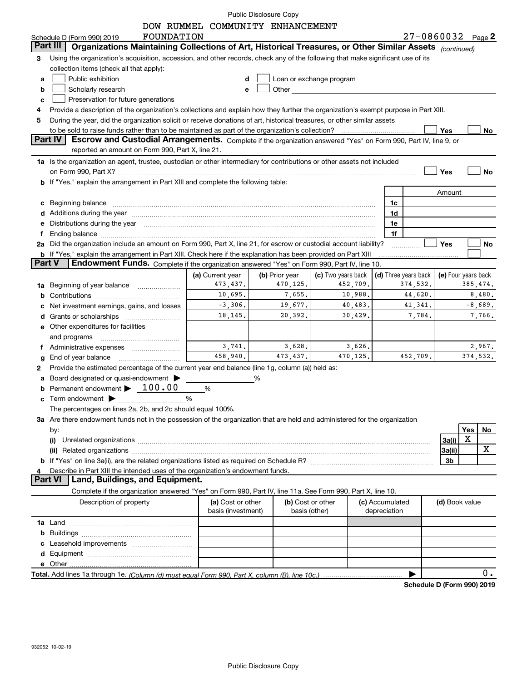|               |                                                                                                                                                                                                                                      | DOW RUMMEL COMMUNITY ENHANCEMENT |                   |                                                                                                                                                                                                                                |                 |                      |                     |          |           |
|---------------|--------------------------------------------------------------------------------------------------------------------------------------------------------------------------------------------------------------------------------------|----------------------------------|-------------------|--------------------------------------------------------------------------------------------------------------------------------------------------------------------------------------------------------------------------------|-----------------|----------------------|---------------------|----------|-----------|
|               | FOUNDATION<br>Schedule D (Form 990) 2019                                                                                                                                                                                             |                                  |                   |                                                                                                                                                                                                                                |                 | 27-0860032 Page 2    |                     |          |           |
| Part II       | Organizations Maintaining Collections of Art, Historical Treasures, or Other Similar Assets (continued)                                                                                                                              |                                  |                   |                                                                                                                                                                                                                                |                 |                      |                     |          |           |
| З             | Using the organization's acquisition, accession, and other records, check any of the following that make significant use of its                                                                                                      |                                  |                   |                                                                                                                                                                                                                                |                 |                      |                     |          |           |
|               | collection items (check all that apply):                                                                                                                                                                                             |                                  |                   |                                                                                                                                                                                                                                |                 |                      |                     |          |           |
| a             | Public exhibition                                                                                                                                                                                                                    | d                                |                   | Loan or exchange program                                                                                                                                                                                                       |                 |                      |                     |          |           |
| b             | Scholarly research                                                                                                                                                                                                                   | e                                |                   | Other the contract of the contract of the contract of the contract of the contract of the contract of the contract of the contract of the contract of the contract of the contract of the contract of the contract of the cont |                 |                      |                     |          |           |
| c             | Preservation for future generations                                                                                                                                                                                                  |                                  |                   |                                                                                                                                                                                                                                |                 |                      |                     |          |           |
| 4             | Provide a description of the organization's collections and explain how they further the organization's exempt purpose in Part XIII.                                                                                                 |                                  |                   |                                                                                                                                                                                                                                |                 |                      |                     |          |           |
| 5             | During the year, did the organization solicit or receive donations of art, historical treasures, or other similar assets                                                                                                             |                                  |                   |                                                                                                                                                                                                                                |                 |                      |                     |          |           |
|               |                                                                                                                                                                                                                                      |                                  |                   |                                                                                                                                                                                                                                |                 |                      | Yes                 |          | No        |
|               | Part IV<br>Escrow and Custodial Arrangements. Complete if the organization answered "Yes" on Form 990, Part IV, line 9, or                                                                                                           |                                  |                   |                                                                                                                                                                                                                                |                 |                      |                     |          |           |
|               | reported an amount on Form 990, Part X, line 21.                                                                                                                                                                                     |                                  |                   |                                                                                                                                                                                                                                |                 |                      |                     |          |           |
|               | 1a Is the organization an agent, trustee, custodian or other intermediary for contributions or other assets not included                                                                                                             |                                  |                   |                                                                                                                                                                                                                                |                 |                      |                     |          |           |
|               |                                                                                                                                                                                                                                      |                                  |                   |                                                                                                                                                                                                                                |                 |                      | Yes                 |          | No        |
|               | b If "Yes," explain the arrangement in Part XIII and complete the following table:                                                                                                                                                   |                                  |                   |                                                                                                                                                                                                                                |                 |                      |                     |          |           |
|               |                                                                                                                                                                                                                                      |                                  |                   |                                                                                                                                                                                                                                |                 |                      | Amount              |          |           |
| c             | Beginning balance <b>contract to the contract of the contract of the contract of the contract of the contract of the contract of the contract of the contract of the contract of the contract of the contract of the contract of</b> |                                  |                   |                                                                                                                                                                                                                                | 1c              |                      |                     |          |           |
| d             | Additions during the year manufactured and an account of the year manufactured and account of the year manufactured and account of the year manufactured and account of the year manufactured and account of the year and acco       |                                  |                   |                                                                                                                                                                                                                                | 1d              |                      |                     |          |           |
| е             | Distributions during the year manufactured and continuum and contact the year manufactured and contact the year                                                                                                                      |                                  |                   |                                                                                                                                                                                                                                | 1e              |                      |                     |          |           |
| f             | Ending balance manufactured and contact the contract of the contract of the contract of the contract of the contract of the contract of the contract of the contract of the contract of the contract of the contract of the co       |                                  |                   |                                                                                                                                                                                                                                | 1f              |                      |                     |          |           |
|               | 2a Did the organization include an amount on Form 990, Part X, line 21, for escrow or custodial account liability?                                                                                                                   |                                  |                   |                                                                                                                                                                                                                                |                 |                      | <b>Yes</b>          |          | No        |
|               | <b>b</b> If "Yes," explain the arrangement in Part XIII. Check here if the explanation has been provided on Part XIII                                                                                                                |                                  |                   |                                                                                                                                                                                                                                |                 |                      |                     |          |           |
| <b>Part V</b> | Endowment Funds. Complete if the organization answered "Yes" on Form 990, Part IV, line 10.                                                                                                                                          |                                  |                   |                                                                                                                                                                                                                                |                 |                      |                     |          |           |
|               |                                                                                                                                                                                                                                      | (a) Current year                 | (b) Prior year    | (c) Two years back                                                                                                                                                                                                             |                 | (d) Three years back | (e) Four years back |          |           |
| 1a            | Beginning of year balance                                                                                                                                                                                                            | 473, 437.                        | 470,125.          | 452,709.                                                                                                                                                                                                                       |                 | 374,532.             |                     | 385,474. |           |
| b             |                                                                                                                                                                                                                                      | 10,695.                          | 7,655.            | 10,988.                                                                                                                                                                                                                        |                 | 44,620.              |                     |          | 8,480.    |
|               | Net investment earnings, gains, and losses                                                                                                                                                                                           | $-3,306.$                        | 19,677.           | 40,483.                                                                                                                                                                                                                        |                 | 41,341.              |                     |          | $-8,689.$ |
| d             |                                                                                                                                                                                                                                      | 18,145.                          | 20,392.           | 30,429.                                                                                                                                                                                                                        |                 | 7,784.               |                     |          | 7,766.    |
|               | e Other expenditures for facilities                                                                                                                                                                                                  |                                  |                   |                                                                                                                                                                                                                                |                 |                      |                     |          |           |
|               | and programs                                                                                                                                                                                                                         |                                  |                   |                                                                                                                                                                                                                                |                 |                      |                     |          |           |
|               |                                                                                                                                                                                                                                      | 3,741.                           | 3,628.            | 3,626.                                                                                                                                                                                                                         |                 |                      |                     |          | 2,967.    |
| g             | End of year balance                                                                                                                                                                                                                  | 458,940.                         | 473.437.          | 470,125.                                                                                                                                                                                                                       |                 | 452,709.             |                     | 374,532. |           |
| 2             | Provide the estimated percentage of the current year end balance (line 1g, column (a)) held as:                                                                                                                                      |                                  |                   |                                                                                                                                                                                                                                |                 |                      |                     |          |           |
|               | Board designated or quasi-endowment                                                                                                                                                                                                  |                                  | %                 |                                                                                                                                                                                                                                |                 |                      |                     |          |           |
|               | Permanent endowment $\blacktriangleright$ 100.00                                                                                                                                                                                     | %                                |                   |                                                                                                                                                                                                                                |                 |                      |                     |          |           |
|               | Term endowment > <u>National</u>                                                                                                                                                                                                     | %                                |                   |                                                                                                                                                                                                                                |                 |                      |                     |          |           |
|               | The percentages on lines 2a, 2b, and 2c should equal 100%.                                                                                                                                                                           |                                  |                   |                                                                                                                                                                                                                                |                 |                      |                     |          |           |
|               | 3a Are there endowment funds not in the possession of the organization that are held and administered for the organization                                                                                                           |                                  |                   |                                                                                                                                                                                                                                |                 |                      |                     |          |           |
|               |                                                                                                                                                                                                                                      |                                  |                   |                                                                                                                                                                                                                                |                 |                      |                     | Yes      | No        |
|               | by:<br>(i)                                                                                                                                                                                                                           |                                  |                   |                                                                                                                                                                                                                                |                 |                      | 3a(i)               | X        |           |
|               |                                                                                                                                                                                                                                      |                                  |                   |                                                                                                                                                                                                                                |                 |                      |                     |          | x         |
|               |                                                                                                                                                                                                                                      |                                  |                   |                                                                                                                                                                                                                                |                 |                      | 3a(ii)              |          |           |
|               |                                                                                                                                                                                                                                      |                                  |                   |                                                                                                                                                                                                                                |                 |                      | 3 <sub>b</sub>      |          |           |
|               | Describe in Part XIII the intended uses of the organization's endowment funds.<br><b>Part VI</b><br>Land, Buildings, and Equipment.                                                                                                  |                                  |                   |                                                                                                                                                                                                                                |                 |                      |                     |          |           |
|               |                                                                                                                                                                                                                                      |                                  |                   |                                                                                                                                                                                                                                |                 |                      |                     |          |           |
|               | Complete if the organization answered "Yes" on Form 990, Part IV, line 11a. See Form 990, Part X, line 10.                                                                                                                           |                                  |                   |                                                                                                                                                                                                                                |                 |                      |                     |          |           |
|               | Description of property                                                                                                                                                                                                              | (a) Cost or other                | (b) Cost or other |                                                                                                                                                                                                                                | (c) Accumulated |                      | (d) Book value      |          |           |
|               |                                                                                                                                                                                                                                      | basis (investment)               |                   | basis (other)                                                                                                                                                                                                                  | depreciation    |                      |                     |          |           |
|               |                                                                                                                                                                                                                                      |                                  |                   |                                                                                                                                                                                                                                |                 |                      |                     |          |           |
| b             |                                                                                                                                                                                                                                      |                                  |                   |                                                                                                                                                                                                                                |                 |                      |                     |          |           |
| с             |                                                                                                                                                                                                                                      |                                  |                   |                                                                                                                                                                                                                                |                 |                      |                     |          |           |
|               |                                                                                                                                                                                                                                      |                                  |                   |                                                                                                                                                                                                                                |                 |                      |                     |          |           |
|               |                                                                                                                                                                                                                                      |                                  |                   |                                                                                                                                                                                                                                |                 |                      |                     |          |           |
|               |                                                                                                                                                                                                                                      |                                  |                   |                                                                                                                                                                                                                                |                 |                      |                     |          | 0.        |

**Schedule D (Form 990) 2019**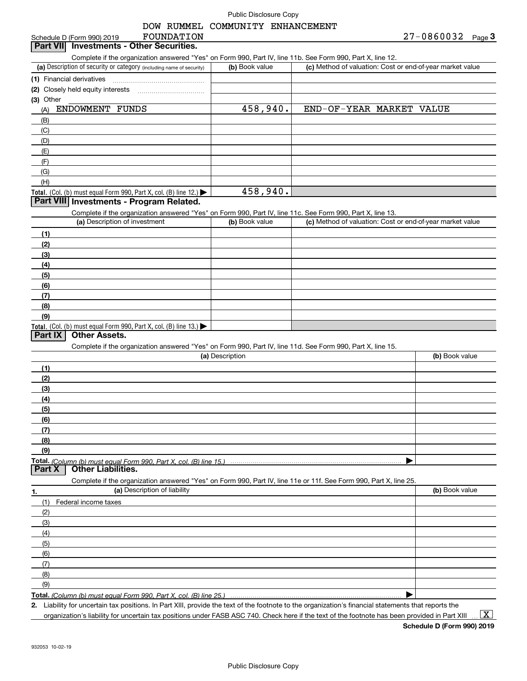# DOW RUMMEL COMMUNITY ENHANCEMENT

| 27-0860032 |  |  | Page $3$ |
|------------|--|--|----------|
|            |  |  |          |

| FOUNDATION<br>Schedule D (Form 990) 2019                                                                                                             | DOW RUMMEL COMMUNITY ENHANCEMENT | $27 - 0860032$ Page 3                                     |
|------------------------------------------------------------------------------------------------------------------------------------------------------|----------------------------------|-----------------------------------------------------------|
| <b>Investments - Other Securities.</b><br>Part VII                                                                                                   |                                  |                                                           |
| Complete if the organization answered "Yes" on Form 990, Part IV, line 11b. See Form 990, Part X, line 12.                                           |                                  |                                                           |
| (a) Description of security or category (including name of security)                                                                                 | (b) Book value                   | (c) Method of valuation: Cost or end-of-year market value |
| (1) Financial derivatives                                                                                                                            |                                  |                                                           |
| (2) Closely held equity interests                                                                                                                    |                                  |                                                           |
| (3) Other                                                                                                                                            |                                  |                                                           |
| ENDOWMENT FUNDS<br>(A)                                                                                                                               | 458,940.                         | END-OF-YEAR MARKET VALUE                                  |
| (B)                                                                                                                                                  |                                  |                                                           |
| (C)                                                                                                                                                  |                                  |                                                           |
| (D)                                                                                                                                                  |                                  |                                                           |
| (E)                                                                                                                                                  |                                  |                                                           |
| (F)                                                                                                                                                  |                                  |                                                           |
| (G)                                                                                                                                                  |                                  |                                                           |
| (H)                                                                                                                                                  |                                  |                                                           |
| Total. (Col. (b) must equal Form 990, Part X, col. (B) line $12$ .)                                                                                  | 458,940.                         |                                                           |
| Part VIII Investments - Program Related.                                                                                                             |                                  |                                                           |
| Complete if the organization answered "Yes" on Form 990, Part IV, line 11c. See Form 990, Part X, line 13.                                           |                                  |                                                           |
| (a) Description of investment                                                                                                                        | (b) Book value                   | (c) Method of valuation: Cost or end-of-year market value |
| (1)                                                                                                                                                  |                                  |                                                           |
| (2)                                                                                                                                                  |                                  |                                                           |
| (3)                                                                                                                                                  |                                  |                                                           |
| (4)                                                                                                                                                  |                                  |                                                           |
| (5)                                                                                                                                                  |                                  |                                                           |
| (6)                                                                                                                                                  |                                  |                                                           |
| (7)                                                                                                                                                  |                                  |                                                           |
| (8)                                                                                                                                                  |                                  |                                                           |
| (9)                                                                                                                                                  |                                  |                                                           |
| Total. (Col. (b) must equal Form 990, Part X, col. (B) line 13.)<br><b>Other Assets.</b>                                                             |                                  |                                                           |
| Part IX                                                                                                                                              |                                  |                                                           |
| Complete if the organization answered "Yes" on Form 990, Part IV, line 11d. See Form 990, Part X, line 15.                                           | (a) Description                  |                                                           |
|                                                                                                                                                      |                                  | (b) Book value                                            |
| (1)                                                                                                                                                  |                                  |                                                           |
| (2)                                                                                                                                                  |                                  |                                                           |
| (3)                                                                                                                                                  |                                  |                                                           |
| (4)                                                                                                                                                  |                                  |                                                           |
| (5)                                                                                                                                                  |                                  |                                                           |
| (6)<br>(7)                                                                                                                                           |                                  |                                                           |
| (8)                                                                                                                                                  |                                  |                                                           |
| (9)                                                                                                                                                  |                                  |                                                           |
| Total. (Column (b) must equal Form 990. Part X. col. (B) line 15.)                                                                                   |                                  |                                                           |
| <b>Other Liabilities.</b><br>Part X                                                                                                                  |                                  |                                                           |
| Complete if the organization answered "Yes" on Form 990, Part IV, line 11e or 11f. See Form 990, Part X, line 25.                                    |                                  |                                                           |
| (a) Description of liability<br>1.                                                                                                                   |                                  | (b) Book value                                            |
| (1)<br>Federal income taxes                                                                                                                          |                                  |                                                           |
| (2)                                                                                                                                                  |                                  |                                                           |
| (3)                                                                                                                                                  |                                  |                                                           |
| (4)                                                                                                                                                  |                                  |                                                           |
| (5)                                                                                                                                                  |                                  |                                                           |
| (6)                                                                                                                                                  |                                  |                                                           |
| (7)                                                                                                                                                  |                                  |                                                           |
| (8)                                                                                                                                                  |                                  |                                                           |
| (9)                                                                                                                                                  |                                  |                                                           |
| Total. (Column (b) must equal Form 990, Part X, col. (B) line 25.)                                                                                   |                                  |                                                           |
| 2. Liability for uncertain tax positions. In Part XIII, provide the text of the footnote to the organization's financial statements that reports the |                                  |                                                           |
| organization's liability for uncertain tax positions under FASB ASC 740. Check here if the text of the footnote has been provided in Part XIII       |                                  | $\mathbf{x}$                                              |
|                                                                                                                                                      |                                  |                                                           |

**Schedule D (Form 990) 2019**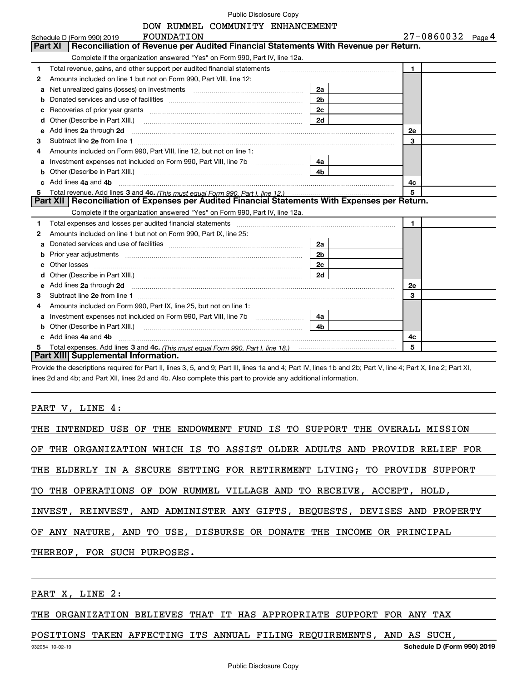| Public Disclosure Copy |  |  |  |
|------------------------|--|--|--|
|------------------------|--|--|--|

|    | DOW RUMMEL COMMUNITY ENHANCEMENT                                                                                                                                                                                                     |                |                   |
|----|--------------------------------------------------------------------------------------------------------------------------------------------------------------------------------------------------------------------------------------|----------------|-------------------|
|    | FOUNDATION<br>Schedule D (Form 990) 2019                                                                                                                                                                                             |                | 27-0860032 Page 4 |
|    | <b>Part XI</b><br>Reconciliation of Revenue per Audited Financial Statements With Revenue per Return.                                                                                                                                |                |                   |
|    | Complete if the organization answered "Yes" on Form 990, Part IV, line 12a.                                                                                                                                                          |                |                   |
| 1  | Total revenue, gains, and other support per audited financial statements                                                                                                                                                             |                | $\mathbf{1}$      |
| 2  | Amounts included on line 1 but not on Form 990, Part VIII, line 12:                                                                                                                                                                  |                |                   |
| a  | Net unrealized gains (losses) on investments [11] matter contracts and the unrealized gains (losses) on investments                                                                                                                  | 2a             |                   |
| b  |                                                                                                                                                                                                                                      | 2 <sub>b</sub> |                   |
| с  |                                                                                                                                                                                                                                      | 2c             |                   |
| d  | Other (Describe in Part XIII.)                                                                                                                                                                                                       | 2d             |                   |
| е  | Add lines 2a through 2d                                                                                                                                                                                                              |                | <b>2e</b>         |
| 3  |                                                                                                                                                                                                                                      |                | 3                 |
| 4  | Amounts included on Form 990, Part VIII, line 12, but not on line 1:                                                                                                                                                                 |                |                   |
| a  | Investment expenses not included on Form 990, Part VIII, line 7b [111] [11] Investment expenses not included on Form 990, Part VIII, line 7b                                                                                         | 4a             |                   |
| b  | Other (Describe in Part XIII.) <b>Construction Construction</b> Chern Construction Chern Chern Chern Chern Chern Chern                                                                                                               | 4 <sub>b</sub> |                   |
| C. | Add lines 4a and 4b                                                                                                                                                                                                                  |                | 4c                |
| 5  |                                                                                                                                                                                                                                      |                | 5                 |
|    | Part XII   Reconciliation of Expenses per Audited Financial Statements With Expenses per Return.                                                                                                                                     |                |                   |
|    | Complete if the organization answered "Yes" on Form 990, Part IV, line 12a.                                                                                                                                                          |                |                   |
| 1  | Total expenses and losses per audited financial statements                                                                                                                                                                           |                | $\mathbf{1}$      |
| 2  | Amounts included on line 1 but not on Form 990, Part IX, line 25:                                                                                                                                                                    |                |                   |
| a  |                                                                                                                                                                                                                                      | 2a             |                   |
| b  | Prior year adjustments entertainments and the control of the control of the control of the control of the control of the control of the control of the control of the control of the control of the control of the control of        | 2 <sub>b</sub> |                   |
| с  | Other losses                                                                                                                                                                                                                         | 2c             |                   |
| d  |                                                                                                                                                                                                                                      | 2d             |                   |
| е  | Add lines 2a through 2d <b>contained a contained a contained a contained a contained a contained a contained a contained a contact a contact a contact a contact a contact a contact a contact a contact a contact a contact a c</b> |                | 2e                |
| з  |                                                                                                                                                                                                                                      |                | 3                 |
|    | Amounts included on Form 990, Part IX, line 25, but not on line 1:                                                                                                                                                                   |                |                   |
| a  | Investment expenses not included on Form 990, Part VIII, line 7b [11, 111, 111, 111]                                                                                                                                                 | 4a             |                   |
| b  | Other (Describe in Part XIII.)                                                                                                                                                                                                       | 4 <sub>b</sub> |                   |
| c. | Add lines 4a and 4b                                                                                                                                                                                                                  |                | 4с                |
| 5  |                                                                                                                                                                                                                                      |                | 5                 |
|    | Part XIII Supplemental Information.                                                                                                                                                                                                  |                |                   |

**Part XIII| Supplemental Information.**<br>Provide the descriptions required for Part II, lines 3, 5, and 9; Part III, lines 1a and 4; Part IV, lines 1b and 2b; Part V, line 4; Part X, line 2; Part XI, lines 2d and 4b; and Part XII, lines 2d and 4b. Also complete this part to provide any additional information.

PART V, LINE 4:

|                             |  |  |  | THE INTENDED USE OF THE ENDOWMENT FUND IS TO SUPPORT THE OVERALL MISSION   |  |
|-----------------------------|--|--|--|----------------------------------------------------------------------------|--|
|                             |  |  |  | OF THE ORGANIZATION WHICH IS TO ASSIST OLDER ADULTS AND PROVIDE RELIEF FOR |  |
|                             |  |  |  | THE ELDERLY IN A SECURE SETTING FOR RETIREMENT LIVING; TO PROVIDE SUPPORT  |  |
|                             |  |  |  | TO THE OPERATIONS OF DOW RUMMEL VILLAGE AND TO RECEIVE, ACCEPT, HOLD,      |  |
|                             |  |  |  | INVEST, REINVEST, AND ADMINISTER ANY GIFTS, BEQUESTS, DEVISES AND PROPERTY |  |
|                             |  |  |  | OF ANY NATURE, AND TO USE, DISBURSE OR DONATE THE INCOME OR PRINCIPAL      |  |
| THEREOF, FOR SUCH PURPOSES. |  |  |  |                                                                            |  |
|                             |  |  |  |                                                                            |  |

PART X, LINE 2:

THE ORGANIZATION BELIEVES THAT IT HAS APPROPRIATE SUPPORT FOR ANY TAX

932054 10-02-19 **Schedule D (Form 990) 2019** POSITIONS TAKEN AFFECTING ITS ANNUAL FILING REQUIREMENTS, AND AS SUCH,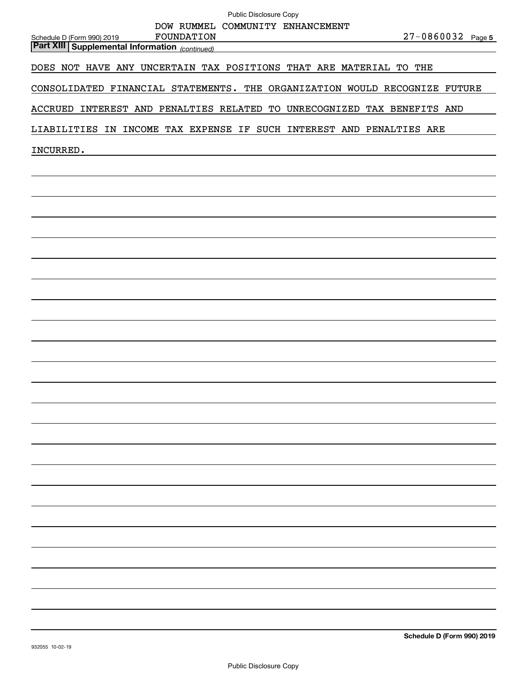| Public Disclosure Copy                                                                            |
|---------------------------------------------------------------------------------------------------|
| DOW RUMMEL COMMUNITY ENHANCEMENT<br>27-0860032 Page 5                                             |
| FOUNDATION<br>Schedule D (Form 990) 2019<br><b>Part XIII Supplemental Information</b> (continued) |
| DOES NOT HAVE ANY UNCERTAIN TAX POSITIONS THAT ARE MATERIAL TO THE                                |
| CONSOLIDATED FINANCIAL STATEMENTS. THE ORGANIZATION WOULD RECOGNIZE FUTURE                        |
| ACCRUED INTEREST AND PENALTIES RELATED TO UNRECOGNIZED TAX BENEFITS AND                           |
| LIABILITIES IN INCOME TAX EXPENSE IF SUCH INTEREST AND PENALTIES ARE                              |
| INCURRED.                                                                                         |
|                                                                                                   |
|                                                                                                   |
|                                                                                                   |
|                                                                                                   |
|                                                                                                   |
|                                                                                                   |
|                                                                                                   |
|                                                                                                   |
|                                                                                                   |
|                                                                                                   |
|                                                                                                   |
|                                                                                                   |
|                                                                                                   |
|                                                                                                   |
|                                                                                                   |
|                                                                                                   |
|                                                                                                   |
|                                                                                                   |
|                                                                                                   |
|                                                                                                   |
|                                                                                                   |
|                                                                                                   |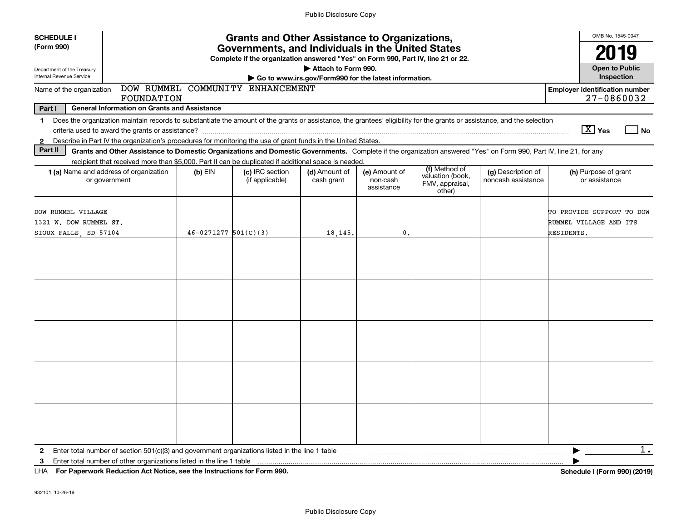| <b>SCHEDULE I</b>                                                                                                                                                                                                                                                                                                        |                          | <b>Grants and Other Assistance to Organizations,</b>                             |                                                                              |                                         |                                                                |                                          | OMB No. 1545-0047                                                 |
|--------------------------------------------------------------------------------------------------------------------------------------------------------------------------------------------------------------------------------------------------------------------------------------------------------------------------|--------------------------|----------------------------------------------------------------------------------|------------------------------------------------------------------------------|-----------------------------------------|----------------------------------------------------------------|------------------------------------------|-------------------------------------------------------------------|
| (Form 990)                                                                                                                                                                                                                                                                                                               |                          | 19                                                                               |                                                                              |                                         |                                                                |                                          |                                                                   |
| Department of the Treasury<br>Internal Revenue Service                                                                                                                                                                                                                                                                   |                          | Complete if the organization answered "Yes" on Form 990, Part IV, line 21 or 22. | Attach to Form 990.<br>Go to www.irs.gov/Form990 for the latest information. |                                         |                                                                |                                          | <b>Open to Public</b><br>Inspection                               |
| Name of the organization<br>FOUNDATION                                                                                                                                                                                                                                                                                   |                          | DOW RUMMEL COMMUNITY ENHANCEMENT                                                 |                                                                              |                                         |                                                                |                                          | <b>Employer identification number</b><br>27-0860032               |
| Part I<br><b>General Information on Grants and Assistance</b>                                                                                                                                                                                                                                                            |                          |                                                                                  |                                                                              |                                         |                                                                |                                          |                                                                   |
| Does the organization maintain records to substantiate the amount of the grants or assistance, the grantees' eligibility for the grants or assistance, and the selection<br>$\mathbf 1$<br>Describe in Part IV the organization's procedures for monitoring the use of grant funds in the United States.<br>$\mathbf{2}$ |                          |                                                                                  |                                                                              |                                         |                                                                |                                          | $\boxed{\text{X}}$ Yes<br>No                                      |
| Part II<br>Grants and Other Assistance to Domestic Organizations and Domestic Governments. Complete if the organization answered "Yes" on Form 990, Part IV, line 21, for any<br>recipient that received more than \$5,000. Part II can be duplicated if additional space is needed.                                     |                          |                                                                                  |                                                                              |                                         |                                                                |                                          |                                                                   |
| <b>1 (a)</b> Name and address of organization<br>or government                                                                                                                                                                                                                                                           | $(b)$ EIN                | (c) IRC section<br>(if applicable)                                               | (d) Amount of<br>cash grant                                                  | (e) Amount of<br>non-cash<br>assistance | (f) Method of<br>valuation (book,<br>FMV, appraisal,<br>other) | (g) Description of<br>noncash assistance | (h) Purpose of grant<br>or assistance                             |
| DOW RUMMEL VILLAGE<br>1321 W. DOW RUMMEL ST.<br>SIOUX FALLS, SD 57104                                                                                                                                                                                                                                                    | $46 - 0271277$ 501(C)(3) |                                                                                  | 18,145                                                                       | $\mathbf{0}$                            |                                                                |                                          | TO PROVIDE SUPPORT TO DOW<br>RUMMEL VILLAGE AND ITS<br>RESIDENTS. |
|                                                                                                                                                                                                                                                                                                                          |                          |                                                                                  |                                                                              |                                         |                                                                |                                          |                                                                   |
|                                                                                                                                                                                                                                                                                                                          |                          |                                                                                  |                                                                              |                                         |                                                                |                                          |                                                                   |
|                                                                                                                                                                                                                                                                                                                          |                          |                                                                                  |                                                                              |                                         |                                                                |                                          |                                                                   |
|                                                                                                                                                                                                                                                                                                                          |                          |                                                                                  |                                                                              |                                         |                                                                |                                          |                                                                   |
|                                                                                                                                                                                                                                                                                                                          |                          |                                                                                  |                                                                              |                                         |                                                                |                                          |                                                                   |
| Enter total number of section 501(c)(3) and government organizations listed in the line 1 table<br>$\mathbf{2}$                                                                                                                                                                                                          |                          |                                                                                  |                                                                              |                                         |                                                                |                                          | 1.                                                                |
| Enter total number of other organizations listed in the line 1 table<br>3<br>LHA For Paperwork Reduction Act Notice, see the Instructions for Form 990.                                                                                                                                                                  |                          |                                                                                  |                                                                              |                                         |                                                                |                                          | Schedule I (Form 990) (2019)                                      |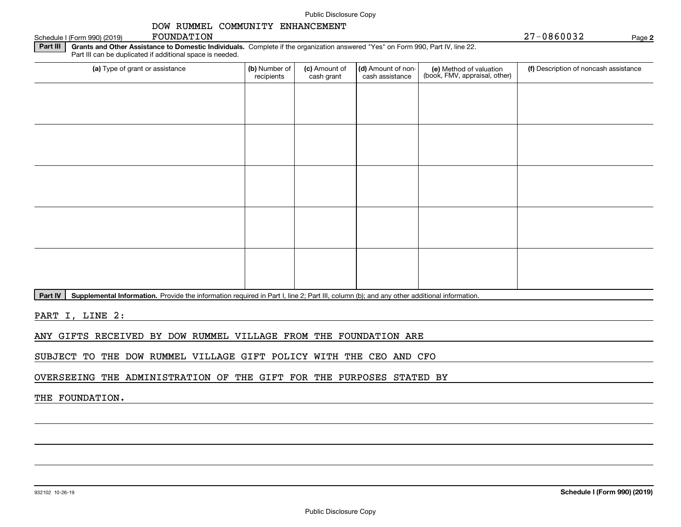#### Schedule I (Form 990) (2019) POUNDATION FOUNDATION FOUNDATION

#### **Part III** | Grants and Other Assistance to Domestic Individuals. Complete if the organization answered "Yes" on Form 990, Part IV, line 22. Part III can be duplicated if additional space is needed.

| (a) Type of grant or assistance | (b) Number of<br>recipients | (c) Amount of<br>cash grant | (d) Amount of non-<br>cash assistance | (e) Method of valuation<br>(book, FMV, appraisal, other) | (f) Description of noncash assistance |
|---------------------------------|-----------------------------|-----------------------------|---------------------------------------|----------------------------------------------------------|---------------------------------------|
|                                 |                             |                             |                                       |                                                          |                                       |
|                                 |                             |                             |                                       |                                                          |                                       |
|                                 |                             |                             |                                       |                                                          |                                       |
|                                 |                             |                             |                                       |                                                          |                                       |
|                                 |                             |                             |                                       |                                                          |                                       |
|                                 |                             |                             |                                       |                                                          |                                       |
|                                 |                             |                             |                                       |                                                          |                                       |
|                                 |                             |                             |                                       |                                                          |                                       |
|                                 |                             |                             |                                       |                                                          |                                       |
|                                 |                             |                             |                                       |                                                          |                                       |

**Part IV** | Supplemental Information. Provide the information required in Part I, line 2; Part III, column (b); and any other additional information.<br>

PART I, LINE 2:

ANY GIFTS RECEIVED BY DOW RUMMEL VILLAGE FROM THE FOUNDATION ARE

SUBJECT TO THE DOW RUMMEL VILLAGE GIFT POLICY WITH THE CEO AND CFO

OVERSEEING THE ADMINISTRATION OF THE GIFT FOR THE PURPOSES STATED BY

# THE FOUNDATION.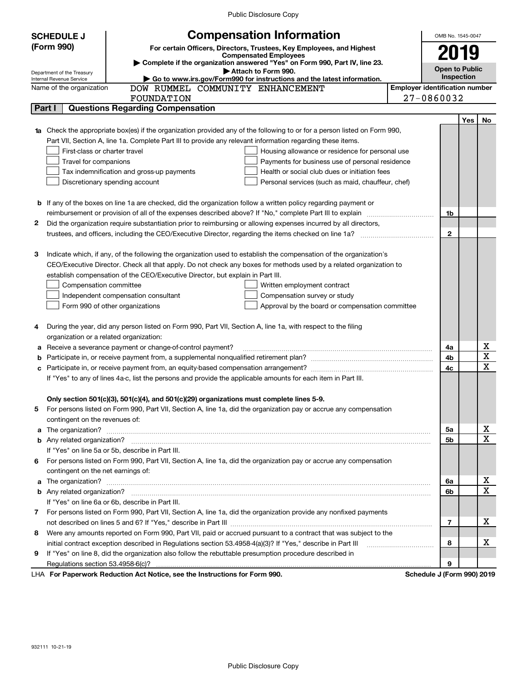| (Form 990)<br>For certain Officers, Directors, Trustees, Key Employees, and Highest<br>2019<br><b>Compensated Employees</b><br>Complete if the organization answered "Yes" on Form 990, Part IV, line 23.<br><b>Open to Public</b><br>Attach to Form 990.<br>Department of the Treasury<br><b>Inspection</b><br>Go to www.irs.gov/Form990 for instructions and the latest information.<br>Internal Revenue Service<br><b>Employer identification number</b><br>DOW RUMMEL COMMUNITY ENHANCEMENT<br>Name of the organization<br>27-0860032<br><b>FOUNDATION</b><br><b>Questions Regarding Compensation</b><br>Part I<br><b>Yes</b><br>No<br><b>1a</b> Check the appropriate box(es) if the organization provided any of the following to or for a person listed on Form 990,<br>Part VII, Section A, line 1a. Complete Part III to provide any relevant information regarding these items.<br>First-class or charter travel<br>Housing allowance or residence for personal use<br>Travel for companions<br>Payments for business use of personal residence<br>Health or social club dues or initiation fees<br>Tax indemnification and gross-up payments<br>Discretionary spending account<br>Personal services (such as maid, chauffeur, chef)<br><b>b</b> If any of the boxes on line 1a are checked, did the organization follow a written policy regarding payment or<br>reimbursement or provision of all of the expenses described above? If "No," complete Part III to explain<br>1b<br>2<br>Did the organization require substantiation prior to reimbursing or allowing expenses incurred by all directors,<br>$\mathbf{2}$<br>trustees, and officers, including the CEO/Executive Director, regarding the items checked on line 1a?<br>3<br>Indicate which, if any, of the following the organization used to establish the compensation of the organization's<br>CEO/Executive Director. Check all that apply. Do not check any boxes for methods used by a related organization to<br>establish compensation of the CEO/Executive Director, but explain in Part III.<br>Compensation committee<br>Written employment contract<br>Compensation survey or study<br>Independent compensation consultant<br>Form 990 of other organizations<br>Approval by the board or compensation committee<br>During the year, did any person listed on Form 990, Part VII, Section A, line 1a, with respect to the filing<br>4<br>organization or a related organization:<br>x<br>a Receive a severance payment or change-of-control payment?<br>4a<br>$\mathbf X$<br>4b<br>$\overline{\mathbf{x}}$<br>4c<br>If "Yes" to any of lines 4a-c, list the persons and provide the applicable amounts for each item in Part III.<br>Only section 501(c)(3), 501(c)(4), and 501(c)(29) organizations must complete lines 5-9.<br>For persons listed on Form 990, Part VII, Section A, line 1a, did the organization pay or accrue any compensation<br>5<br>contingent on the revenues of:<br>х<br>a The organization? <b>Entitled Strategies and Strategies and Strategies</b> and The organization?<br>5a<br>$\mathbf x$<br>5b<br>If "Yes" on line 5a or 5b, describe in Part III.<br>For persons listed on Form 990, Part VII, Section A, line 1a, did the organization pay or accrue any compensation<br>6.<br>contingent on the net earnings of:<br>х<br>a The organization? <b>Entitled Strategies and Strategies and Strategies and Strategies and Strategies and Strategies and Strategies and Strategies and Strategies and Strategies and Strategies and Strategies and Strategies a</b><br>6a<br>$\overline{\mathbf{x}}$<br>6b<br>If "Yes" on line 6a or 6b, describe in Part III.<br>For persons listed on Form 990, Part VII, Section A, line 1a, did the organization provide any nonfixed payments<br>7 <sup>1</sup><br>x<br>7<br>Were any amounts reported on Form 990, Part VII, paid or accrued pursuant to a contract that was subject to the<br>8<br>x<br>initial contract exception described in Regulations section 53.4958-4(a)(3)? If "Yes," describe in Part III<br>8<br>If "Yes" on line 8, did the organization also follow the rebuttable presumption procedure described in<br>9<br>9<br>LHA For Paperwork Reduction Act Notice, see the Instructions for Form 990.<br>Schedule J (Form 990) 2019 |  | <b>SCHEDULE J</b> | <b>Compensation Information</b> | OMB No. 1545-0047 |  |  |  |
|--------------------------------------------------------------------------------------------------------------------------------------------------------------------------------------------------------------------------------------------------------------------------------------------------------------------------------------------------------------------------------------------------------------------------------------------------------------------------------------------------------------------------------------------------------------------------------------------------------------------------------------------------------------------------------------------------------------------------------------------------------------------------------------------------------------------------------------------------------------------------------------------------------------------------------------------------------------------------------------------------------------------------------------------------------------------------------------------------------------------------------------------------------------------------------------------------------------------------------------------------------------------------------------------------------------------------------------------------------------------------------------------------------------------------------------------------------------------------------------------------------------------------------------------------------------------------------------------------------------------------------------------------------------------------------------------------------------------------------------------------------------------------------------------------------------------------------------------------------------------------------------------------------------------------------------------------------------------------------------------------------------------------------------------------------------------------------------------------------------------------------------------------------------------------------------------------------------------------------------------------------------------------------------------------------------------------------------------------------------------------------------------------------------------------------------------------------------------------------------------------------------------------------------------------------------------------------------------------------------------------------------------------------------------------------------------------------------------------------------------------------------------------------------------------------------------------------------------------------------------------------------------------------------------------------------------------------------------------------------------------------------------------------------------------------------------------------------------------------------------------------------------------------------------------------------------------------------------------------------------------------------------------------------------------------------------------------------------------------------------------------------------------------------------------------------------------------------------------------------------------------------------------------------------------------------------------------------------------------------------------------------------------------------------------------------------------------------------------------------------------------------------------------------------------------------------------------------------------------------------------------------------------------------------------------------------------------------------------------------------------------------------------------------------------------------------------------------------------------------------------------------------------------------------------------------------------------------------------------------------------------------------------------------------------------------------|--|-------------------|---------------------------------|-------------------|--|--|--|
|                                                                                                                                                                                                                                                                                                                                                                                                                                                                                                                                                                                                                                                                                                                                                                                                                                                                                                                                                                                                                                                                                                                                                                                                                                                                                                                                                                                                                                                                                                                                                                                                                                                                                                                                                                                                                                                                                                                                                                                                                                                                                                                                                                                                                                                                                                                                                                                                                                                                                                                                                                                                                                                                                                                                                                                                                                                                                                                                                                                                                                                                                                                                                                                                                                                                                                                                                                                                                                                                                                                                                                                                                                                                                                                                                                                                                                                                                                                                                                                                                                                                                                                                                                                                                                                                                                                    |  |                   |                                 |                   |  |  |  |
|                                                                                                                                                                                                                                                                                                                                                                                                                                                                                                                                                                                                                                                                                                                                                                                                                                                                                                                                                                                                                                                                                                                                                                                                                                                                                                                                                                                                                                                                                                                                                                                                                                                                                                                                                                                                                                                                                                                                                                                                                                                                                                                                                                                                                                                                                                                                                                                                                                                                                                                                                                                                                                                                                                                                                                                                                                                                                                                                                                                                                                                                                                                                                                                                                                                                                                                                                                                                                                                                                                                                                                                                                                                                                                                                                                                                                                                                                                                                                                                                                                                                                                                                                                                                                                                                                                                    |  |                   |                                 |                   |  |  |  |
|                                                                                                                                                                                                                                                                                                                                                                                                                                                                                                                                                                                                                                                                                                                                                                                                                                                                                                                                                                                                                                                                                                                                                                                                                                                                                                                                                                                                                                                                                                                                                                                                                                                                                                                                                                                                                                                                                                                                                                                                                                                                                                                                                                                                                                                                                                                                                                                                                                                                                                                                                                                                                                                                                                                                                                                                                                                                                                                                                                                                                                                                                                                                                                                                                                                                                                                                                                                                                                                                                                                                                                                                                                                                                                                                                                                                                                                                                                                                                                                                                                                                                                                                                                                                                                                                                                                    |  |                   |                                 |                   |  |  |  |
|                                                                                                                                                                                                                                                                                                                                                                                                                                                                                                                                                                                                                                                                                                                                                                                                                                                                                                                                                                                                                                                                                                                                                                                                                                                                                                                                                                                                                                                                                                                                                                                                                                                                                                                                                                                                                                                                                                                                                                                                                                                                                                                                                                                                                                                                                                                                                                                                                                                                                                                                                                                                                                                                                                                                                                                                                                                                                                                                                                                                                                                                                                                                                                                                                                                                                                                                                                                                                                                                                                                                                                                                                                                                                                                                                                                                                                                                                                                                                                                                                                                                                                                                                                                                                                                                                                                    |  |                   |                                 |                   |  |  |  |
|                                                                                                                                                                                                                                                                                                                                                                                                                                                                                                                                                                                                                                                                                                                                                                                                                                                                                                                                                                                                                                                                                                                                                                                                                                                                                                                                                                                                                                                                                                                                                                                                                                                                                                                                                                                                                                                                                                                                                                                                                                                                                                                                                                                                                                                                                                                                                                                                                                                                                                                                                                                                                                                                                                                                                                                                                                                                                                                                                                                                                                                                                                                                                                                                                                                                                                                                                                                                                                                                                                                                                                                                                                                                                                                                                                                                                                                                                                                                                                                                                                                                                                                                                                                                                                                                                                                    |  |                   |                                 |                   |  |  |  |
|                                                                                                                                                                                                                                                                                                                                                                                                                                                                                                                                                                                                                                                                                                                                                                                                                                                                                                                                                                                                                                                                                                                                                                                                                                                                                                                                                                                                                                                                                                                                                                                                                                                                                                                                                                                                                                                                                                                                                                                                                                                                                                                                                                                                                                                                                                                                                                                                                                                                                                                                                                                                                                                                                                                                                                                                                                                                                                                                                                                                                                                                                                                                                                                                                                                                                                                                                                                                                                                                                                                                                                                                                                                                                                                                                                                                                                                                                                                                                                                                                                                                                                                                                                                                                                                                                                                    |  |                   |                                 |                   |  |  |  |
|                                                                                                                                                                                                                                                                                                                                                                                                                                                                                                                                                                                                                                                                                                                                                                                                                                                                                                                                                                                                                                                                                                                                                                                                                                                                                                                                                                                                                                                                                                                                                                                                                                                                                                                                                                                                                                                                                                                                                                                                                                                                                                                                                                                                                                                                                                                                                                                                                                                                                                                                                                                                                                                                                                                                                                                                                                                                                                                                                                                                                                                                                                                                                                                                                                                                                                                                                                                                                                                                                                                                                                                                                                                                                                                                                                                                                                                                                                                                                                                                                                                                                                                                                                                                                                                                                                                    |  |                   |                                 |                   |  |  |  |
|                                                                                                                                                                                                                                                                                                                                                                                                                                                                                                                                                                                                                                                                                                                                                                                                                                                                                                                                                                                                                                                                                                                                                                                                                                                                                                                                                                                                                                                                                                                                                                                                                                                                                                                                                                                                                                                                                                                                                                                                                                                                                                                                                                                                                                                                                                                                                                                                                                                                                                                                                                                                                                                                                                                                                                                                                                                                                                                                                                                                                                                                                                                                                                                                                                                                                                                                                                                                                                                                                                                                                                                                                                                                                                                                                                                                                                                                                                                                                                                                                                                                                                                                                                                                                                                                                                                    |  |                   |                                 |                   |  |  |  |
|                                                                                                                                                                                                                                                                                                                                                                                                                                                                                                                                                                                                                                                                                                                                                                                                                                                                                                                                                                                                                                                                                                                                                                                                                                                                                                                                                                                                                                                                                                                                                                                                                                                                                                                                                                                                                                                                                                                                                                                                                                                                                                                                                                                                                                                                                                                                                                                                                                                                                                                                                                                                                                                                                                                                                                                                                                                                                                                                                                                                                                                                                                                                                                                                                                                                                                                                                                                                                                                                                                                                                                                                                                                                                                                                                                                                                                                                                                                                                                                                                                                                                                                                                                                                                                                                                                                    |  |                   |                                 |                   |  |  |  |
|                                                                                                                                                                                                                                                                                                                                                                                                                                                                                                                                                                                                                                                                                                                                                                                                                                                                                                                                                                                                                                                                                                                                                                                                                                                                                                                                                                                                                                                                                                                                                                                                                                                                                                                                                                                                                                                                                                                                                                                                                                                                                                                                                                                                                                                                                                                                                                                                                                                                                                                                                                                                                                                                                                                                                                                                                                                                                                                                                                                                                                                                                                                                                                                                                                                                                                                                                                                                                                                                                                                                                                                                                                                                                                                                                                                                                                                                                                                                                                                                                                                                                                                                                                                                                                                                                                                    |  |                   |                                 |                   |  |  |  |
|                                                                                                                                                                                                                                                                                                                                                                                                                                                                                                                                                                                                                                                                                                                                                                                                                                                                                                                                                                                                                                                                                                                                                                                                                                                                                                                                                                                                                                                                                                                                                                                                                                                                                                                                                                                                                                                                                                                                                                                                                                                                                                                                                                                                                                                                                                                                                                                                                                                                                                                                                                                                                                                                                                                                                                                                                                                                                                                                                                                                                                                                                                                                                                                                                                                                                                                                                                                                                                                                                                                                                                                                                                                                                                                                                                                                                                                                                                                                                                                                                                                                                                                                                                                                                                                                                                                    |  |                   |                                 |                   |  |  |  |
|                                                                                                                                                                                                                                                                                                                                                                                                                                                                                                                                                                                                                                                                                                                                                                                                                                                                                                                                                                                                                                                                                                                                                                                                                                                                                                                                                                                                                                                                                                                                                                                                                                                                                                                                                                                                                                                                                                                                                                                                                                                                                                                                                                                                                                                                                                                                                                                                                                                                                                                                                                                                                                                                                                                                                                                                                                                                                                                                                                                                                                                                                                                                                                                                                                                                                                                                                                                                                                                                                                                                                                                                                                                                                                                                                                                                                                                                                                                                                                                                                                                                                                                                                                                                                                                                                                                    |  |                   |                                 |                   |  |  |  |
|                                                                                                                                                                                                                                                                                                                                                                                                                                                                                                                                                                                                                                                                                                                                                                                                                                                                                                                                                                                                                                                                                                                                                                                                                                                                                                                                                                                                                                                                                                                                                                                                                                                                                                                                                                                                                                                                                                                                                                                                                                                                                                                                                                                                                                                                                                                                                                                                                                                                                                                                                                                                                                                                                                                                                                                                                                                                                                                                                                                                                                                                                                                                                                                                                                                                                                                                                                                                                                                                                                                                                                                                                                                                                                                                                                                                                                                                                                                                                                                                                                                                                                                                                                                                                                                                                                                    |  |                   |                                 |                   |  |  |  |
|                                                                                                                                                                                                                                                                                                                                                                                                                                                                                                                                                                                                                                                                                                                                                                                                                                                                                                                                                                                                                                                                                                                                                                                                                                                                                                                                                                                                                                                                                                                                                                                                                                                                                                                                                                                                                                                                                                                                                                                                                                                                                                                                                                                                                                                                                                                                                                                                                                                                                                                                                                                                                                                                                                                                                                                                                                                                                                                                                                                                                                                                                                                                                                                                                                                                                                                                                                                                                                                                                                                                                                                                                                                                                                                                                                                                                                                                                                                                                                                                                                                                                                                                                                                                                                                                                                                    |  |                   |                                 |                   |  |  |  |
|                                                                                                                                                                                                                                                                                                                                                                                                                                                                                                                                                                                                                                                                                                                                                                                                                                                                                                                                                                                                                                                                                                                                                                                                                                                                                                                                                                                                                                                                                                                                                                                                                                                                                                                                                                                                                                                                                                                                                                                                                                                                                                                                                                                                                                                                                                                                                                                                                                                                                                                                                                                                                                                                                                                                                                                                                                                                                                                                                                                                                                                                                                                                                                                                                                                                                                                                                                                                                                                                                                                                                                                                                                                                                                                                                                                                                                                                                                                                                                                                                                                                                                                                                                                                                                                                                                                    |  |                   |                                 |                   |  |  |  |
|                                                                                                                                                                                                                                                                                                                                                                                                                                                                                                                                                                                                                                                                                                                                                                                                                                                                                                                                                                                                                                                                                                                                                                                                                                                                                                                                                                                                                                                                                                                                                                                                                                                                                                                                                                                                                                                                                                                                                                                                                                                                                                                                                                                                                                                                                                                                                                                                                                                                                                                                                                                                                                                                                                                                                                                                                                                                                                                                                                                                                                                                                                                                                                                                                                                                                                                                                                                                                                                                                                                                                                                                                                                                                                                                                                                                                                                                                                                                                                                                                                                                                                                                                                                                                                                                                                                    |  |                   |                                 |                   |  |  |  |
|                                                                                                                                                                                                                                                                                                                                                                                                                                                                                                                                                                                                                                                                                                                                                                                                                                                                                                                                                                                                                                                                                                                                                                                                                                                                                                                                                                                                                                                                                                                                                                                                                                                                                                                                                                                                                                                                                                                                                                                                                                                                                                                                                                                                                                                                                                                                                                                                                                                                                                                                                                                                                                                                                                                                                                                                                                                                                                                                                                                                                                                                                                                                                                                                                                                                                                                                                                                                                                                                                                                                                                                                                                                                                                                                                                                                                                                                                                                                                                                                                                                                                                                                                                                                                                                                                                                    |  |                   |                                 |                   |  |  |  |
|                                                                                                                                                                                                                                                                                                                                                                                                                                                                                                                                                                                                                                                                                                                                                                                                                                                                                                                                                                                                                                                                                                                                                                                                                                                                                                                                                                                                                                                                                                                                                                                                                                                                                                                                                                                                                                                                                                                                                                                                                                                                                                                                                                                                                                                                                                                                                                                                                                                                                                                                                                                                                                                                                                                                                                                                                                                                                                                                                                                                                                                                                                                                                                                                                                                                                                                                                                                                                                                                                                                                                                                                                                                                                                                                                                                                                                                                                                                                                                                                                                                                                                                                                                                                                                                                                                                    |  |                   |                                 |                   |  |  |  |
|                                                                                                                                                                                                                                                                                                                                                                                                                                                                                                                                                                                                                                                                                                                                                                                                                                                                                                                                                                                                                                                                                                                                                                                                                                                                                                                                                                                                                                                                                                                                                                                                                                                                                                                                                                                                                                                                                                                                                                                                                                                                                                                                                                                                                                                                                                                                                                                                                                                                                                                                                                                                                                                                                                                                                                                                                                                                                                                                                                                                                                                                                                                                                                                                                                                                                                                                                                                                                                                                                                                                                                                                                                                                                                                                                                                                                                                                                                                                                                                                                                                                                                                                                                                                                                                                                                                    |  |                   |                                 |                   |  |  |  |
|                                                                                                                                                                                                                                                                                                                                                                                                                                                                                                                                                                                                                                                                                                                                                                                                                                                                                                                                                                                                                                                                                                                                                                                                                                                                                                                                                                                                                                                                                                                                                                                                                                                                                                                                                                                                                                                                                                                                                                                                                                                                                                                                                                                                                                                                                                                                                                                                                                                                                                                                                                                                                                                                                                                                                                                                                                                                                                                                                                                                                                                                                                                                                                                                                                                                                                                                                                                                                                                                                                                                                                                                                                                                                                                                                                                                                                                                                                                                                                                                                                                                                                                                                                                                                                                                                                                    |  |                   |                                 |                   |  |  |  |
|                                                                                                                                                                                                                                                                                                                                                                                                                                                                                                                                                                                                                                                                                                                                                                                                                                                                                                                                                                                                                                                                                                                                                                                                                                                                                                                                                                                                                                                                                                                                                                                                                                                                                                                                                                                                                                                                                                                                                                                                                                                                                                                                                                                                                                                                                                                                                                                                                                                                                                                                                                                                                                                                                                                                                                                                                                                                                                                                                                                                                                                                                                                                                                                                                                                                                                                                                                                                                                                                                                                                                                                                                                                                                                                                                                                                                                                                                                                                                                                                                                                                                                                                                                                                                                                                                                                    |  |                   |                                 |                   |  |  |  |
|                                                                                                                                                                                                                                                                                                                                                                                                                                                                                                                                                                                                                                                                                                                                                                                                                                                                                                                                                                                                                                                                                                                                                                                                                                                                                                                                                                                                                                                                                                                                                                                                                                                                                                                                                                                                                                                                                                                                                                                                                                                                                                                                                                                                                                                                                                                                                                                                                                                                                                                                                                                                                                                                                                                                                                                                                                                                                                                                                                                                                                                                                                                                                                                                                                                                                                                                                                                                                                                                                                                                                                                                                                                                                                                                                                                                                                                                                                                                                                                                                                                                                                                                                                                                                                                                                                                    |  |                   |                                 |                   |  |  |  |
|                                                                                                                                                                                                                                                                                                                                                                                                                                                                                                                                                                                                                                                                                                                                                                                                                                                                                                                                                                                                                                                                                                                                                                                                                                                                                                                                                                                                                                                                                                                                                                                                                                                                                                                                                                                                                                                                                                                                                                                                                                                                                                                                                                                                                                                                                                                                                                                                                                                                                                                                                                                                                                                                                                                                                                                                                                                                                                                                                                                                                                                                                                                                                                                                                                                                                                                                                                                                                                                                                                                                                                                                                                                                                                                                                                                                                                                                                                                                                                                                                                                                                                                                                                                                                                                                                                                    |  |                   |                                 |                   |  |  |  |
|                                                                                                                                                                                                                                                                                                                                                                                                                                                                                                                                                                                                                                                                                                                                                                                                                                                                                                                                                                                                                                                                                                                                                                                                                                                                                                                                                                                                                                                                                                                                                                                                                                                                                                                                                                                                                                                                                                                                                                                                                                                                                                                                                                                                                                                                                                                                                                                                                                                                                                                                                                                                                                                                                                                                                                                                                                                                                                                                                                                                                                                                                                                                                                                                                                                                                                                                                                                                                                                                                                                                                                                                                                                                                                                                                                                                                                                                                                                                                                                                                                                                                                                                                                                                                                                                                                                    |  |                   |                                 |                   |  |  |  |
|                                                                                                                                                                                                                                                                                                                                                                                                                                                                                                                                                                                                                                                                                                                                                                                                                                                                                                                                                                                                                                                                                                                                                                                                                                                                                                                                                                                                                                                                                                                                                                                                                                                                                                                                                                                                                                                                                                                                                                                                                                                                                                                                                                                                                                                                                                                                                                                                                                                                                                                                                                                                                                                                                                                                                                                                                                                                                                                                                                                                                                                                                                                                                                                                                                                                                                                                                                                                                                                                                                                                                                                                                                                                                                                                                                                                                                                                                                                                                                                                                                                                                                                                                                                                                                                                                                                    |  |                   |                                 |                   |  |  |  |
|                                                                                                                                                                                                                                                                                                                                                                                                                                                                                                                                                                                                                                                                                                                                                                                                                                                                                                                                                                                                                                                                                                                                                                                                                                                                                                                                                                                                                                                                                                                                                                                                                                                                                                                                                                                                                                                                                                                                                                                                                                                                                                                                                                                                                                                                                                                                                                                                                                                                                                                                                                                                                                                                                                                                                                                                                                                                                                                                                                                                                                                                                                                                                                                                                                                                                                                                                                                                                                                                                                                                                                                                                                                                                                                                                                                                                                                                                                                                                                                                                                                                                                                                                                                                                                                                                                                    |  |                   |                                 |                   |  |  |  |
|                                                                                                                                                                                                                                                                                                                                                                                                                                                                                                                                                                                                                                                                                                                                                                                                                                                                                                                                                                                                                                                                                                                                                                                                                                                                                                                                                                                                                                                                                                                                                                                                                                                                                                                                                                                                                                                                                                                                                                                                                                                                                                                                                                                                                                                                                                                                                                                                                                                                                                                                                                                                                                                                                                                                                                                                                                                                                                                                                                                                                                                                                                                                                                                                                                                                                                                                                                                                                                                                                                                                                                                                                                                                                                                                                                                                                                                                                                                                                                                                                                                                                                                                                                                                                                                                                                                    |  |                   |                                 |                   |  |  |  |
|                                                                                                                                                                                                                                                                                                                                                                                                                                                                                                                                                                                                                                                                                                                                                                                                                                                                                                                                                                                                                                                                                                                                                                                                                                                                                                                                                                                                                                                                                                                                                                                                                                                                                                                                                                                                                                                                                                                                                                                                                                                                                                                                                                                                                                                                                                                                                                                                                                                                                                                                                                                                                                                                                                                                                                                                                                                                                                                                                                                                                                                                                                                                                                                                                                                                                                                                                                                                                                                                                                                                                                                                                                                                                                                                                                                                                                                                                                                                                                                                                                                                                                                                                                                                                                                                                                                    |  |                   |                                 |                   |  |  |  |
|                                                                                                                                                                                                                                                                                                                                                                                                                                                                                                                                                                                                                                                                                                                                                                                                                                                                                                                                                                                                                                                                                                                                                                                                                                                                                                                                                                                                                                                                                                                                                                                                                                                                                                                                                                                                                                                                                                                                                                                                                                                                                                                                                                                                                                                                                                                                                                                                                                                                                                                                                                                                                                                                                                                                                                                                                                                                                                                                                                                                                                                                                                                                                                                                                                                                                                                                                                                                                                                                                                                                                                                                                                                                                                                                                                                                                                                                                                                                                                                                                                                                                                                                                                                                                                                                                                                    |  |                   |                                 |                   |  |  |  |
|                                                                                                                                                                                                                                                                                                                                                                                                                                                                                                                                                                                                                                                                                                                                                                                                                                                                                                                                                                                                                                                                                                                                                                                                                                                                                                                                                                                                                                                                                                                                                                                                                                                                                                                                                                                                                                                                                                                                                                                                                                                                                                                                                                                                                                                                                                                                                                                                                                                                                                                                                                                                                                                                                                                                                                                                                                                                                                                                                                                                                                                                                                                                                                                                                                                                                                                                                                                                                                                                                                                                                                                                                                                                                                                                                                                                                                                                                                                                                                                                                                                                                                                                                                                                                                                                                                                    |  |                   |                                 |                   |  |  |  |
|                                                                                                                                                                                                                                                                                                                                                                                                                                                                                                                                                                                                                                                                                                                                                                                                                                                                                                                                                                                                                                                                                                                                                                                                                                                                                                                                                                                                                                                                                                                                                                                                                                                                                                                                                                                                                                                                                                                                                                                                                                                                                                                                                                                                                                                                                                                                                                                                                                                                                                                                                                                                                                                                                                                                                                                                                                                                                                                                                                                                                                                                                                                                                                                                                                                                                                                                                                                                                                                                                                                                                                                                                                                                                                                                                                                                                                                                                                                                                                                                                                                                                                                                                                                                                                                                                                                    |  |                   |                                 |                   |  |  |  |
|                                                                                                                                                                                                                                                                                                                                                                                                                                                                                                                                                                                                                                                                                                                                                                                                                                                                                                                                                                                                                                                                                                                                                                                                                                                                                                                                                                                                                                                                                                                                                                                                                                                                                                                                                                                                                                                                                                                                                                                                                                                                                                                                                                                                                                                                                                                                                                                                                                                                                                                                                                                                                                                                                                                                                                                                                                                                                                                                                                                                                                                                                                                                                                                                                                                                                                                                                                                                                                                                                                                                                                                                                                                                                                                                                                                                                                                                                                                                                                                                                                                                                                                                                                                                                                                                                                                    |  |                   |                                 |                   |  |  |  |
|                                                                                                                                                                                                                                                                                                                                                                                                                                                                                                                                                                                                                                                                                                                                                                                                                                                                                                                                                                                                                                                                                                                                                                                                                                                                                                                                                                                                                                                                                                                                                                                                                                                                                                                                                                                                                                                                                                                                                                                                                                                                                                                                                                                                                                                                                                                                                                                                                                                                                                                                                                                                                                                                                                                                                                                                                                                                                                                                                                                                                                                                                                                                                                                                                                                                                                                                                                                                                                                                                                                                                                                                                                                                                                                                                                                                                                                                                                                                                                                                                                                                                                                                                                                                                                                                                                                    |  |                   |                                 |                   |  |  |  |
|                                                                                                                                                                                                                                                                                                                                                                                                                                                                                                                                                                                                                                                                                                                                                                                                                                                                                                                                                                                                                                                                                                                                                                                                                                                                                                                                                                                                                                                                                                                                                                                                                                                                                                                                                                                                                                                                                                                                                                                                                                                                                                                                                                                                                                                                                                                                                                                                                                                                                                                                                                                                                                                                                                                                                                                                                                                                                                                                                                                                                                                                                                                                                                                                                                                                                                                                                                                                                                                                                                                                                                                                                                                                                                                                                                                                                                                                                                                                                                                                                                                                                                                                                                                                                                                                                                                    |  |                   |                                 |                   |  |  |  |
|                                                                                                                                                                                                                                                                                                                                                                                                                                                                                                                                                                                                                                                                                                                                                                                                                                                                                                                                                                                                                                                                                                                                                                                                                                                                                                                                                                                                                                                                                                                                                                                                                                                                                                                                                                                                                                                                                                                                                                                                                                                                                                                                                                                                                                                                                                                                                                                                                                                                                                                                                                                                                                                                                                                                                                                                                                                                                                                                                                                                                                                                                                                                                                                                                                                                                                                                                                                                                                                                                                                                                                                                                                                                                                                                                                                                                                                                                                                                                                                                                                                                                                                                                                                                                                                                                                                    |  |                   |                                 |                   |  |  |  |
|                                                                                                                                                                                                                                                                                                                                                                                                                                                                                                                                                                                                                                                                                                                                                                                                                                                                                                                                                                                                                                                                                                                                                                                                                                                                                                                                                                                                                                                                                                                                                                                                                                                                                                                                                                                                                                                                                                                                                                                                                                                                                                                                                                                                                                                                                                                                                                                                                                                                                                                                                                                                                                                                                                                                                                                                                                                                                                                                                                                                                                                                                                                                                                                                                                                                                                                                                                                                                                                                                                                                                                                                                                                                                                                                                                                                                                                                                                                                                                                                                                                                                                                                                                                                                                                                                                                    |  |                   |                                 |                   |  |  |  |
|                                                                                                                                                                                                                                                                                                                                                                                                                                                                                                                                                                                                                                                                                                                                                                                                                                                                                                                                                                                                                                                                                                                                                                                                                                                                                                                                                                                                                                                                                                                                                                                                                                                                                                                                                                                                                                                                                                                                                                                                                                                                                                                                                                                                                                                                                                                                                                                                                                                                                                                                                                                                                                                                                                                                                                                                                                                                                                                                                                                                                                                                                                                                                                                                                                                                                                                                                                                                                                                                                                                                                                                                                                                                                                                                                                                                                                                                                                                                                                                                                                                                                                                                                                                                                                                                                                                    |  |                   |                                 |                   |  |  |  |
|                                                                                                                                                                                                                                                                                                                                                                                                                                                                                                                                                                                                                                                                                                                                                                                                                                                                                                                                                                                                                                                                                                                                                                                                                                                                                                                                                                                                                                                                                                                                                                                                                                                                                                                                                                                                                                                                                                                                                                                                                                                                                                                                                                                                                                                                                                                                                                                                                                                                                                                                                                                                                                                                                                                                                                                                                                                                                                                                                                                                                                                                                                                                                                                                                                                                                                                                                                                                                                                                                                                                                                                                                                                                                                                                                                                                                                                                                                                                                                                                                                                                                                                                                                                                                                                                                                                    |  |                   |                                 |                   |  |  |  |
|                                                                                                                                                                                                                                                                                                                                                                                                                                                                                                                                                                                                                                                                                                                                                                                                                                                                                                                                                                                                                                                                                                                                                                                                                                                                                                                                                                                                                                                                                                                                                                                                                                                                                                                                                                                                                                                                                                                                                                                                                                                                                                                                                                                                                                                                                                                                                                                                                                                                                                                                                                                                                                                                                                                                                                                                                                                                                                                                                                                                                                                                                                                                                                                                                                                                                                                                                                                                                                                                                                                                                                                                                                                                                                                                                                                                                                                                                                                                                                                                                                                                                                                                                                                                                                                                                                                    |  |                   |                                 |                   |  |  |  |
|                                                                                                                                                                                                                                                                                                                                                                                                                                                                                                                                                                                                                                                                                                                                                                                                                                                                                                                                                                                                                                                                                                                                                                                                                                                                                                                                                                                                                                                                                                                                                                                                                                                                                                                                                                                                                                                                                                                                                                                                                                                                                                                                                                                                                                                                                                                                                                                                                                                                                                                                                                                                                                                                                                                                                                                                                                                                                                                                                                                                                                                                                                                                                                                                                                                                                                                                                                                                                                                                                                                                                                                                                                                                                                                                                                                                                                                                                                                                                                                                                                                                                                                                                                                                                                                                                                                    |  |                   |                                 |                   |  |  |  |
|                                                                                                                                                                                                                                                                                                                                                                                                                                                                                                                                                                                                                                                                                                                                                                                                                                                                                                                                                                                                                                                                                                                                                                                                                                                                                                                                                                                                                                                                                                                                                                                                                                                                                                                                                                                                                                                                                                                                                                                                                                                                                                                                                                                                                                                                                                                                                                                                                                                                                                                                                                                                                                                                                                                                                                                                                                                                                                                                                                                                                                                                                                                                                                                                                                                                                                                                                                                                                                                                                                                                                                                                                                                                                                                                                                                                                                                                                                                                                                                                                                                                                                                                                                                                                                                                                                                    |  |                   |                                 |                   |  |  |  |
|                                                                                                                                                                                                                                                                                                                                                                                                                                                                                                                                                                                                                                                                                                                                                                                                                                                                                                                                                                                                                                                                                                                                                                                                                                                                                                                                                                                                                                                                                                                                                                                                                                                                                                                                                                                                                                                                                                                                                                                                                                                                                                                                                                                                                                                                                                                                                                                                                                                                                                                                                                                                                                                                                                                                                                                                                                                                                                                                                                                                                                                                                                                                                                                                                                                                                                                                                                                                                                                                                                                                                                                                                                                                                                                                                                                                                                                                                                                                                                                                                                                                                                                                                                                                                                                                                                                    |  |                   |                                 |                   |  |  |  |
|                                                                                                                                                                                                                                                                                                                                                                                                                                                                                                                                                                                                                                                                                                                                                                                                                                                                                                                                                                                                                                                                                                                                                                                                                                                                                                                                                                                                                                                                                                                                                                                                                                                                                                                                                                                                                                                                                                                                                                                                                                                                                                                                                                                                                                                                                                                                                                                                                                                                                                                                                                                                                                                                                                                                                                                                                                                                                                                                                                                                                                                                                                                                                                                                                                                                                                                                                                                                                                                                                                                                                                                                                                                                                                                                                                                                                                                                                                                                                                                                                                                                                                                                                                                                                                                                                                                    |  |                   |                                 |                   |  |  |  |
|                                                                                                                                                                                                                                                                                                                                                                                                                                                                                                                                                                                                                                                                                                                                                                                                                                                                                                                                                                                                                                                                                                                                                                                                                                                                                                                                                                                                                                                                                                                                                                                                                                                                                                                                                                                                                                                                                                                                                                                                                                                                                                                                                                                                                                                                                                                                                                                                                                                                                                                                                                                                                                                                                                                                                                                                                                                                                                                                                                                                                                                                                                                                                                                                                                                                                                                                                                                                                                                                                                                                                                                                                                                                                                                                                                                                                                                                                                                                                                                                                                                                                                                                                                                                                                                                                                                    |  |                   |                                 |                   |  |  |  |
|                                                                                                                                                                                                                                                                                                                                                                                                                                                                                                                                                                                                                                                                                                                                                                                                                                                                                                                                                                                                                                                                                                                                                                                                                                                                                                                                                                                                                                                                                                                                                                                                                                                                                                                                                                                                                                                                                                                                                                                                                                                                                                                                                                                                                                                                                                                                                                                                                                                                                                                                                                                                                                                                                                                                                                                                                                                                                                                                                                                                                                                                                                                                                                                                                                                                                                                                                                                                                                                                                                                                                                                                                                                                                                                                                                                                                                                                                                                                                                                                                                                                                                                                                                                                                                                                                                                    |  |                   |                                 |                   |  |  |  |
|                                                                                                                                                                                                                                                                                                                                                                                                                                                                                                                                                                                                                                                                                                                                                                                                                                                                                                                                                                                                                                                                                                                                                                                                                                                                                                                                                                                                                                                                                                                                                                                                                                                                                                                                                                                                                                                                                                                                                                                                                                                                                                                                                                                                                                                                                                                                                                                                                                                                                                                                                                                                                                                                                                                                                                                                                                                                                                                                                                                                                                                                                                                                                                                                                                                                                                                                                                                                                                                                                                                                                                                                                                                                                                                                                                                                                                                                                                                                                                                                                                                                                                                                                                                                                                                                                                                    |  |                   |                                 |                   |  |  |  |
|                                                                                                                                                                                                                                                                                                                                                                                                                                                                                                                                                                                                                                                                                                                                                                                                                                                                                                                                                                                                                                                                                                                                                                                                                                                                                                                                                                                                                                                                                                                                                                                                                                                                                                                                                                                                                                                                                                                                                                                                                                                                                                                                                                                                                                                                                                                                                                                                                                                                                                                                                                                                                                                                                                                                                                                                                                                                                                                                                                                                                                                                                                                                                                                                                                                                                                                                                                                                                                                                                                                                                                                                                                                                                                                                                                                                                                                                                                                                                                                                                                                                                                                                                                                                                                                                                                                    |  |                   |                                 |                   |  |  |  |
|                                                                                                                                                                                                                                                                                                                                                                                                                                                                                                                                                                                                                                                                                                                                                                                                                                                                                                                                                                                                                                                                                                                                                                                                                                                                                                                                                                                                                                                                                                                                                                                                                                                                                                                                                                                                                                                                                                                                                                                                                                                                                                                                                                                                                                                                                                                                                                                                                                                                                                                                                                                                                                                                                                                                                                                                                                                                                                                                                                                                                                                                                                                                                                                                                                                                                                                                                                                                                                                                                                                                                                                                                                                                                                                                                                                                                                                                                                                                                                                                                                                                                                                                                                                                                                                                                                                    |  |                   |                                 |                   |  |  |  |
|                                                                                                                                                                                                                                                                                                                                                                                                                                                                                                                                                                                                                                                                                                                                                                                                                                                                                                                                                                                                                                                                                                                                                                                                                                                                                                                                                                                                                                                                                                                                                                                                                                                                                                                                                                                                                                                                                                                                                                                                                                                                                                                                                                                                                                                                                                                                                                                                                                                                                                                                                                                                                                                                                                                                                                                                                                                                                                                                                                                                                                                                                                                                                                                                                                                                                                                                                                                                                                                                                                                                                                                                                                                                                                                                                                                                                                                                                                                                                                                                                                                                                                                                                                                                                                                                                                                    |  |                   |                                 |                   |  |  |  |
|                                                                                                                                                                                                                                                                                                                                                                                                                                                                                                                                                                                                                                                                                                                                                                                                                                                                                                                                                                                                                                                                                                                                                                                                                                                                                                                                                                                                                                                                                                                                                                                                                                                                                                                                                                                                                                                                                                                                                                                                                                                                                                                                                                                                                                                                                                                                                                                                                                                                                                                                                                                                                                                                                                                                                                                                                                                                                                                                                                                                                                                                                                                                                                                                                                                                                                                                                                                                                                                                                                                                                                                                                                                                                                                                                                                                                                                                                                                                                                                                                                                                                                                                                                                                                                                                                                                    |  |                   |                                 |                   |  |  |  |
|                                                                                                                                                                                                                                                                                                                                                                                                                                                                                                                                                                                                                                                                                                                                                                                                                                                                                                                                                                                                                                                                                                                                                                                                                                                                                                                                                                                                                                                                                                                                                                                                                                                                                                                                                                                                                                                                                                                                                                                                                                                                                                                                                                                                                                                                                                                                                                                                                                                                                                                                                                                                                                                                                                                                                                                                                                                                                                                                                                                                                                                                                                                                                                                                                                                                                                                                                                                                                                                                                                                                                                                                                                                                                                                                                                                                                                                                                                                                                                                                                                                                                                                                                                                                                                                                                                                    |  |                   |                                 |                   |  |  |  |
|                                                                                                                                                                                                                                                                                                                                                                                                                                                                                                                                                                                                                                                                                                                                                                                                                                                                                                                                                                                                                                                                                                                                                                                                                                                                                                                                                                                                                                                                                                                                                                                                                                                                                                                                                                                                                                                                                                                                                                                                                                                                                                                                                                                                                                                                                                                                                                                                                                                                                                                                                                                                                                                                                                                                                                                                                                                                                                                                                                                                                                                                                                                                                                                                                                                                                                                                                                                                                                                                                                                                                                                                                                                                                                                                                                                                                                                                                                                                                                                                                                                                                                                                                                                                                                                                                                                    |  |                   |                                 |                   |  |  |  |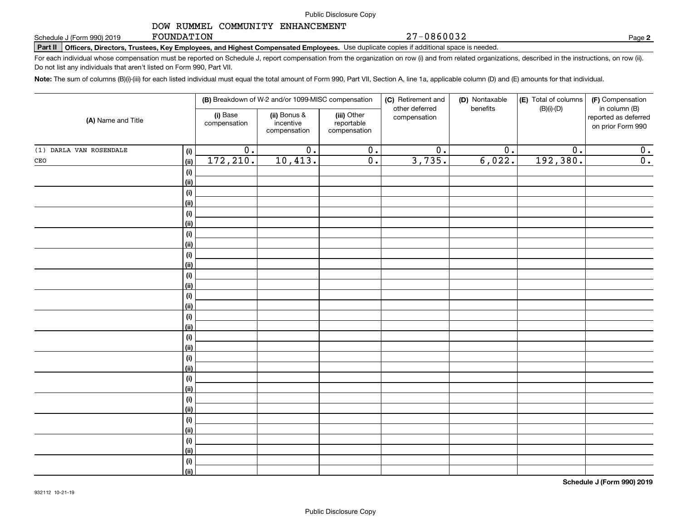27-0860032

## DOW RUMMEL COMMUNITY ENHANCEMENT

FOUNDATION

**Part II Officers, Directors, Trustees, Key Employees, and Highest Compensated Employees.**  Schedule J (Form 990) 2019 Page Use duplicate copies if additional space is needed.

For each individual whose compensation must be reported on Schedule J, report compensation from the organization on row (i) and from related organizations, described in the instructions, on row (ii). Do not list any individuals that aren't listed on Form 990, Part VII.

**Note:**  The sum of columns (B)(i)-(iii) for each listed individual must equal the total amount of Form 990, Part VII, Section A, line 1a, applicable column (D) and (E) amounts for that individual.

|                         |             |                          | (B) Breakdown of W-2 and/or 1099-MISC compensation |                                           | (C) Retirement and<br>other deferred | (D) Nontaxable<br>benefits | (E) Total of columns<br>$(B)(i)-(D)$ | (F) Compensation<br>in column (B)         |  |  |
|-------------------------|-------------|--------------------------|----------------------------------------------------|-------------------------------------------|--------------------------------------|----------------------------|--------------------------------------|-------------------------------------------|--|--|
| (A) Name and Title      |             | (i) Base<br>compensation | (ii) Bonus &<br>incentive<br>compensation          | (iii) Other<br>reportable<br>compensation | compensation                         |                            |                                      | reported as deferred<br>on prior Form 990 |  |  |
| (1) DARLA VAN ROSENDALE | (i)         | $\overline{0}$ .         | $\overline{0}$ .                                   | $\overline{0}$ .                          | $\overline{0}$ .                     | $\overline{0}$ .           | $\overline{0}$ .                     | 0.                                        |  |  |
| $\mathtt{CEO}$          | (ii)        | 172, 210.                | 10,413.                                            | $\overline{0}$ .                          | 3,735.                               | 6,022.                     | 192,380.                             | $\overline{0}$ .                          |  |  |
|                         | (i)         |                          |                                                    |                                           |                                      |                            |                                      |                                           |  |  |
|                         | (ii)        |                          |                                                    |                                           |                                      |                            |                                      |                                           |  |  |
|                         | (i)         |                          |                                                    |                                           |                                      |                            |                                      |                                           |  |  |
|                         | (ii)        |                          |                                                    |                                           |                                      |                            |                                      |                                           |  |  |
|                         | (i)         |                          |                                                    |                                           |                                      |                            |                                      |                                           |  |  |
|                         | (ii)        |                          |                                                    |                                           |                                      |                            |                                      |                                           |  |  |
|                         | (i)         |                          |                                                    |                                           |                                      |                            |                                      |                                           |  |  |
|                         | (ii)        |                          |                                                    |                                           |                                      |                            |                                      |                                           |  |  |
|                         | (i)         |                          |                                                    |                                           |                                      |                            |                                      |                                           |  |  |
|                         | (ii)        |                          |                                                    |                                           |                                      |                            |                                      |                                           |  |  |
|                         | (i)         |                          |                                                    |                                           |                                      |                            |                                      |                                           |  |  |
|                         | (ii)        |                          |                                                    |                                           |                                      |                            |                                      |                                           |  |  |
|                         | (i)         |                          |                                                    |                                           |                                      |                            |                                      |                                           |  |  |
|                         | (ii)        |                          |                                                    |                                           |                                      |                            |                                      |                                           |  |  |
|                         | (i)         |                          |                                                    |                                           |                                      |                            |                                      |                                           |  |  |
|                         | (ii)        |                          |                                                    |                                           |                                      |                            |                                      |                                           |  |  |
|                         | (i)<br>(ii) |                          |                                                    |                                           |                                      |                            |                                      |                                           |  |  |
|                         | (i)         |                          |                                                    |                                           |                                      |                            |                                      |                                           |  |  |
|                         | (ii)        |                          |                                                    |                                           |                                      |                            |                                      |                                           |  |  |
|                         | (i)         |                          |                                                    |                                           |                                      |                            |                                      |                                           |  |  |
|                         | (ii)        |                          |                                                    |                                           |                                      |                            |                                      |                                           |  |  |
|                         | (i)         |                          |                                                    |                                           |                                      |                            |                                      |                                           |  |  |
|                         | (ii)        |                          |                                                    |                                           |                                      |                            |                                      |                                           |  |  |
|                         | (i)         |                          |                                                    |                                           |                                      |                            |                                      |                                           |  |  |
|                         | (ii)        |                          |                                                    |                                           |                                      |                            |                                      |                                           |  |  |
|                         | (i)         |                          |                                                    |                                           |                                      |                            |                                      |                                           |  |  |
|                         | (ii)        |                          |                                                    |                                           |                                      |                            |                                      |                                           |  |  |
|                         | (i)         |                          |                                                    |                                           |                                      |                            |                                      |                                           |  |  |
|                         | (ii)        |                          |                                                    |                                           |                                      |                            |                                      |                                           |  |  |

**2**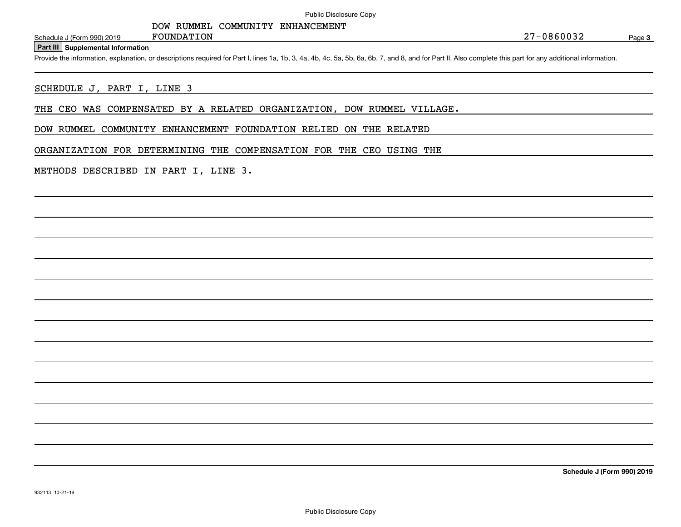Page 3

**Part III Supplemental Information**

Schedule J (Form 990) 2019 FOUNDATION<br>Part III Supplemental Information<br>Provide the information, explanation, or descriptions required for Part I, lines 1a, 1b, 3, 4a, 4b, 4c, 5a, 5b, 6a, 6b, 7, and 8, and for Part II. Als

#### SCHEDULE J, PART I, LINE 3

THE CEO WAS COMPENSATED BY A RELATED ORGANIZATION, DOW RUMMEL VILLAGE.

DOW RUMMEL COMMUNITY ENHANCEMENT FOUNDATION RELIED ON THE RELATED

ORGANIZATION FOR DETERMINING THE COMPENSATION FOR THE CEO USING THE

#### METHODS DESCRIBED IN PART I, LINE 3.

FOUNDATION

**Schedule J (Form 990) 2019**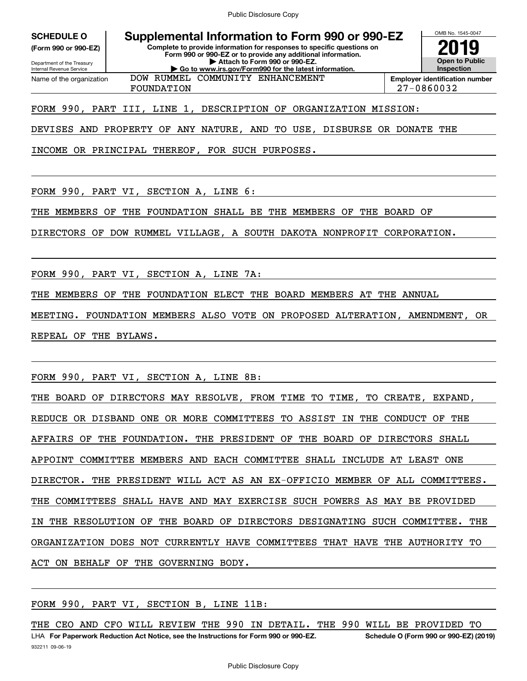# **SCHEDULE O Supplemental Information to Form 990 or 990-EZ**

Department of the Treasury **(Form 990 or 990-EZ)**

Internal Revenue Service

**Complete to provide information for responses to specific questions on Form 990 or 990-EZ or to provide any additional information. | Attach to Form 990 or 990-EZ. | Go to www.irs.gov/Form990 for the latest information.**



OMB No. 1545-0047

Name of the organization DOW RUMMEL COMMUNITY ENHANCEMENT

# FORM 990, PART III, LINE 1, DESCRIPTION OF ORGANIZATION MISSION: FOUNDATION 27-0860032

DEVISES AND PROPERTY OF ANY NATURE, AND TO USE, DISBURSE OR DONATE THE

INCOME OR PRINCIPAL THEREOF, FOR SUCH PURPOSES.

FORM 990, PART VI, SECTION A, LINE 6:

THE MEMBERS OF THE FOUNDATION SHALL BE THE MEMBERS OF THE BOARD OF

DIRECTORS OF DOW RUMMEL VILLAGE, A SOUTH DAKOTA NONPROFIT CORPORATION.

FORM 990, PART VI, SECTION A, LINE 7A:

THE MEMBERS OF THE FOUNDATION ELECT THE BOARD MEMBERS AT THE ANNUAL

MEETING. FOUNDATION MEMBERS ALSO VOTE ON PROPOSED ALTERATION, AMENDMENT, OR REPEAL OF THE BYLAWS.

FORM 990, PART VI, SECTION A, LINE 8B:

THE BOARD OF DIRECTORS MAY RESOLVE, FROM TIME TO TIME, TO CREATE, EXPAND, REDUCE OR DISBAND ONE OR MORE COMMITTEES TO ASSIST IN THE CONDUCT OF THE AFFAIRS OF THE FOUNDATION. THE PRESIDENT OF THE BOARD OF DIRECTORS SHALL APPOINT COMMITTEE MEMBERS AND EACH COMMITTEE SHALL INCLUDE AT LEAST ONE DIRECTOR. THE PRESIDENT WILL ACT AS AN EX-OFFICIO MEMBER OF ALL COMMITTEES. THE COMMITTEES SHALL HAVE AND MAY EXERCISE SUCH POWERS AS MAY BE PROVIDED IN THE RESOLUTION OF THE BOARD OF DIRECTORS DESIGNATING SUCH COMMITTEE. THE ORGANIZATION DOES NOT CURRENTLY HAVE COMMITTEES THAT HAVE THE AUTHORITY TO ACT ON BEHALF OF THE GOVERNING BODY.

FORM 990, PART VI, SECTION B, LINE 11B:

932211 09-06-19 LHA For Paperwork Reduction Act Notice, see the Instructions for Form 990 or 990-EZ. Schedule O (Form 990 or 990-EZ) (2019) THE CEO AND CFO WILL REVIEW THE 990 IN DETAIL. THE 990 WILL BE PROVIDED TO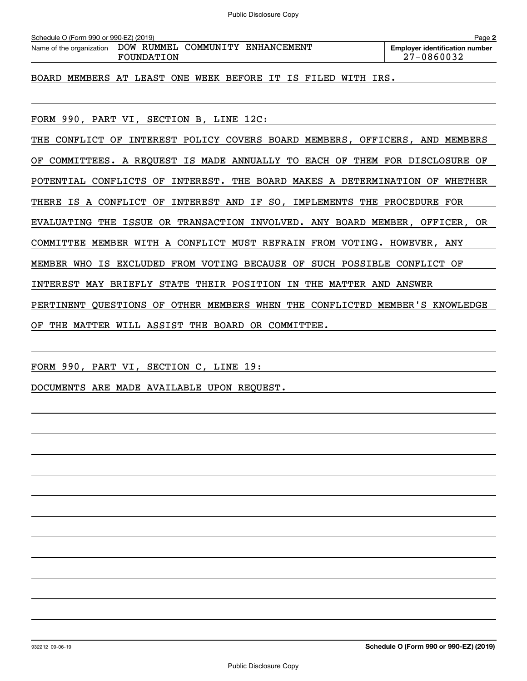| Schedule O (Form 990 or 990-EZ) (2019)<br>Page 2             |                                                                         |  |  |  |  |  |  |  |                                                     |  |  |  |
|--------------------------------------------------------------|-------------------------------------------------------------------------|--|--|--|--|--|--|--|-----------------------------------------------------|--|--|--|
|                                                              | Name of the organization DOW RUMMEL COMMUNITY ENHANCEMENT<br>FOUNDATION |  |  |  |  |  |  |  | <b>Employer identification number</b><br>27-0860032 |  |  |  |
| BOARD MEMBERS AT LEAST ONE WEEK BEFORE IT IS FILED WITH IRS. |                                                                         |  |  |  |  |  |  |  |                                                     |  |  |  |
|                                                              |                                                                         |  |  |  |  |  |  |  |                                                     |  |  |  |

FORM 990, PART VI, SECTION B, LINE 12C:

THE CONFLICT OF INTEREST POLICY COVERS BOARD MEMBERS, OFFICERS, AND MEMBERS OF COMMITTEES. A REQUEST IS MADE ANNUALLY TO EACH OF THEM FOR DISCLOSURE OF POTENTIAL CONFLICTS OF INTEREST. THE BOARD MAKES A DETERMINATION OF WHETHER THERE IS A CONFLICT OF INTEREST AND IF SO, IMPLEMENTS THE PROCEDURE FOR EVALUATING THE ISSUE OR TRANSACTION INVOLVED. ANY BOARD MEMBER, OFFICER, OR COMMITTEE MEMBER WITH A CONFLICT MUST REFRAIN FROM VOTING. HOWEVER, ANY MEMBER WHO IS EXCLUDED FROM VOTING BECAUSE OF SUCH POSSIBLE CONFLICT OF INTEREST MAY BRIEFLY STATE THEIR POSITION IN THE MATTER AND ANSWER PERTINENT QUESTIONS OF OTHER MEMBERS WHEN THE CONFLICTED MEMBER'S KNOWLEDGE OF THE MATTER WILL ASSIST THE BOARD OR COMMITTEE.

FORM 990, PART VI, SECTION C, LINE 19:

DOCUMENTS ARE MADE AVAILABLE UPON REQUEST.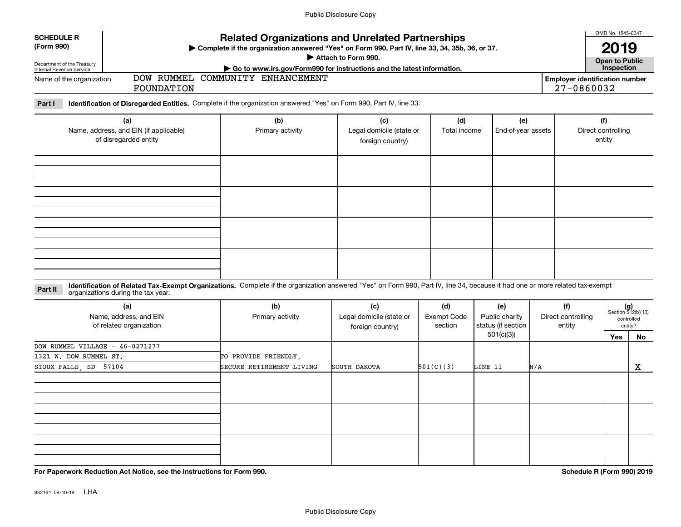| <b>SCHEDULE R</b>                                                                  |                                                          | <b>Related Organizations and Unrelated Partnerships</b>                                                                                                                      |                                                     |                                      |                                                          |     |                                                     | OMB No. 1545-0047 |                                                            |  |
|------------------------------------------------------------------------------------|----------------------------------------------------------|------------------------------------------------------------------------------------------------------------------------------------------------------------------------------|-----------------------------------------------------|--------------------------------------|----------------------------------------------------------|-----|-----------------------------------------------------|-------------------|------------------------------------------------------------|--|
| (Form 990)<br>Department of the Treasury<br>Internal Revenue Service               |                                                          | Complete if the organization answered "Yes" on Form 990, Part IV, line 33, 34, 35b, 36, or 37.                                                                               | Attach to Form 990.                                 |                                      |                                                          |     | 2019<br><b>Open to Public</b><br>Inspection         |                   |                                                            |  |
| Name of the organization                                                           | FOUNDATION                                               | Go to www.irs.gov/Form990 for instructions and the latest information.<br>DOW RUMMEL COMMUNITY ENHANCEMENT                                                                   |                                                     |                                      |                                                          |     | <b>Employer identification number</b><br>27-0860032 |                   |                                                            |  |
| Part I                                                                             |                                                          | Identification of Disregarded Entities. Complete if the organization answered "Yes" on Form 990, Part IV, line 33.                                                           |                                                     |                                      |                                                          |     |                                                     |                   |                                                            |  |
| (a)<br>Name, address, and EIN (if applicable)<br>of disregarded entity             |                                                          | (b)<br>Primary activity                                                                                                                                                      | (c)<br>Legal domicile (state or<br>foreign country) | (d)<br>Total income                  | (e)<br>End-of-year assets                                |     | (f)<br>Direct controlling<br>entity                 |                   |                                                            |  |
|                                                                                    |                                                          |                                                                                                                                                                              |                                                     |                                      |                                                          |     |                                                     |                   |                                                            |  |
|                                                                                    |                                                          |                                                                                                                                                                              |                                                     |                                      |                                                          |     |                                                     |                   |                                                            |  |
|                                                                                    |                                                          |                                                                                                                                                                              |                                                     |                                      |                                                          |     |                                                     |                   |                                                            |  |
| Part II                                                                            | organizations during the tax year.                       | Identification of Related Tax-Exempt Organizations. Complete if the organization answered "Yes" on Form 990, Part IV, line 34, because it had one or more related tax-exempt |                                                     |                                      |                                                          |     |                                                     |                   |                                                            |  |
|                                                                                    | (a)<br>Name, address, and EIN<br>of related organization | (b)<br>Primary activity                                                                                                                                                      | (c)<br>Legal domicile (state or<br>foreign country) | (d)<br><b>Exempt Code</b><br>section | (e)<br>Public charity<br>status (if section<br>501(c)(3) |     | (f)<br>Direct controlling<br>entity                 | Yes               | $(g)$<br>Section 512(b)(13)<br>controlled<br>entity?<br>No |  |
| DOW RUMMEL VILLAGE - 46-0271277<br>1321 W. DOW RUMMEL ST.<br>SIOUX FALLS, SD 57104 |                                                          | TO PROVIDE FRIENDLY,<br>SECURE RETIREMENT LIVING                                                                                                                             | SOUTH DAKOTA                                        | 501(C)(3)                            | LINE 11                                                  | N/A |                                                     |                   | $\mathbf X$                                                |  |
|                                                                                    |                                                          |                                                                                                                                                                              |                                                     |                                      |                                                          |     |                                                     |                   |                                                            |  |
|                                                                                    |                                                          |                                                                                                                                                                              |                                                     |                                      |                                                          |     |                                                     |                   |                                                            |  |
|                                                                                    |                                                          |                                                                                                                                                                              |                                                     |                                      |                                                          |     |                                                     |                   |                                                            |  |

**For Paperwork Reduction Act Notice, see the Instructions for Form 990. Schedule R (Form 990) 2019**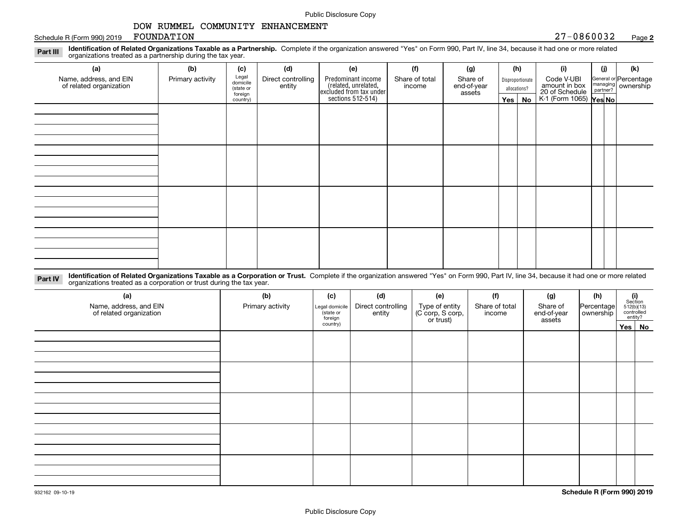# Schedule R (Form 990) 2019 FOUNDATION

#### **2**FOUNDATION 27-0860032

**Identification of Related Organizations Taxable as a Partnership.** Complete if the organization answered "Yes" on Form 990, Part IV, line 34, because it had one or more related **Part III** organizations treated as a partnership during the tax year.

| (a)                                               | (b)              | (c)                  | (d)                          | (e)                                                                 | (f)                      | (g)                     |  | (h)          | (i)                                      | (j)                | (k)                         |  |                       |
|---------------------------------------------------|------------------|----------------------|------------------------------|---------------------------------------------------------------------|--------------------------|-------------------------|--|--------------|------------------------------------------|--------------------|-----------------------------|--|-----------------------|
| Name, address, and EIN<br>of related organization | Primary activity | Legal<br>domicile    | Direct controlling<br>entity | Predominant income                                                  | Share of total<br>income | Share of<br>end-of-year |  |              | Disproportionate                         |                    | Code V-UBI<br>amount in box |  | General or Percentage |
|                                                   |                  | (state or<br>foreign |                              |                                                                     |                          | assets                  |  | allocations? |                                          | managing ownership |                             |  |                       |
|                                                   |                  | country)             |                              | related, unrelated,<br>excluded from tax under<br>sections 512-514) |                          |                         |  | Yes   No     | 20 of Schedule<br>K-1 (Form 1065) Yes No |                    |                             |  |                       |
|                                                   |                  |                      |                              |                                                                     |                          |                         |  |              |                                          |                    |                             |  |                       |
|                                                   |                  |                      |                              |                                                                     |                          |                         |  |              |                                          |                    |                             |  |                       |
|                                                   |                  |                      |                              |                                                                     |                          |                         |  |              |                                          |                    |                             |  |                       |
|                                                   |                  |                      |                              |                                                                     |                          |                         |  |              |                                          |                    |                             |  |                       |
|                                                   |                  |                      |                              |                                                                     |                          |                         |  |              |                                          |                    |                             |  |                       |
|                                                   |                  |                      |                              |                                                                     |                          |                         |  |              |                                          |                    |                             |  |                       |
|                                                   |                  |                      |                              |                                                                     |                          |                         |  |              |                                          |                    |                             |  |                       |
|                                                   |                  |                      |                              |                                                                     |                          |                         |  |              |                                          |                    |                             |  |                       |
|                                                   |                  |                      |                              |                                                                     |                          |                         |  |              |                                          |                    |                             |  |                       |
|                                                   |                  |                      |                              |                                                                     |                          |                         |  |              |                                          |                    |                             |  |                       |
|                                                   |                  |                      |                              |                                                                     |                          |                         |  |              |                                          |                    |                             |  |                       |
|                                                   |                  |                      |                              |                                                                     |                          |                         |  |              |                                          |                    |                             |  |                       |
|                                                   |                  |                      |                              |                                                                     |                          |                         |  |              |                                          |                    |                             |  |                       |
|                                                   |                  |                      |                              |                                                                     |                          |                         |  |              |                                          |                    |                             |  |                       |
|                                                   |                  |                      |                              |                                                                     |                          |                         |  |              |                                          |                    |                             |  |                       |
|                                                   |                  |                      |                              |                                                                     |                          |                         |  |              |                                          |                    |                             |  |                       |
|                                                   |                  |                      |                              |                                                                     |                          |                         |  |              |                                          |                    |                             |  |                       |

**Identification of Related Organizations Taxable as a Corporation or Trust.** Complete if the organization answered "Yes" on Form 990, Part IV, line 34, because it had one or more related **Part IV** organizations treated as a corporation or trust during the tax year.

| Primary activity | (c)<br>Legal domicile<br>(state or<br>foreign | (d)<br>Direct controlling<br>entity | (e)<br>Type of entity<br>(C corp, S corp,<br>or trust) | (f)<br>Share of total<br>income | (g)<br>Share of<br>end-of-year | (h)<br>Percentage<br>ownership | $\begin{array}{c} \textbf{(i)}\\ \text{Section}\\ 512 \text{(b)} \text{(13)}\\ \text{controlled}\\ \text{entity?} \end{array}$ |
|------------------|-----------------------------------------------|-------------------------------------|--------------------------------------------------------|---------------------------------|--------------------------------|--------------------------------|--------------------------------------------------------------------------------------------------------------------------------|
|                  | country)                                      |                                     |                                                        |                                 |                                |                                | Yes No                                                                                                                         |
|                  |                                               |                                     |                                                        |                                 |                                |                                |                                                                                                                                |
|                  |                                               |                                     |                                                        |                                 |                                |                                |                                                                                                                                |
|                  |                                               |                                     |                                                        |                                 |                                |                                |                                                                                                                                |
|                  |                                               |                                     |                                                        |                                 |                                |                                |                                                                                                                                |
|                  |                                               |                                     |                                                        |                                 |                                |                                |                                                                                                                                |
|                  |                                               |                                     |                                                        |                                 |                                |                                |                                                                                                                                |
|                  |                                               |                                     |                                                        |                                 |                                |                                |                                                                                                                                |
|                  |                                               |                                     |                                                        |                                 |                                |                                |                                                                                                                                |
|                  |                                               |                                     |                                                        |                                 |                                |                                |                                                                                                                                |
|                  |                                               |                                     |                                                        |                                 |                                |                                |                                                                                                                                |
|                  |                                               |                                     |                                                        |                                 |                                |                                |                                                                                                                                |
|                  |                                               |                                     |                                                        |                                 |                                | assets                         |                                                                                                                                |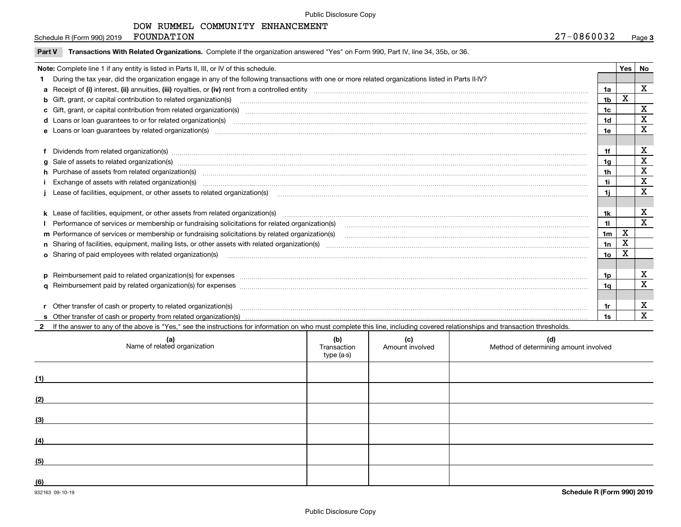# DOW RUMMEL COMMUNITY ENHANCEMENT

Schedule R (Form 990) 2019 FOUNDATION

| Part V | Transactions With Related Organizations. Complete if the organization answered "Yes" on Form 990, Part IV, line 34, 35b, or 36.                                                                                                |                |             |              |
|--------|--------------------------------------------------------------------------------------------------------------------------------------------------------------------------------------------------------------------------------|----------------|-------------|--------------|
|        | Note: Complete line 1 if any entity is listed in Parts II, III, or IV of this schedule.                                                                                                                                        |                | Yes         | No           |
|        | During the tax year, did the organization engage in any of the following transactions with one or more related organizations listed in Parts II-IV?                                                                            |                |             |              |
|        |                                                                                                                                                                                                                                | 1a             |             | $\mathbf X$  |
|        | b Gift, grant, or capital contribution to related organization(s) manufactured and contribution to related organization(s)                                                                                                     | 1 <sub>b</sub> | X           |              |
|        |                                                                                                                                                                                                                                | 1 <sub>c</sub> |             | X            |
|        |                                                                                                                                                                                                                                | 1 <sub>d</sub> |             | X            |
|        |                                                                                                                                                                                                                                | 1e             |             | $\mathbf X$  |
|        |                                                                                                                                                                                                                                |                |             |              |
|        | f Dividends from related organization(s) www.assession.com/www.assession.com/www.assession.com/www.assession.com/www.assession.com/www.assession.com/www.assession.com/www.assession.com/www.assession.com/www.assession.com/w | 1f             |             | X            |
|        | $g$ Sale of assets to related organization(s) manufacture content content to the content of the content of the content of the content of the content of the content of the content of the content of the content of the conte  | 1a             |             | $\mathbf x$  |
|        | h Purchase of assets from related organization(s) manufactured manufactured manufactured manufactured manufactured manufactured manufactured manufactured manufactured manufactured manufactured manufactured manufactured man | 1 <sub>h</sub> |             | $\mathbf x$  |
|        | Exchange of assets with related organization(s) www.communically.communically contract and a set of assets with related organization(s)                                                                                        | 1i.            |             | $\mathbf x$  |
|        | Lease of facilities, equipment, or other assets to related organization(s) manufaction manufacture in the substitution of facilities, equipment, or other assets to related organization(s) manufacture in the manufacture in  | 1i             |             | $\mathbf x$  |
|        |                                                                                                                                                                                                                                |                |             |              |
|        | k Lease of facilities, equipment, or other assets from related organization(s) manufaction content and content to the content of facilities, equipment, or other assets from related organization(s) manufaction content and c | 1k             |             | $\mathbf x$  |
|        | Performance of services or membership or fundraising solicitations for related organization(s)                                                                                                                                 | 11             |             | $\mathbf{x}$ |
|        |                                                                                                                                                                                                                                | 1 <sub>m</sub> | $\mathbf x$ |              |
|        |                                                                                                                                                                                                                                | 1n             | X           |              |
|        |                                                                                                                                                                                                                                | 1o             | X           |              |
|        |                                                                                                                                                                                                                                |                |             |              |
|        | p Reimbursement paid to related organization(s) for expenses [1111] and the content of the content of the content of the content of the content of the content of the content of the content of the content of the content of  | 1p             |             | X            |
|        |                                                                                                                                                                                                                                | 1α             |             | X            |
|        |                                                                                                                                                                                                                                |                |             |              |
|        | r Other transfer of cash or property to related organization(s)                                                                                                                                                                | 1r             |             | X            |
|        |                                                                                                                                                                                                                                | 1s             |             | $\mathbf X$  |
|        | 2 If the answer to any of the above is "Yes." see the instructions for information on who must complete this line, including covered relationships and transaction thresholds.                                                 |                |             |              |

| (a)<br>Name of related organization | (b)<br>Transaction<br>type (a-s) | (c)<br>Amount involved | (d)<br>Method of determining amount involved |
|-------------------------------------|----------------------------------|------------------------|----------------------------------------------|
| (1)                                 |                                  |                        |                                              |
| (2)                                 |                                  |                        |                                              |
| (3)                                 |                                  |                        |                                              |
| (4)                                 |                                  |                        |                                              |
| (5)                                 |                                  |                        |                                              |
| (6)                                 |                                  |                        |                                              |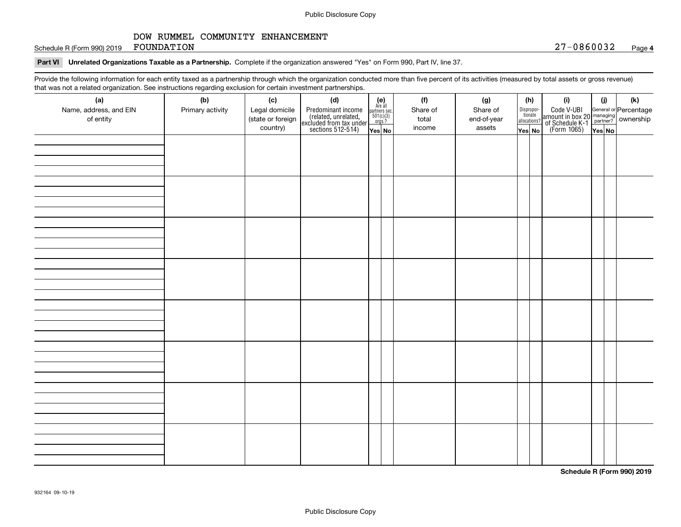Schedule R (Form 990) 2019 Page FOUNDATION 27-0860032

# **Part VI Unrelated Organizations Taxable as a Partnership.**  Complete if the organization answered "Yes" on Form 990, Part IV, line 37.

Provide the following information for each entity taxed as a partnership through which the organization conducted more than five percent of its activities (measured by total assets or gross revenue) that was not a related organization. See instructions regarding exclusion for certain investment partnerships.

| (a)                    | .<br>(b)         | (c)               | <br><br>(d)                                                                                |                                                                                                                  | (f)      | (g)         | (h)                   | (i)                                                                                                    | (i)    | $(\mathsf{k})$ |
|------------------------|------------------|-------------------|--------------------------------------------------------------------------------------------|------------------------------------------------------------------------------------------------------------------|----------|-------------|-----------------------|--------------------------------------------------------------------------------------------------------|--------|----------------|
| Name, address, and EIN | Primary activity | Legal domicile    |                                                                                            | $\begin{array}{c} \textbf{(e)}\\ \text{Are all} \\ \text{partners sec.}\\ 501(c)(3)\\ \text{orgs.?} \end{array}$ | Share of | Share of    | Dispropor-<br>tionate |                                                                                                        |        |                |
| of entity              |                  | (state or foreign | Predominant income<br>(related, unrelated,<br>excluded from tax under<br>sections 512-514) |                                                                                                                  | total    | end-of-year | allocations?          | Code V-UBI<br>amount in box 20 managing<br>of Schedule K-1 partner? ownership<br>(Form 1065)<br>ves No |        |                |
|                        |                  | country)          |                                                                                            | Yes No                                                                                                           | income   | assets      | Yes No                |                                                                                                        | Yes No |                |
|                        |                  |                   |                                                                                            |                                                                                                                  |          |             |                       |                                                                                                        |        |                |
|                        |                  |                   |                                                                                            |                                                                                                                  |          |             |                       |                                                                                                        |        |                |
|                        |                  |                   |                                                                                            |                                                                                                                  |          |             |                       |                                                                                                        |        |                |
|                        |                  |                   |                                                                                            |                                                                                                                  |          |             |                       |                                                                                                        |        |                |
|                        |                  |                   |                                                                                            |                                                                                                                  |          |             |                       |                                                                                                        |        |                |
|                        |                  |                   |                                                                                            |                                                                                                                  |          |             |                       |                                                                                                        |        |                |
|                        |                  |                   |                                                                                            |                                                                                                                  |          |             |                       |                                                                                                        |        |                |
|                        |                  |                   |                                                                                            |                                                                                                                  |          |             |                       |                                                                                                        |        |                |
|                        |                  |                   |                                                                                            |                                                                                                                  |          |             |                       |                                                                                                        |        |                |
|                        |                  |                   |                                                                                            |                                                                                                                  |          |             |                       |                                                                                                        |        |                |
|                        |                  |                   |                                                                                            |                                                                                                                  |          |             |                       |                                                                                                        |        |                |
|                        |                  |                   |                                                                                            |                                                                                                                  |          |             |                       |                                                                                                        |        |                |
|                        |                  |                   |                                                                                            |                                                                                                                  |          |             |                       |                                                                                                        |        |                |
|                        |                  |                   |                                                                                            |                                                                                                                  |          |             |                       |                                                                                                        |        |                |
|                        |                  |                   |                                                                                            |                                                                                                                  |          |             |                       |                                                                                                        |        |                |
|                        |                  |                   |                                                                                            |                                                                                                                  |          |             |                       |                                                                                                        |        |                |
|                        |                  |                   |                                                                                            |                                                                                                                  |          |             |                       |                                                                                                        |        |                |
|                        |                  |                   |                                                                                            |                                                                                                                  |          |             |                       |                                                                                                        |        |                |
|                        |                  |                   |                                                                                            |                                                                                                                  |          |             |                       |                                                                                                        |        |                |
|                        |                  |                   |                                                                                            |                                                                                                                  |          |             |                       |                                                                                                        |        |                |
|                        |                  |                   |                                                                                            |                                                                                                                  |          |             |                       |                                                                                                        |        |                |
|                        |                  |                   |                                                                                            |                                                                                                                  |          |             |                       |                                                                                                        |        |                |
|                        |                  |                   |                                                                                            |                                                                                                                  |          |             |                       |                                                                                                        |        |                |
|                        |                  |                   |                                                                                            |                                                                                                                  |          |             |                       |                                                                                                        |        |                |
|                        |                  |                   |                                                                                            |                                                                                                                  |          |             |                       |                                                                                                        |        |                |
|                        |                  |                   |                                                                                            |                                                                                                                  |          |             |                       |                                                                                                        |        |                |
|                        |                  |                   |                                                                                            |                                                                                                                  |          |             |                       |                                                                                                        |        |                |
|                        |                  |                   |                                                                                            |                                                                                                                  |          |             |                       |                                                                                                        |        |                |
|                        |                  |                   |                                                                                            |                                                                                                                  |          |             |                       |                                                                                                        |        |                |
|                        |                  |                   |                                                                                            |                                                                                                                  |          |             |                       |                                                                                                        |        |                |

**Schedule R (Form 990) 2019**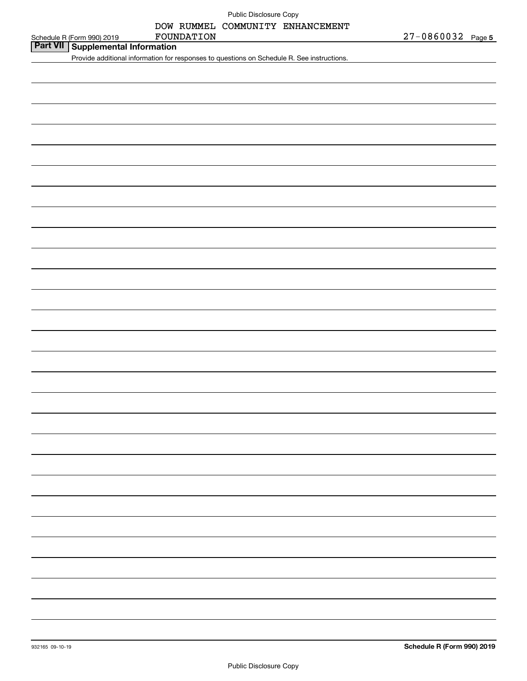|  | Public Disclosure Copy |  |
|--|------------------------|--|
|--|------------------------|--|

# **Part VII Supplemental Information** FOUNDATION

Provide additional information for responses to questions on Schedule R. See instructions.